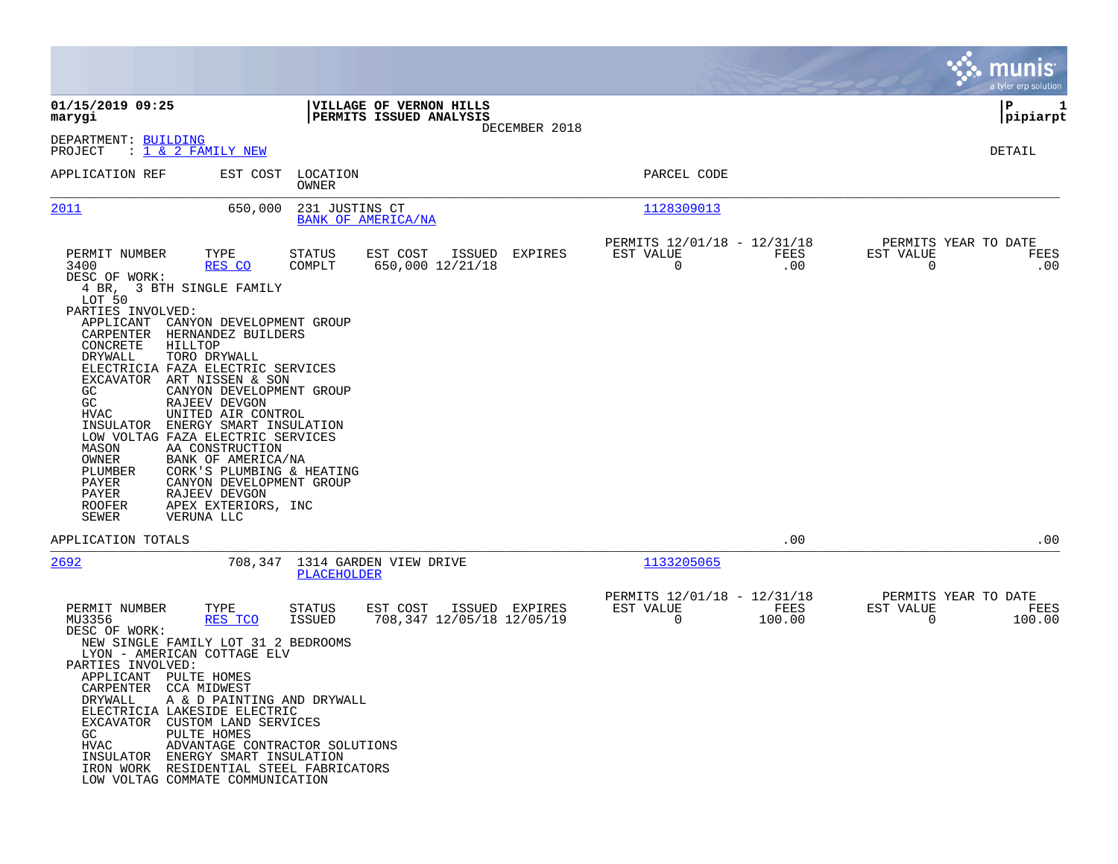|                                                                                                                                                                                                                                                                                                                                                                                                                                        |                                                                                                              |                                             |                                                         | munis<br>a tyler erp solution                                                     |
|----------------------------------------------------------------------------------------------------------------------------------------------------------------------------------------------------------------------------------------------------------------------------------------------------------------------------------------------------------------------------------------------------------------------------------------|--------------------------------------------------------------------------------------------------------------|---------------------------------------------|---------------------------------------------------------|-----------------------------------------------------------------------------------|
| 01/15/2019 09:25<br>marygi                                                                                                                                                                                                                                                                                                                                                                                                             | VILLAGE OF VERNON HILLS<br>PERMITS ISSUED ANALYSIS                                                           |                                             |                                                         | IΡ<br>1<br> pipiarpt                                                              |
| DEPARTMENT: BUILDING<br>PROJECT<br>: <u>1 &amp; 2 FAMILY NEW</u>                                                                                                                                                                                                                                                                                                                                                                       |                                                                                                              | DECEMBER 2018                               |                                                         | DETAIL                                                                            |
| APPLICATION REF                                                                                                                                                                                                                                                                                                                                                                                                                        | EST COST<br>LOCATION<br>OWNER                                                                                |                                             | PARCEL CODE                                             |                                                                                   |
| 2011                                                                                                                                                                                                                                                                                                                                                                                                                                   | 650,000<br>231 JUSTINS CT<br>BANK OF AMERICA/NA                                                              |                                             | 1128309013                                              |                                                                                   |
| PERMIT NUMBER<br>TYPE<br>3400<br>RES CO<br>DESC OF WORK:<br>4 BR, 3 BTH SINGLE FAMILY<br>LOT 50<br>PARTIES INVOLVED:<br>APPLICANT<br>CARPENTER<br>HERNANDEZ BUILDERS<br>CONCRETE<br>HILLTOP<br>DRYWALL<br>TORO DRYWALL<br>ELECTRICIA FAZA ELECTRIC SERVICES<br>EXCAVATOR<br>ART NISSEN & SON                                                                                                                                           | STATUS<br>EST COST<br>COMPLT<br>650,000 12/21/18<br>CANYON DEVELOPMENT GROUP                                 | ISSUED<br>EXPIRES                           | PERMITS 12/01/18 - 12/31/18<br>EST VALUE<br>0           | PERMITS YEAR TO DATE<br>FEES<br>EST VALUE<br>FEES<br>$\overline{0}$<br>.00<br>.00 |
| GC.<br>GC<br>RAJEEV DEVGON<br>HVAC<br>UNITED AIR CONTROL<br>INSULATOR<br>LOW VOLTAG FAZA ELECTRIC SERVICES<br>MASON<br>AA CONSTRUCTION<br>OWNER<br>BANK OF AMERICA/NA<br>PLUMBER<br>PAYER<br>PAYER<br>RAJEEV DEVGON<br><b>ROOFER</b><br>APEX EXTERIORS, INC<br>SEWER<br>VERUNA LLC                                                                                                                                                     | CANYON DEVELOPMENT GROUP<br>ENERGY SMART INSULATION<br>CORK'S PLUMBING & HEATING<br>CANYON DEVELOPMENT GROUP |                                             |                                                         |                                                                                   |
| APPLICATION TOTALS                                                                                                                                                                                                                                                                                                                                                                                                                     |                                                                                                              |                                             |                                                         | .00<br>.00                                                                        |
| 2692                                                                                                                                                                                                                                                                                                                                                                                                                                   | 708,347 1314 GARDEN VIEW DRIVE<br>PLACEHOLDER                                                                |                                             | 1133205065                                              |                                                                                   |
| PERMIT NUMBER<br>TYPE<br>MU3356<br>RES TCO<br>DESC OF WORK:<br>NEW SINGLE FAMILY LOT 31 2 BEDROOMS<br>LYON - AMERICAN COTTAGE ELV<br>PARTIES INVOLVED:<br>APPLICANT PULTE HOMES<br>CARPENTER CCA MIDWEST<br>DRYWALL<br>ELECTRICIA LAKESIDE ELECTRIC<br>EXCAVATOR CUSTOM LAND SERVICES<br>PULTE HOMES<br>GC<br>HVAC<br>INSULATOR ENERGY SMART INSULATION<br>IRON WORK RESIDENTIAL STEEL FABRICATORS<br>LOW VOLTAG COMMATE COMMUNICATION | STATUS<br>EST COST<br>ISSUED<br>A & D PAINTING AND DRYWALL<br>ADVANTAGE CONTRACTOR SOLUTIONS                 | ISSUED EXPIRES<br>708,347 12/05/18 12/05/19 | PERMITS 12/01/18 - 12/31/18<br>EST VALUE<br>0<br>100.00 | PERMITS YEAR TO DATE<br>FEES<br>EST VALUE<br>FEES<br>$\overline{0}$<br>100.00     |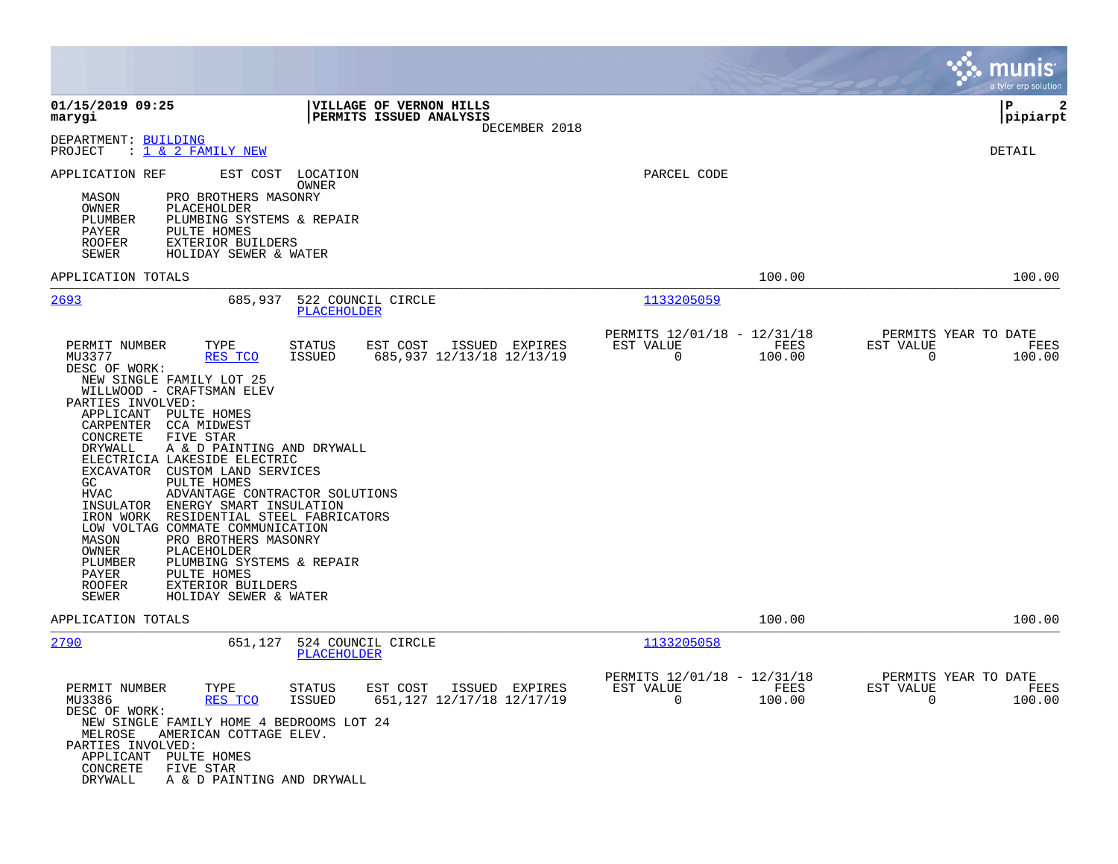|                                                                                                                                                                                                                                                                                                                                                                                                                                                                                                                                                                                                                                                                                                                                                                                                                                                |                                                                               | munis<br>a tyler erp solution                            |
|------------------------------------------------------------------------------------------------------------------------------------------------------------------------------------------------------------------------------------------------------------------------------------------------------------------------------------------------------------------------------------------------------------------------------------------------------------------------------------------------------------------------------------------------------------------------------------------------------------------------------------------------------------------------------------------------------------------------------------------------------------------------------------------------------------------------------------------------|-------------------------------------------------------------------------------|----------------------------------------------------------|
| 01/15/2019 09:25<br>VILLAGE OF VERNON HILLS<br>PERMITS ISSUED ANALYSIS<br>marygi<br>DECEMBER 2018                                                                                                                                                                                                                                                                                                                                                                                                                                                                                                                                                                                                                                                                                                                                              |                                                                               | l P<br>2<br> pipiarpt                                    |
| DEPARTMENT: BUILDING<br><u>: 1 &amp; 2 FAMILY NEW</u><br>PROJECT                                                                                                                                                                                                                                                                                                                                                                                                                                                                                                                                                                                                                                                                                                                                                                               |                                                                               | DETAIL                                                   |
| EST COST<br>APPLICATION REF<br>LOCATION<br>OWNER<br>PRO BROTHERS MASONRY<br>MASON<br>OWNER<br>PLACEHOLDER<br>PLUMBER<br>PLUMBING SYSTEMS & REPAIR<br>PAYER<br><b>PULTE HOMES</b><br><b>ROOFER</b><br>EXTERIOR BUILDERS<br>SEWER<br>HOLIDAY SEWER & WATER                                                                                                                                                                                                                                                                                                                                                                                                                                                                                                                                                                                       | PARCEL CODE                                                                   |                                                          |
| APPLICATION TOTALS                                                                                                                                                                                                                                                                                                                                                                                                                                                                                                                                                                                                                                                                                                                                                                                                                             | 100.00                                                                        | 100.00                                                   |
| 2693<br>685,937<br>522 COUNCIL CIRCLE<br><b>PLACEHOLDER</b>                                                                                                                                                                                                                                                                                                                                                                                                                                                                                                                                                                                                                                                                                                                                                                                    | 1133205059                                                                    |                                                          |
| TYPE<br><b>STATUS</b><br>EST COST<br>PERMIT NUMBER<br>ISSUED EXPIRES<br>MU3377<br>RES TCO<br>685,937 12/13/18 12/13/19<br><b>ISSUED</b><br>DESC OF WORK:<br>NEW SINGLE FAMILY LOT 25<br>WILLWOOD - CRAFTSMAN ELEV<br>PARTIES INVOLVED:<br>APPLICANT<br>PULTE HOMES<br>CARPENTER<br><b>CCA MIDWEST</b><br>CONCRETE<br>FIVE STAR<br>DRYWALL<br>A & D PAINTING AND DRYWALL<br>ELECTRICIA LAKESIDE ELECTRIC<br>EXCAVATOR<br>CUSTOM LAND SERVICES<br>GC.<br>PULTE HOMES<br>HVAC<br>ADVANTAGE CONTRACTOR SOLUTIONS<br>ENERGY SMART INSULATION<br>INSULATOR<br>IRON WORK<br>RESIDENTIAL STEEL FABRICATORS<br>LOW VOLTAG COMMATE COMMUNICATION<br>MASON<br>PRO BROTHERS MASONRY<br>OWNER<br>PLACEHOLDER<br>PLUMBER<br>PLUMBING SYSTEMS & REPAIR<br>PAYER<br>PULTE HOMES<br><b>ROOFER</b><br><b>EXTERIOR BUILDERS</b><br>SEWER<br>HOLIDAY SEWER & WATER | PERMITS 12/01/18 - 12/31/18<br>FEES<br>EST VALUE<br>0<br>100.00               | PERMITS YEAR TO DATE<br>EST VALUE<br>FEES<br>0<br>100.00 |
| APPLICATION TOTALS                                                                                                                                                                                                                                                                                                                                                                                                                                                                                                                                                                                                                                                                                                                                                                                                                             | 100.00                                                                        | 100.00                                                   |
| 2790<br>524 COUNCIL CIRCLE<br>651,127<br><b>PLACEHOLDER</b><br>PERMIT NUMBER<br>TYPE<br>EST COST<br>ISSUED EXPIRES<br>STATUS<br>MU3386<br>RES TCO<br><b>ISSUED</b><br>651,127 12/17/18 12/17/19<br>DESC OF WORK:<br>NEW SINGLE FAMILY HOME 4 BEDROOMS LOT 24<br>MELROSE<br>AMERICAN COTTAGE ELEV.<br>PARTIES INVOLVED:<br>APPLICANT<br>PULTE HOMES<br>CONCRETE<br>FIVE STAR<br>DRYWALL<br>A & D PAINTING AND DRYWALL                                                                                                                                                                                                                                                                                                                                                                                                                           | 1133205058<br>PERMITS 12/01/18 - 12/31/18<br>EST VALUE<br>FEES<br>0<br>100.00 | PERMITS YEAR TO DATE<br>EST VALUE<br>FEES<br>0<br>100.00 |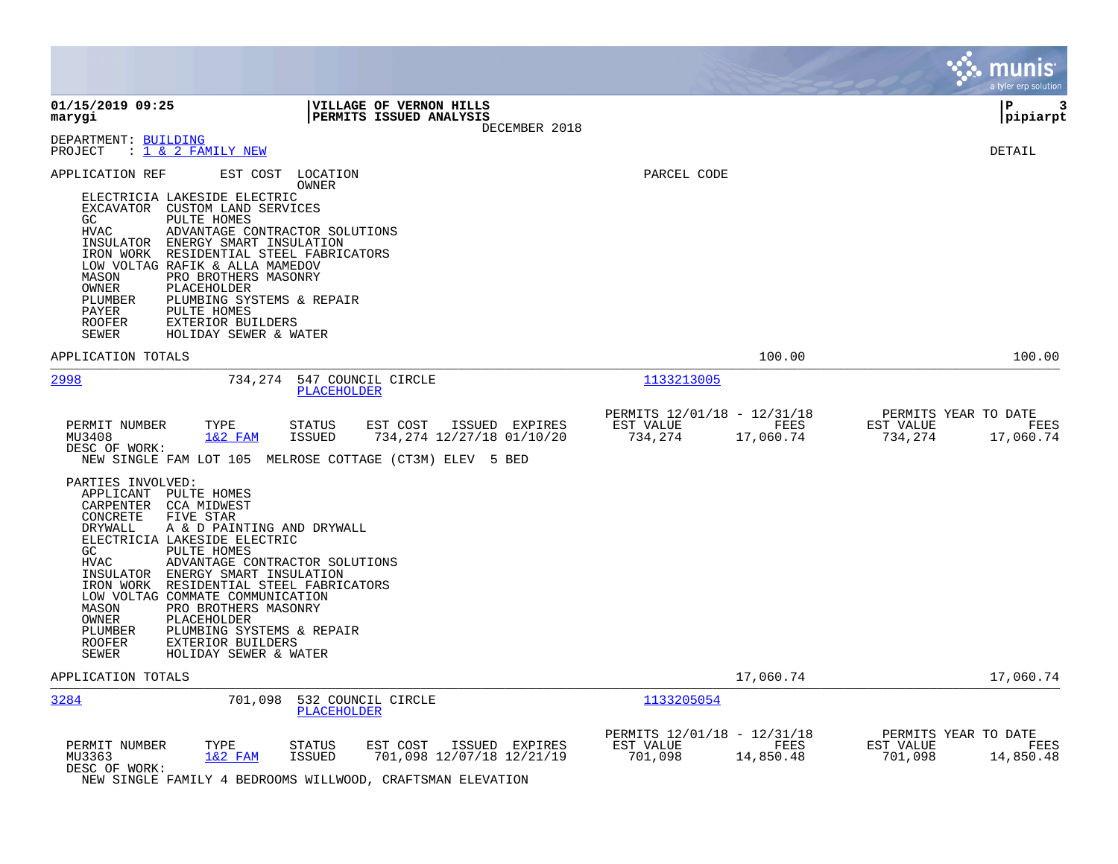|                                                                                                                                                                                                                                                                                                                                                                                                                                                                                                                                                                                                           |                                                                                                                                                         |                                                                          | <b>munis</b><br>a tyler erp solution                              |
|-----------------------------------------------------------------------------------------------------------------------------------------------------------------------------------------------------------------------------------------------------------------------------------------------------------------------------------------------------------------------------------------------------------------------------------------------------------------------------------------------------------------------------------------------------------------------------------------------------------|---------------------------------------------------------------------------------------------------------------------------------------------------------|--------------------------------------------------------------------------|-------------------------------------------------------------------|
| 01/15/2019 09:25<br>marygi                                                                                                                                                                                                                                                                                                                                                                                                                                                                                                                                                                                | VILLAGE OF VERNON HILLS<br>PERMITS ISSUED ANALYSIS<br>DECEMBER 2018                                                                                     |                                                                          | ΙP<br>3<br> pipiarpt                                              |
| DEPARTMENT: BUILDING<br>$\therefore$ 1 & 2 FAMILY NEW<br>PROJECT                                                                                                                                                                                                                                                                                                                                                                                                                                                                                                                                          |                                                                                                                                                         |                                                                          | DETAIL                                                            |
| APPLICATION REF<br>ELECTRICIA LAKESIDE ELECTRIC<br>EXCAVATOR CUSTOM LAND SERVICES<br>PULTE HOMES<br>GC<br>ADVANTAGE CONTRACTOR SOLUTIONS<br>HVAC<br>ENERGY SMART INSULATION<br>INSULATOR<br>RESIDENTIAL STEEL FABRICATORS<br>IRON WORK<br>LOW VOLTAG RAFIK & ALLA MAMEDOV<br>MASON<br>PRO BROTHERS MASONRY<br>OWNER<br>PLACEHOLDER<br>PLUMBING SYSTEMS & REPAIR<br>PLUMBER<br>PAYER<br>PULTE HOMES<br><b>ROOFER</b><br>EXTERIOR BUILDERS<br>SEWER<br>HOLIDAY SEWER & WATER                                                                                                                                | EST COST LOCATION<br>OWNER                                                                                                                              | PARCEL CODE                                                              |                                                                   |
| APPLICATION TOTALS                                                                                                                                                                                                                                                                                                                                                                                                                                                                                                                                                                                        |                                                                                                                                                         | 100.00                                                                   | 100.00                                                            |
| 2998<br>734,274                                                                                                                                                                                                                                                                                                                                                                                                                                                                                                                                                                                           | 547 COUNCIL CIRCLE<br>PLACEHOLDER                                                                                                                       | 1133213005                                                               |                                                                   |
| PERMIT NUMBER<br>TYPE<br>$1&2$ FAM<br>MU3408<br>DESC OF WORK:<br>PARTIES INVOLVED:<br>APPLICANT PULTE HOMES<br>CARPENTER CCA MIDWEST<br>CONCRETE<br>FIVE STAR<br>DRYWALL<br>A & D PAINTING AND DRYWALL<br>ELECTRICIA LAKESIDE ELECTRIC<br>GC<br>PULTE HOMES<br><b>HVAC</b><br>ADVANTAGE CONTRACTOR SOLUTIONS<br>INSULATOR ENERGY SMART INSULATION<br>IRON WORK RESIDENTIAL STEEL FABRICATORS<br>LOW VOLTAG COMMATE COMMUNICATION<br>MASON<br>PRO BROTHERS MASONRY<br>PLACEHOLDER<br>OWNER<br>PLUMBER<br>PLUMBING SYSTEMS & REPAIR<br><b>ROOFER</b><br>EXTERIOR BUILDERS<br>SEWER<br>HOLIDAY SEWER & WATER | EST COST<br>ISSUED EXPIRES<br>STATUS<br><b>ISSUED</b><br>734,274 12/27/18 01/10/20<br>NEW SINGLE FAM LOT 105 MELROSE COTTAGE (CT3M) ELEV 5 BED          | PERMITS 12/01/18 - 12/31/18<br>EST VALUE<br>FEES<br>734,274<br>17,060.74 | PERMITS YEAR TO DATE<br>EST VALUE<br>FEES<br>734,274<br>17,060.74 |
| APPLICATION TOTALS                                                                                                                                                                                                                                                                                                                                                                                                                                                                                                                                                                                        |                                                                                                                                                         | 17,060.74                                                                | 17,060.74                                                         |
| 3284<br>701,098                                                                                                                                                                                                                                                                                                                                                                                                                                                                                                                                                                                           | 532 COUNCIL CIRCLE<br><b>PLACEHOLDER</b>                                                                                                                | 1133205054                                                               |                                                                   |
| PERMIT NUMBER<br>TYPE<br>$1&2$ FAM<br>MU3363<br>DESC OF WORK:                                                                                                                                                                                                                                                                                                                                                                                                                                                                                                                                             | <b>STATUS</b><br>EST COST<br>ISSUED EXPIRES<br>701,098 12/07/18 12/21/19<br><b>ISSUED</b><br>NEW SINGLE FAMILY 4 BEDROOMS WILLWOOD, CRAFTSMAN ELEVATION | PERMITS 12/01/18 - 12/31/18<br>EST VALUE<br>FEES<br>701,098<br>14,850.48 | PERMITS YEAR TO DATE<br>EST VALUE<br>FEES<br>701,098<br>14,850.48 |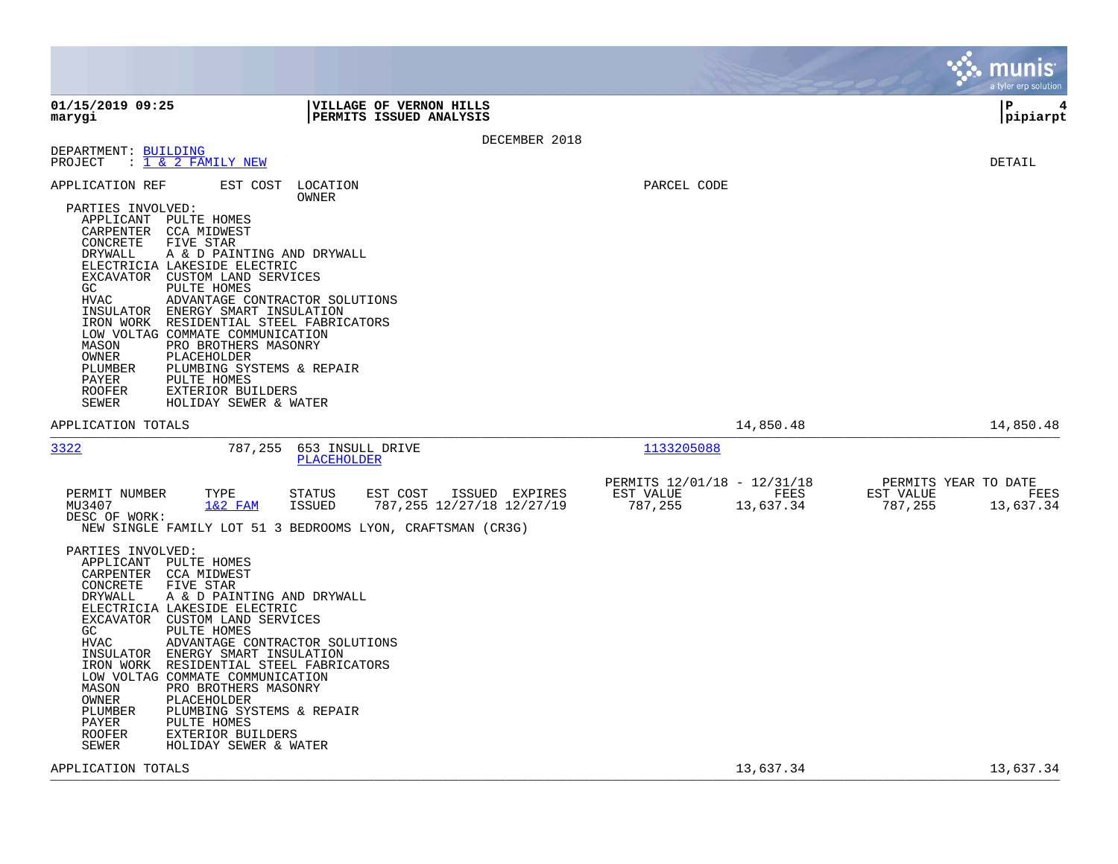|                                                                                                                                                                      |                                                                                                                                                                                                                                                                                                                                                                                                                                                                                                    |                                                                          | munis<br>a tyler erp solution                                     |
|----------------------------------------------------------------------------------------------------------------------------------------------------------------------|----------------------------------------------------------------------------------------------------------------------------------------------------------------------------------------------------------------------------------------------------------------------------------------------------------------------------------------------------------------------------------------------------------------------------------------------------------------------------------------------------|--------------------------------------------------------------------------|-------------------------------------------------------------------|
| 01/15/2019 09:25<br>marygi                                                                                                                                           | VILLAGE OF VERNON HILLS<br>PERMITS ISSUED ANALYSIS                                                                                                                                                                                                                                                                                                                                                                                                                                                 |                                                                          | lР<br> pipiarpt                                                   |
|                                                                                                                                                                      | DECEMBER 2018                                                                                                                                                                                                                                                                                                                                                                                                                                                                                      |                                                                          |                                                                   |
| DEPARTMENT: BUILDING<br>PROJECT                                                                                                                                      | $: 1 \& 2$ FAMILY NEW                                                                                                                                                                                                                                                                                                                                                                                                                                                                              |                                                                          | DETAIL                                                            |
| APPLICATION REF<br>PARTIES INVOLVED:<br>CONCRETE<br>DRYWALL<br>GC.<br><b>HVAC</b><br>MASON<br>OWNER<br>PLUMBER<br>PAYER<br>ROOFER<br>SEWER<br>APPLICATION TOTALS     | EST COST<br>LOCATION<br>OWNER<br>APPLICANT PULTE HOMES<br>CARPENTER CCA MIDWEST<br>FIVE STAR<br>A & D PAINTING AND DRYWALL<br>ELECTRICIA LAKESIDE ELECTRIC<br>EXCAVATOR CUSTOM LAND SERVICES<br>PULTE HOMES<br>ADVANTAGE CONTRACTOR SOLUTIONS<br>INSULATOR ENERGY SMART INSULATION<br>IRON WORK RESIDENTIAL STEEL FABRICATORS<br>LOW VOLTAG COMMATE COMMUNICATION<br>PRO BROTHERS MASONRY<br>PLACEHOLDER<br>PLUMBING SYSTEMS & REPAIR<br>PULTE HOMES<br>EXTERIOR BUILDERS<br>HOLIDAY SEWER & WATER | PARCEL CODE<br>14,850.48                                                 | 14,850.48                                                         |
|                                                                                                                                                                      |                                                                                                                                                                                                                                                                                                                                                                                                                                                                                                    |                                                                          |                                                                   |
| 3322                                                                                                                                                                 | 787,255<br>653 INSULL DRIVE<br><b>PLACEHOLDER</b>                                                                                                                                                                                                                                                                                                                                                                                                                                                  | 1133205088                                                               |                                                                   |
| PERMIT NUMBER<br>MU3407<br>DESC OF WORK:                                                                                                                             | TYPE<br><b>STATUS</b><br>EST COST<br>ISSUED EXPIRES<br>$1&2$ FAM<br><b>ISSUED</b><br>787, 255 12/27/18 12/27/19<br>NEW SINGLE FAMILY LOT 51 3 BEDROOMS LYON, CRAFTSMAN (CR3G)                                                                                                                                                                                                                                                                                                                      | PERMITS 12/01/18 - 12/31/18<br>EST VALUE<br>FEES<br>787,255<br>13,637.34 | PERMITS YEAR TO DATE<br>EST VALUE<br>FEES<br>787,255<br>13,637.34 |
| PARTIES INVOLVED:<br>CARPENTER<br>CONCRETE<br>DRYWALL<br>GC<br><b>HVAC</b><br>INSULATOR<br>IRON WORK<br>MASON<br>OWNER<br>PLUMBER<br>PAYER<br><b>ROOFER</b><br>SEWER | APPLICANT PULTE HOMES<br><b>CCA MIDWEST</b><br>FIVE STAR<br>A & D PAINTING AND DRYWALL<br>ELECTRICIA LAKESIDE ELECTRIC<br>EXCAVATOR CUSTOM LAND SERVICES<br><b>PULTE HOMES</b><br>ADVANTAGE CONTRACTOR SOLUTIONS<br>ENERGY SMART INSULATION<br>RESIDENTIAL STEEL FABRICATORS<br>LOW VOLTAG COMMATE COMMUNICATION<br>PRO BROTHERS MASONRY<br>PLACEHOLDER<br>PLUMBING SYSTEMS & REPAIR<br>PULTE HOMES<br>EXTERIOR BUILDERS<br>HOLIDAY SEWER & WATER                                                  |                                                                          |                                                                   |
| APPLICATION TOTALS                                                                                                                                                   |                                                                                                                                                                                                                                                                                                                                                                                                                                                                                                    | 13,637.34                                                                | 13,637.34                                                         |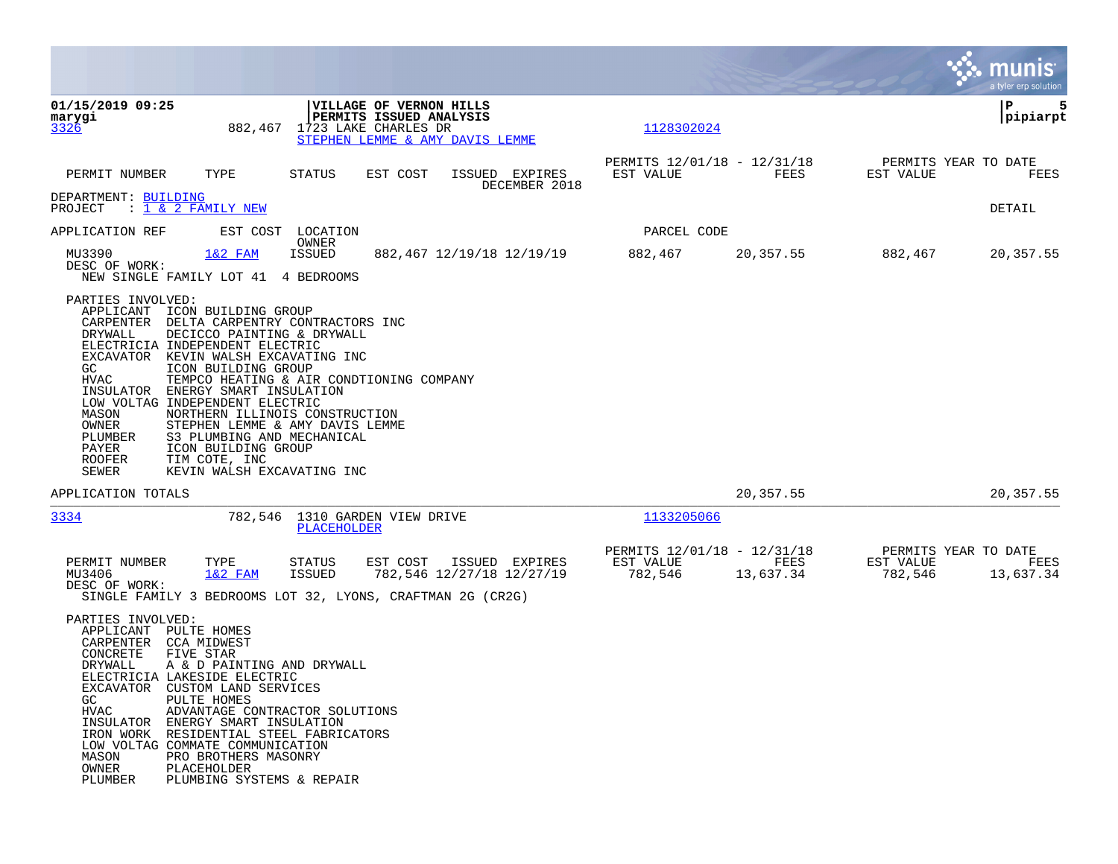|                                                                                                                                                                                                                                                                                                                                                                                                                                                                                                             |                                                                                                                                           |                                                     |                   |                      | munis<br>a tyler erp solution             |
|-------------------------------------------------------------------------------------------------------------------------------------------------------------------------------------------------------------------------------------------------------------------------------------------------------------------------------------------------------------------------------------------------------------------------------------------------------------------------------------------------------------|-------------------------------------------------------------------------------------------------------------------------------------------|-----------------------------------------------------|-------------------|----------------------|-------------------------------------------|
| 01/15/2019 09:25<br>marygi<br>3326                                                                                                                                                                                                                                                                                                                                                                                                                                                                          | VILLAGE OF VERNON HILLS<br>PERMITS ISSUED ANALYSIS<br>882,467 1723 LAKE CHARLES DR<br>STEPHEN LEMME & AMY DAVIS LEMME                     | 1128302024                                          |                   |                      | P<br>5<br> pipiarpt                       |
| PERMIT NUMBER<br>TYPE                                                                                                                                                                                                                                                                                                                                                                                                                                                                                       | <b>STATUS</b><br>EST COST<br>ISSUED EXPIRES<br>DECEMBER 2018                                                                              | PERMITS 12/01/18 - 12/31/18<br>EST VALUE            | FEES              | EST VALUE            | PERMITS YEAR TO DATE<br>FEES              |
| DEPARTMENT: BUILDING<br>$\frac{1}{1}$ & 2 FAMILY NEW<br>PROJECT                                                                                                                                                                                                                                                                                                                                                                                                                                             |                                                                                                                                           |                                                     |                   |                      | DETAIL                                    |
| APPLICATION REF                                                                                                                                                                                                                                                                                                                                                                                                                                                                                             | EST COST LOCATION<br>OWNER                                                                                                                | PARCEL CODE                                         |                   |                      |                                           |
| $1&2$ FAM<br>MU3390<br>DESC OF WORK:<br>NEW SINGLE FAMILY LOT 41 4 BEDROOMS                                                                                                                                                                                                                                                                                                                                                                                                                                 | 882,467 12/19/18 12/19/19<br>ISSUED                                                                                                       | 882,467                                             | 20,357.55         | 882,467              | 20,357.55                                 |
| PARTIES INVOLVED:<br>APPLICANT<br>ICON BUILDING GROUP<br>CARPENTER DELTA CARPENTRY CONTRACTORS INC<br>DECICCO PAINTING & DRYWALL<br>DRYWALL<br>ELECTRICIA INDEPENDENT ELECTRIC<br>EXCAVATOR KEVIN WALSH EXCAVATING INC<br>ICON BUILDING GROUP<br>GC.<br>HVAC<br>INSULATOR<br>ENERGY SMART INSULATION<br>LOW VOLTAG INDEPENDENT ELECTRIC<br>MASON<br>OWNER<br>PLUMBER<br>S3 PLUMBING AND MECHANICAL<br>PAYER<br>ICON BUILDING GROUP<br><b>ROOFER</b><br>TIM COTE, INC<br>SEWER<br>KEVIN WALSH EXCAVATING INC | TEMPCO HEATING & AIR CONDTIONING COMPANY<br>NORTHERN ILLINOIS CONSTRUCTION<br>STEPHEN LEMME & AMY DAVIS LEMME                             |                                                     |                   |                      |                                           |
| APPLICATION TOTALS                                                                                                                                                                                                                                                                                                                                                                                                                                                                                          |                                                                                                                                           |                                                     | 20,357.55         |                      | 20,357.55                                 |
| 3334                                                                                                                                                                                                                                                                                                                                                                                                                                                                                                        | 782,546 1310 GARDEN VIEW DRIVE<br><b>PLACEHOLDER</b>                                                                                      | 1133205066                                          |                   |                      |                                           |
| PERMIT NUMBER<br>TYPE<br>MU3406<br>$1&2$ FAM<br>DESC OF WORK:                                                                                                                                                                                                                                                                                                                                                                                                                                               | EST COST<br>ISSUED EXPIRES<br>STATUS<br>782,546 12/27/18 12/27/19<br>ISSUED<br>SINGLE FAMILY 3 BEDROOMS LOT 32, LYONS, CRAFTMAN 2G (CR2G) | PERMITS 12/01/18 - 12/31/18<br>EST VALUE<br>782,546 | FEES<br>13,637.34 | EST VALUE<br>782,546 | PERMITS YEAR TO DATE<br>FEES<br>13,637.34 |
| PARTIES INVOLVED:<br>APPLICANT PULTE HOMES<br>CARPENTER<br>CCA MIDWEST<br>CONCRETE<br>FIVE STAR<br>DRYWALL<br>A & D PAINTING AND DRYWALL<br>ELECTRICIA LAKESIDE ELECTRIC<br>EXCAVATOR<br>CUSTOM LAND SERVICES<br>GC<br>PULTE HOMES<br><b>HVAC</b><br>ENERGY SMART INSULATION<br>INSULATOR<br>IRON WORK RESIDENTIAL STEEL FABRICATORS<br>LOW VOLTAG COMMATE COMMUNICATION<br>MASON<br>PRO BROTHERS MASONRY<br>OWNER<br>PLACEHOLDER<br>PLUMBING SYSTEMS & REPAIR<br>PLUMBER                                   | ADVANTAGE CONTRACTOR SOLUTIONS                                                                                                            |                                                     |                   |                      |                                           |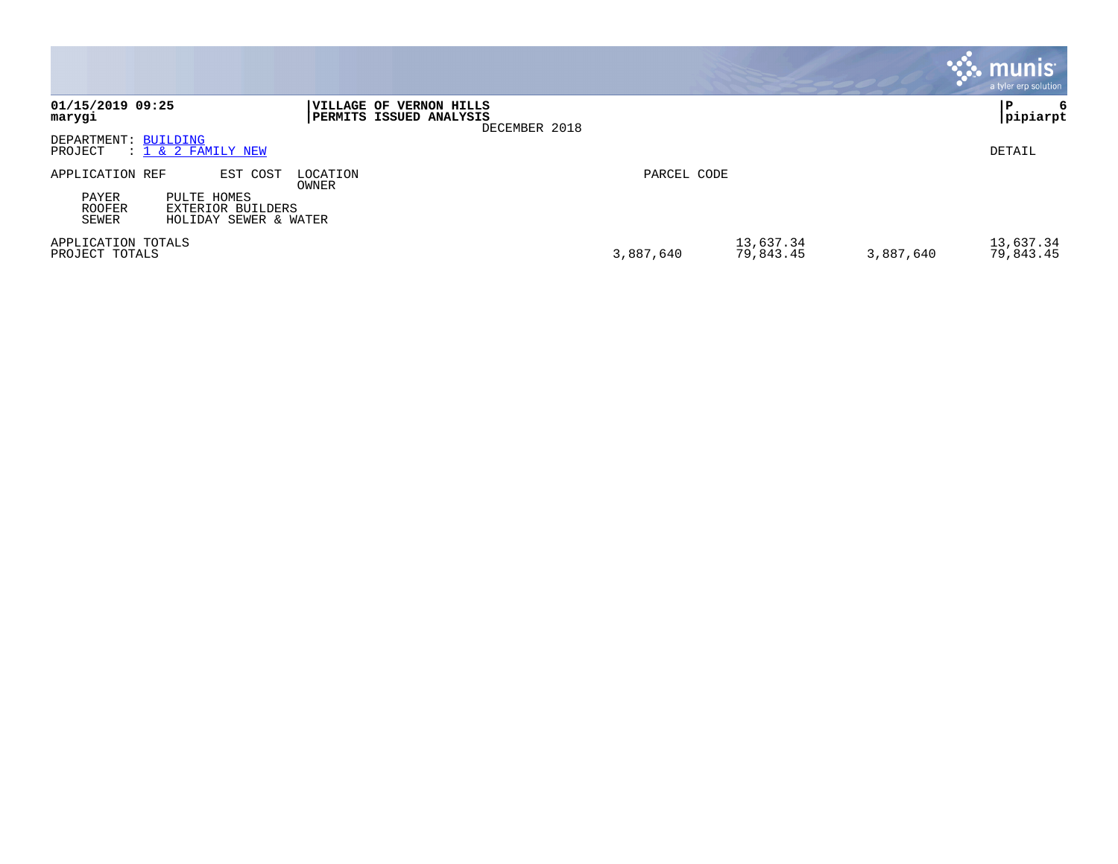|                                             |                                                                              |                   |                                                                            |             |                        |           | munis <sup>®</sup><br>a tyler erp solution |
|---------------------------------------------|------------------------------------------------------------------------------|-------------------|----------------------------------------------------------------------------|-------------|------------------------|-----------|--------------------------------------------|
| 01/15/2019 09:25<br>marygi                  |                                                                              |                   | VILLAGE OF VERNON HILLS<br><b>PERMITS ISSUED ANALYSIS</b><br>DECEMBER 2018 |             |                        |           | l P<br>6<br> pipiarpt                      |
| DEPARTMENT: BUILDING<br>PROJECT             | $: 1 \& 2$ FAMILY NEW                                                        |                   |                                                                            |             |                        |           | DETAIL                                     |
| APPLICATION REF<br>PAYER<br>ROOFER<br>SEWER | EST COST<br>PULTE HOMES<br><b>EXTERIOR BUILDERS</b><br>HOLIDAY SEWER & WATER | LOCATION<br>OWNER |                                                                            | PARCEL CODE |                        |           |                                            |
| APPLICATION TOTALS<br>PROJECT TOTALS        |                                                                              |                   |                                                                            | 3,887,640   | 13,637.34<br>79,843.45 | 3,887,640 | 13,637.34<br>79,843.45                     |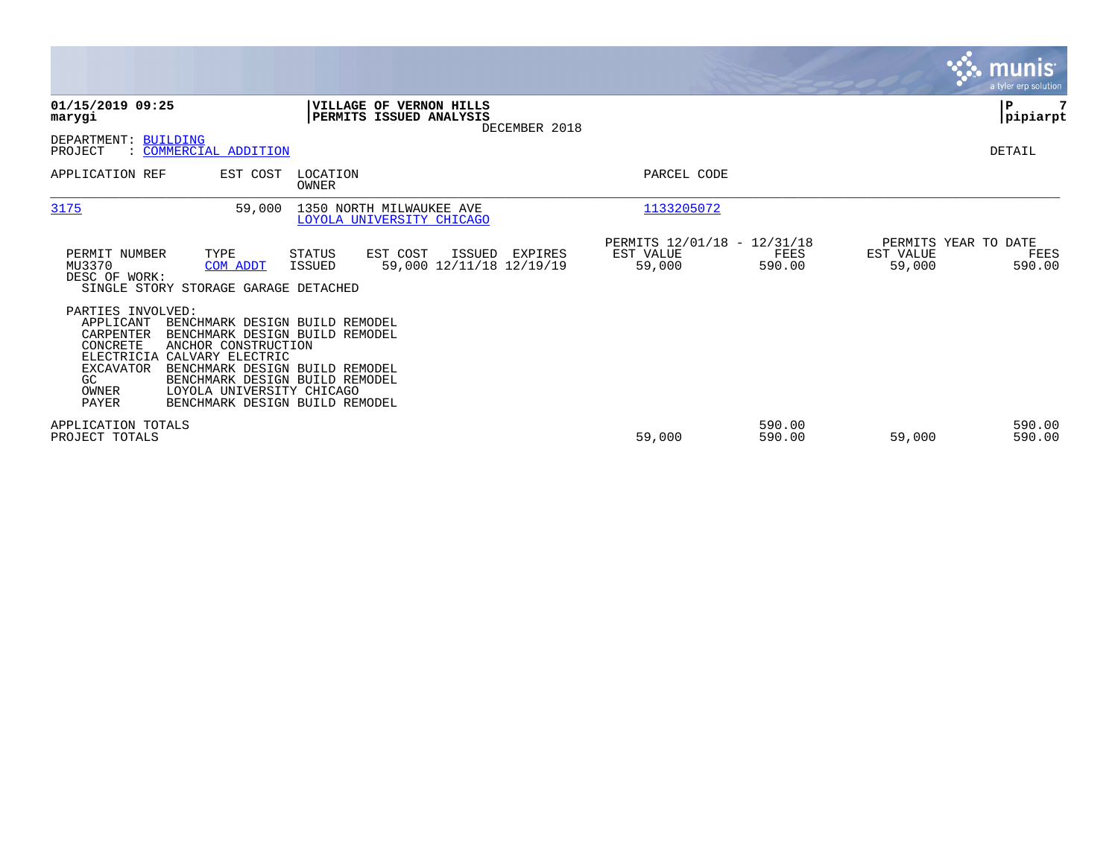|                                                                                                            |                                                                                                                                                                                                                                                |                   |                                                       |               |                                                    |                  |                     | <b>munis</b><br>a tyler erp solution   |
|------------------------------------------------------------------------------------------------------------|------------------------------------------------------------------------------------------------------------------------------------------------------------------------------------------------------------------------------------------------|-------------------|-------------------------------------------------------|---------------|----------------------------------------------------|------------------|---------------------|----------------------------------------|
| 01/15/2019 09:25<br>marygi                                                                                 |                                                                                                                                                                                                                                                |                   | VILLAGE OF VERNON HILLS<br>PERMITS ISSUED ANALYSIS    | DECEMBER 2018 |                                                    |                  |                     | P<br> pipiarpt                         |
| DEPARTMENT: BUILDING<br>PROJECT                                                                            | : COMMERCIAL ADDITION                                                                                                                                                                                                                          |                   |                                                       |               |                                                    |                  |                     | DETAIL                                 |
| APPLICATION REF                                                                                            | EST COST                                                                                                                                                                                                                                       | LOCATION<br>OWNER |                                                       |               | PARCEL CODE                                        |                  |                     |                                        |
| 3175                                                                                                       | 59,000                                                                                                                                                                                                                                         |                   | 1350 NORTH MILWAUKEE AVE<br>LOYOLA UNIVERSITY CHICAGO |               | 1133205072                                         |                  |                     |                                        |
| PERMIT NUMBER<br>MU3370<br>DESC OF WORK:                                                                   | TYPE<br>COM ADDT<br>SINGLE STORY STORAGE GARAGE DETACHED                                                                                                                                                                                       | STATUS<br>ISSUED  | EST COST<br>ISSUED<br>59,000 12/11/18 12/19/19        | EXPIRES       | PERMITS 12/01/18 - 12/31/18<br>EST VALUE<br>59,000 | FEES<br>590.00   | EST VALUE<br>59,000 | PERMITS YEAR TO DATE<br>FEES<br>590.00 |
| PARTIES INVOLVED:<br>APPLICANT<br>CARPENTER<br>CONCRETE<br>ELECTRICIA<br>EXCAVATOR<br>GC<br>OWNER<br>PAYER | BENCHMARK DESIGN BUILD REMODEL<br>BENCHMARK DESIGN BUILD REMODEL<br>ANCHOR CONSTRUCTION<br>CALVARY ELECTRIC<br>BENCHMARK DESIGN BUILD REMODEL<br>BENCHMARK DESIGN BUILD REMODEL<br>LOYOLA UNIVERSITY CHICAGO<br>BENCHMARK DESIGN BUILD REMODEL |                   |                                                       |               |                                                    |                  |                     |                                        |
| APPLICATION TOTALS<br>PROJECT TOTALS                                                                       |                                                                                                                                                                                                                                                |                   |                                                       |               | 59,000                                             | 590.00<br>590.00 | 59,000              | 590.00<br>590.00                       |

 $\mathcal{L}^{\text{max}}$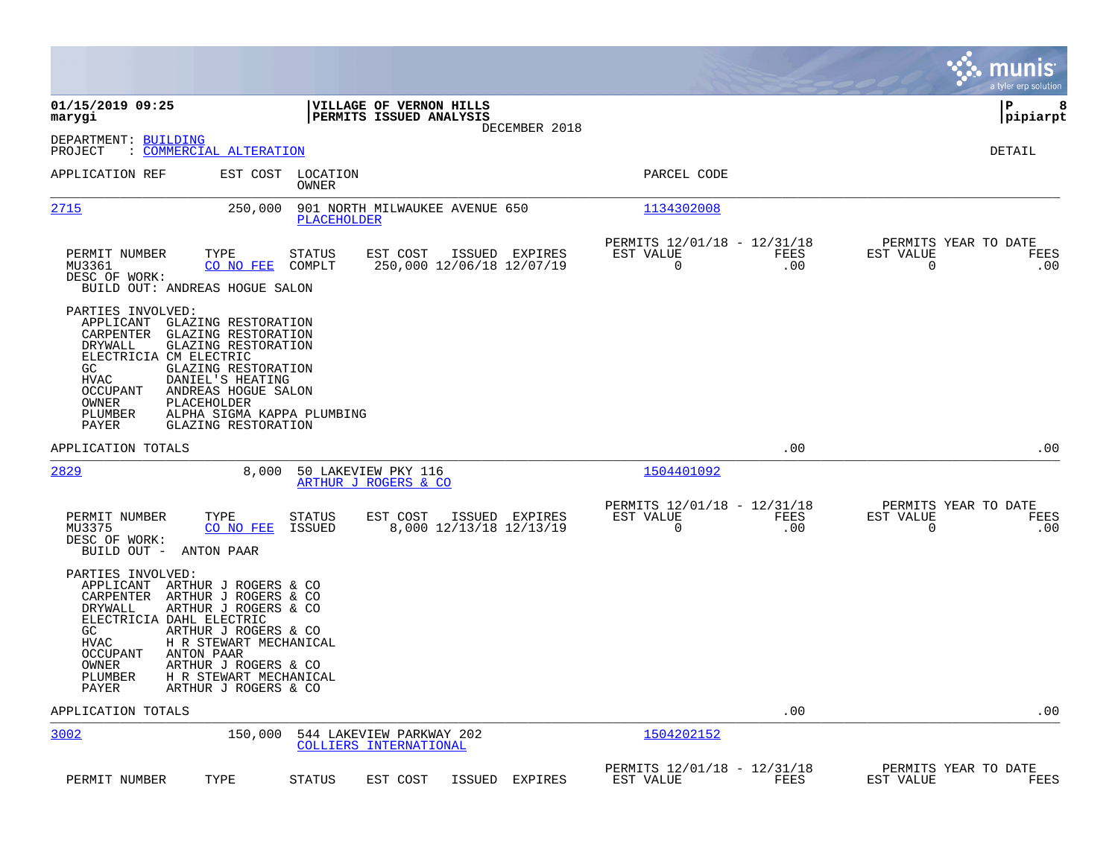|                                                                                                                                                                                                           |                                                                                                                                                                      |                                                    |                |                                                         |             |                                                  | munis<br>a tyler erp solution |
|-----------------------------------------------------------------------------------------------------------------------------------------------------------------------------------------------------------|----------------------------------------------------------------------------------------------------------------------------------------------------------------------|----------------------------------------------------|----------------|---------------------------------------------------------|-------------|--------------------------------------------------|-------------------------------|
| 01/15/2019 09:25<br>marygi                                                                                                                                                                                |                                                                                                                                                                      | VILLAGE OF VERNON HILLS<br>PERMITS ISSUED ANALYSIS | DECEMBER 2018  |                                                         |             |                                                  | P<br>8<br> pipiarpt           |
| DEPARTMENT: BUILDING<br>: COMMERCIAL ALTERATION<br>PROJECT                                                                                                                                                |                                                                                                                                                                      |                                                    |                |                                                         |             |                                                  | DETAIL                        |
| APPLICATION REF                                                                                                                                                                                           | EST COST LOCATION<br><b>OWNER</b>                                                                                                                                    |                                                    |                | PARCEL CODE                                             |             |                                                  |                               |
| <u> 2715</u>                                                                                                                                                                                              | 250,000<br>PLACEHOLDER                                                                                                                                               | 901 NORTH MILWAUKEE AVENUE 650                     |                | 1134302008                                              |             |                                                  |                               |
| PERMIT NUMBER<br>TYPE<br>MU3361<br>DESC OF WORK:<br>BUILD OUT: ANDREAS HOGUE SALON                                                                                                                        | STATUS<br>CO NO FEE<br>COMPLT                                                                                                                                        | EST COST<br>250,000 12/06/18 12/07/19              | ISSUED EXPIRES | PERMITS 12/01/18 - 12/31/18<br>EST VALUE<br>$\mathbf 0$ | FEES<br>.00 | PERMITS YEAR TO DATE<br>EST VALUE<br>$\mathbf 0$ | FEES<br>.00                   |
| PARTIES INVOLVED:<br>APPLICANT<br>CARPENTER<br><b>DRYWALL</b><br>ELECTRICIA CM ELECTRIC<br>GC.<br><b>HVAC</b><br>DANIEL'S HEATING<br><b>OCCUPANT</b><br>OWNER<br>PLACEHOLDER<br>PLUMBER<br>PAYER          | GLAZING RESTORATION<br>GLAZING RESTORATION<br>GLAZING RESTORATION<br>GLAZING RESTORATION<br>ANDREAS HOGUE SALON<br>ALPHA SIGMA KAPPA PLUMBING<br>GLAZING RESTORATION |                                                    |                |                                                         |             |                                                  |                               |
| APPLICATION TOTALS                                                                                                                                                                                        |                                                                                                                                                                      |                                                    |                |                                                         | .00         |                                                  | .00                           |
| 2829                                                                                                                                                                                                      | 8,000                                                                                                                                                                | 50 LAKEVIEW PKY 116<br>ARTHUR J ROGERS & CO        |                | 1504401092                                              |             |                                                  |                               |
| PERMIT NUMBER<br>TYPE<br>MU3375<br>DESC OF WORK:<br>BUILD OUT - ANTON PAAR                                                                                                                                | STATUS<br>CO NO FEE<br>ISSUED                                                                                                                                        | EST COST<br>8,000 12/13/18 12/13/19                | ISSUED EXPIRES | PERMITS 12/01/18 - 12/31/18<br>EST VALUE<br>$\mathbf 0$ | FEES<br>.00 | PERMITS YEAR TO DATE<br>EST VALUE<br>$\mathbf 0$ | FEES<br>.00                   |
| PARTIES INVOLVED:<br>APPLICANT ARTHUR J ROGERS & CO<br>CARPENTER ARTHUR J ROGERS & CO<br>DRYWALL<br>ELECTRICIA DAHL ELECTRIC<br>GC.<br>HVAC<br><b>OCCUPANT</b><br>ANTON PAAR<br>OWNER<br>PLUMBER<br>PAYER | ARTHUR J ROGERS & CO<br>ARTHUR J ROGERS & CO<br>H R STEWART MECHANICAL<br>ARTHUR J ROGERS & CO<br>H R STEWART MECHANICAL<br>ARTHUR J ROGERS & CO                     |                                                    |                |                                                         |             |                                                  |                               |
| APPLICATION TOTALS                                                                                                                                                                                        |                                                                                                                                                                      |                                                    |                |                                                         | .00         |                                                  | .00                           |
| 3002                                                                                                                                                                                                      | 150,000                                                                                                                                                              | 544 LAKEVIEW PARKWAY 202<br>COLLIERS INTERNATIONAL |                | 1504202152                                              |             |                                                  |                               |
| PERMIT NUMBER<br>TYPE                                                                                                                                                                                     | <b>STATUS</b>                                                                                                                                                        | EST COST<br>ISSUED                                 | EXPIRES        | PERMITS 12/01/18 - 12/31/18<br>EST VALUE                | FEES        | PERMITS YEAR TO DATE<br>EST VALUE                | FEES                          |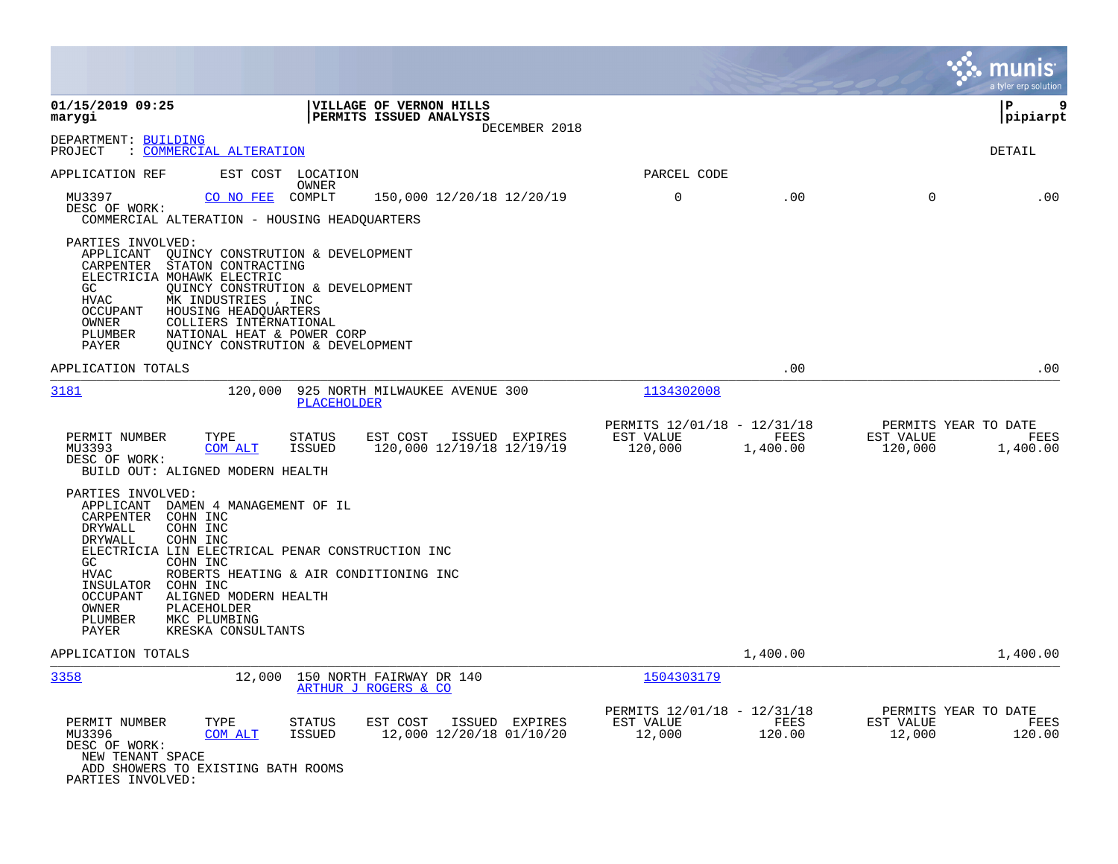|                                                                                                                                                                                                                                                                                                                                                                                                                         |                                                     |                  |                                              | a tyler erp solution    |
|-------------------------------------------------------------------------------------------------------------------------------------------------------------------------------------------------------------------------------------------------------------------------------------------------------------------------------------------------------------------------------------------------------------------------|-----------------------------------------------------|------------------|----------------------------------------------|-------------------------|
| 01/15/2019 09:25<br>VILLAGE OF VERNON HILLS<br>PERMITS ISSUED ANALYSIS<br>marygi<br>DECEMBER 2018                                                                                                                                                                                                                                                                                                                       |                                                     |                  |                                              | l P<br>9<br> pipiarpt   |
| DEPARTMENT: BUILDING<br>: COMMERCIAL ALTERATION<br>PROJECT                                                                                                                                                                                                                                                                                                                                                              |                                                     |                  |                                              | DETAIL                  |
| APPLICATION REF<br>EST COST<br>LOCATION                                                                                                                                                                                                                                                                                                                                                                                 | PARCEL CODE                                         |                  |                                              |                         |
| OWNER<br>MU3397<br>COMPLT<br>150,000 12/20/18 12/20/19<br>CO NO FEE<br>DESC OF WORK:<br>COMMERCIAL ALTERATION - HOUSING HEADQUARTERS                                                                                                                                                                                                                                                                                    | $\mathbf 0$                                         | .00              | $\mathbf 0$                                  | .00                     |
| PARTIES INVOLVED:<br>APPLICANT<br>QUINCY CONSTRUTION & DEVELOPMENT<br>STATON CONTRACTING<br>CARPENTER<br>ELECTRICIA MOHAWK ELECTRIC<br>QUINCY CONSTRUTION & DEVELOPMENT<br>GC.<br>MK INDUSTRIES , INC<br><b>HVAC</b><br>HOUSING HEADQUARTERS<br>OCCUPANT<br>COLLIERS INTERNATIONAL<br>OWNER<br>NATIONAL HEAT & POWER CORP<br>PLUMBER<br>OUINCY CONSTRUTION & DEVELOPMENT<br>PAYER                                       |                                                     |                  |                                              |                         |
| APPLICATION TOTALS                                                                                                                                                                                                                                                                                                                                                                                                      |                                                     | .00              |                                              | .00                     |
| 3181<br>120,000<br>925 NORTH MILWAUKEE AVENUE 300<br><b>PLACEHOLDER</b>                                                                                                                                                                                                                                                                                                                                                 | 1134302008                                          |                  |                                              |                         |
| <b>STATUS</b><br>EST COST<br>PERMIT NUMBER<br>TYPE<br>ISSUED EXPIRES<br><b>ISSUED</b><br>120,000 12/19/18 12/19/19<br>MU3393<br>COM ALT<br>DESC OF WORK:<br>BUILD OUT: ALIGNED MODERN HEALTH                                                                                                                                                                                                                            | PERMITS 12/01/18 - 12/31/18<br>EST VALUE<br>120,000 | FEES<br>1,400.00 | PERMITS YEAR TO DATE<br>EST VALUE<br>120,000 | <b>FEES</b><br>1,400.00 |
| PARTIES INVOLVED:<br>APPLICANT<br>DAMEN 4 MANAGEMENT OF IL<br>COHN INC<br>CARPENTER<br>COHN INC<br>DRYWALL<br><b>DRYWALL</b><br>COHN INC<br>ELECTRICIA LIN ELECTRICAL PENAR CONSTRUCTION INC<br>GC<br>COHN INC<br><b>HVAC</b><br>ROBERTS HEATING & AIR CONDITIONING INC<br>INSULATOR<br>COHN INC<br>OCCUPANT<br>ALIGNED MODERN HEALTH<br>OWNER<br>PLACEHOLDER<br>MKC PLUMBING<br>PLUMBER<br>PAYER<br>KRESKA CONSULTANTS |                                                     |                  |                                              |                         |
| APPLICATION TOTALS                                                                                                                                                                                                                                                                                                                                                                                                      |                                                     | 1,400.00         |                                              | 1,400.00                |
| 3358<br>12,000<br>150 NORTH FAIRWAY DR 140<br>ARTHUR J ROGERS & CO                                                                                                                                                                                                                                                                                                                                                      | 1504303179                                          |                  |                                              |                         |
| PERMIT NUMBER<br>TYPE<br><b>STATUS</b><br>EST COST<br>ISSUED EXPIRES<br>MU3396<br><b>ISSUED</b><br>12,000 12/20/18 01/10/20<br>COM ALT<br>DESC OF WORK:<br>NEW TENANT SPACE<br>ADD SHOWERS TO EXISTING BATH ROOMS<br>PARTIES INVOLVED:                                                                                                                                                                                  | PERMITS 12/01/18 - 12/31/18<br>EST VALUE<br>12,000  | FEES<br>120.00   | PERMITS YEAR TO DATE<br>EST VALUE<br>12,000  | FEES<br>120.00          |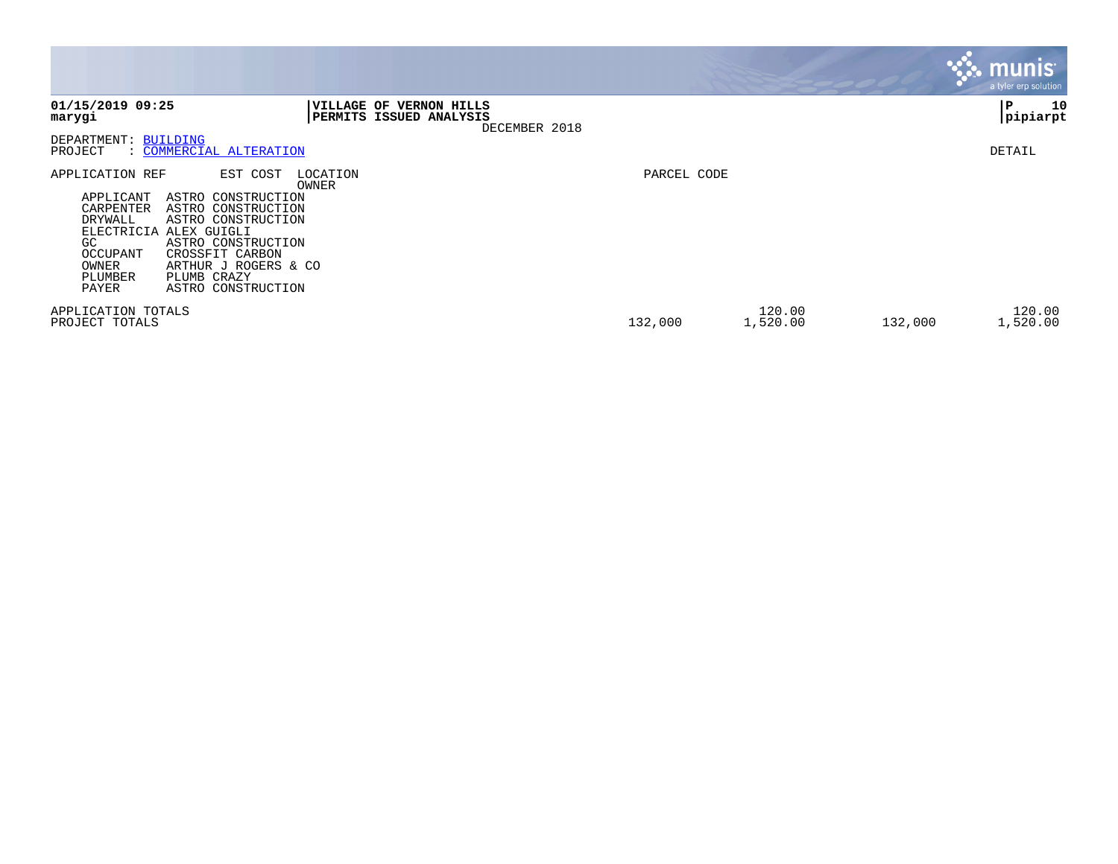|                                                                                                                                                                                                                                                                                                                       |                                                                                      |             |                    |         | <b>munis</b><br>a tyler erp solution |
|-----------------------------------------------------------------------------------------------------------------------------------------------------------------------------------------------------------------------------------------------------------------------------------------------------------------------|--------------------------------------------------------------------------------------|-------------|--------------------|---------|--------------------------------------|
| 01/15/2019 09:25<br>marygi                                                                                                                                                                                                                                                                                            | <b>VILLAGE OF</b><br><b>VERNON HILLS</b><br>PERMITS ISSUED ANALYSIS<br>DECEMBER 2018 |             |                    |         | 10<br>IΡ<br> pipiarpt                |
| DEPARTMENT: BUILDING<br>: COMMERCIAL ALTERATION<br>PROJECT                                                                                                                                                                                                                                                            |                                                                                      |             |                    |         | DETAIL                               |
| APPLICATION REF<br>EST COST<br>APPLICANT<br>ASTRO CONSTRUCTION<br>CARPENTER<br>ASTRO CONSTRUCTION<br>DRYWALL<br>ASTRO CONSTRUCTION<br>ELECTRICIA<br>ALEX GUIGLI<br>GC.<br>ASTRO CONSTRUCTION<br>CROSSFIT CARBON<br>OCCUPANT<br>OWNER<br>ARTHUR J ROGERS & CO<br>PLUMB CRAZY<br>PLUMBER<br>ASTRO CONSTRUCTION<br>PAYER | LOCATION<br>OWNER                                                                    | PARCEL CODE |                    |         |                                      |
| APPLICATION TOTALS<br>PROJECT TOTALS                                                                                                                                                                                                                                                                                  |                                                                                      | 132,000     | 120.00<br>1,520.00 | 132,000 | 120.00<br>1,520.00                   |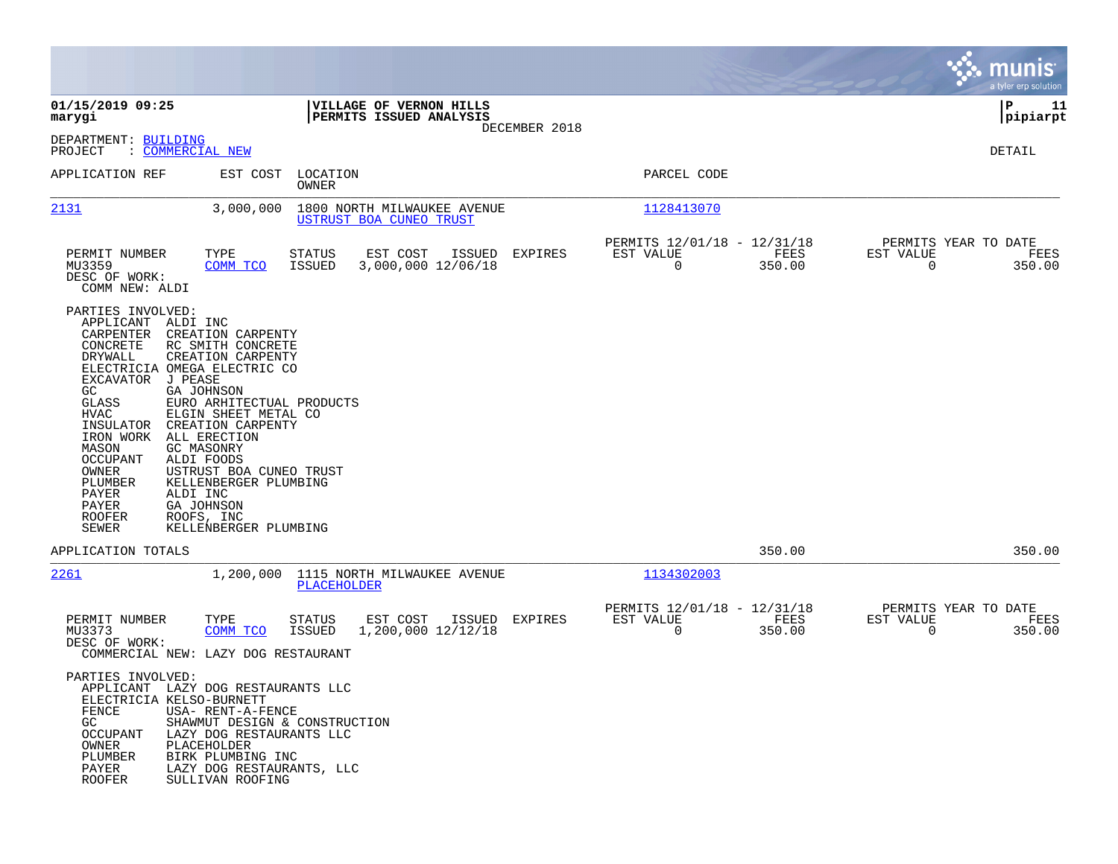|                                                                                                                                                                                                                                               |                                                                                                                                                                                                                                                                                                                                                                 |                         |                                                        |        |               |                                                         |                |                                                  | munis<br>a tyler erp solution |
|-----------------------------------------------------------------------------------------------------------------------------------------------------------------------------------------------------------------------------------------------|-----------------------------------------------------------------------------------------------------------------------------------------------------------------------------------------------------------------------------------------------------------------------------------------------------------------------------------------------------------------|-------------------------|--------------------------------------------------------|--------|---------------|---------------------------------------------------------|----------------|--------------------------------------------------|-------------------------------|
| 01/15/2019 09:25<br>marygi                                                                                                                                                                                                                    |                                                                                                                                                                                                                                                                                                                                                                 |                         | VILLAGE OF VERNON HILLS<br>PERMITS ISSUED ANALYSIS     |        |               |                                                         |                |                                                  | 11<br>IΡ<br> pipiarpt         |
| DEPARTMENT: BUILDING<br>PROJECT                                                                                                                                                                                                               | : COMMERCIAL NEW                                                                                                                                                                                                                                                                                                                                                |                         |                                                        |        | DECEMBER 2018 |                                                         |                |                                                  | DETAIL                        |
| APPLICATION REF                                                                                                                                                                                                                               | EST COST                                                                                                                                                                                                                                                                                                                                                        | LOCATION<br>OWNER       |                                                        |        |               | PARCEL CODE                                             |                |                                                  |                               |
| 2131                                                                                                                                                                                                                                          | 3,000,000                                                                                                                                                                                                                                                                                                                                                       |                         | 1800 NORTH MILWAUKEE AVENUE<br>USTRUST BOA CUNEO TRUST |        |               | 1128413070                                              |                |                                                  |                               |
| PERMIT NUMBER<br>MU3359<br>DESC OF WORK:<br>COMM NEW: ALDI                                                                                                                                                                                    | TYPE<br>COMM TCO                                                                                                                                                                                                                                                                                                                                                | <b>STATUS</b><br>ISSUED | EST COST<br>3,000,000 12/06/18                         | ISSUED | EXPIRES       | PERMITS 12/01/18 - 12/31/18<br>EST VALUE<br>$\mathbf 0$ | FEES<br>350.00 | PERMITS YEAR TO DATE<br>EST VALUE<br>$\mathbf 0$ | FEES<br>350.00                |
| PARTIES INVOLVED:<br>APPLICANT ALDI INC<br>CARPENTER<br>CONCRETE<br><b>DRYWALL</b><br>EXCAVATOR<br>GC.<br>GLASS<br>HVAC<br>INSULATOR<br>IRON WORK<br>MASON<br><b>OCCUPANT</b><br>OWNER<br>PLUMBER<br>PAYER<br>PAYER<br><b>ROOFER</b><br>SEWER | CREATION CARPENTY<br>RC SMITH CONCRETE<br>CREATION CARPENTY<br>ELECTRICIA OMEGA ELECTRIC CO<br>J PEASE<br>GA JOHNSON<br>EURO ARHITECTUAL PRODUCTS<br>ELGIN SHEET METAL CO<br>CREATION CARPENTY<br>ALL ERECTION<br>GC MASONRY<br>ALDI FOODS<br>USTRUST BOA CUNEO TRUST<br>KELLENBERGER PLUMBING<br>ALDI INC<br>GA JOHNSON<br>ROOFS, INC<br>KELLENBERGER PLUMBING |                         |                                                        |        |               |                                                         |                |                                                  |                               |
| APPLICATION TOTALS                                                                                                                                                                                                                            |                                                                                                                                                                                                                                                                                                                                                                 |                         |                                                        |        |               |                                                         | 350.00         |                                                  | 350.00                        |
| 2261                                                                                                                                                                                                                                          |                                                                                                                                                                                                                                                                                                                                                                 | PLACEHOLDER             | 1,200,000 1115 NORTH MILWAUKEE AVENUE                  |        |               | 1134302003                                              |                |                                                  |                               |
| PERMIT NUMBER<br>MU3373<br>DESC OF WORK:                                                                                                                                                                                                      | TYPE<br>COMM TCO<br>COMMERCIAL NEW: LAZY DOG RESTAURANT                                                                                                                                                                                                                                                                                                         | STATUS<br>ISSUED        | EST COST<br>1,200,000 12/12/18                         | ISSUED | EXPIRES       | PERMITS 12/01/18 - 12/31/18<br>EST VALUE<br>$\mathbf 0$ | FEES<br>350.00 | PERMITS YEAR TO DATE<br>EST VALUE<br>$\Omega$    | FEES<br>350.00                |
| PARTIES INVOLVED:<br>ELECTRICIA KELSO-BURNETT<br>FENCE<br>GC<br>OCCUPANT<br>OWNER<br>PLUMBER<br>PAYER<br>ROOFER                                                                                                                               | APPLICANT LAZY DOG RESTAURANTS LLC<br>USA- RENT-A-FENCE<br>SHAWMUT DESIGN & CONSTRUCTION<br>LAZY DOG RESTAURANTS LLC<br>PLACEHOLDER<br>BIRK PLUMBING INC<br>LAZY DOG RESTAURANTS, LLC<br>SULLIVAN ROOFING                                                                                                                                                       |                         |                                                        |        |               |                                                         |                |                                                  |                               |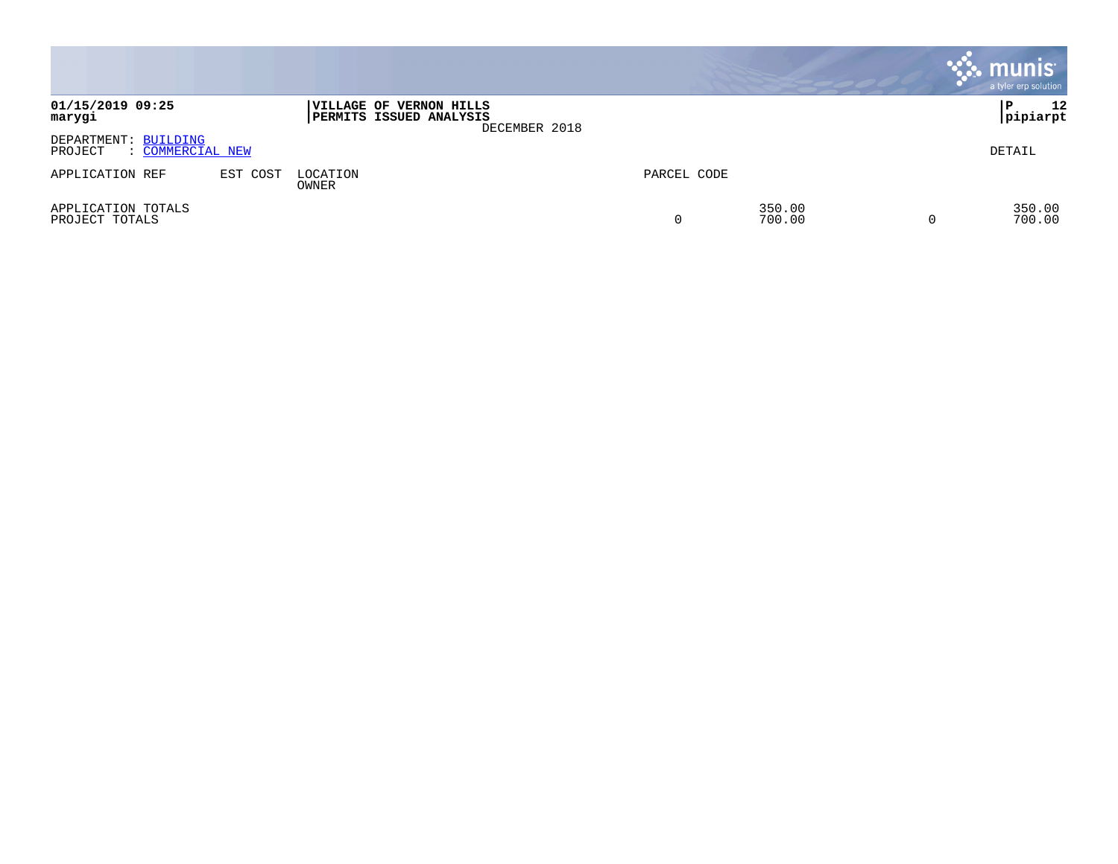|                                                     |          |                                                    |               |             |                  | $\cdot$ munis $\cdot$<br>a tyler erp solution |
|-----------------------------------------------------|----------|----------------------------------------------------|---------------|-------------|------------------|-----------------------------------------------|
| 01/15/2019 09:25<br>marygi                          |          | VILLAGE OF VERNON HILLS<br>PERMITS ISSUED ANALYSIS | DECEMBER 2018 |             |                  | 12<br>P<br> pipiarpt                          |
| DEPARTMENT: BUILDING<br>: COMMERCIAL NEW<br>PROJECT |          |                                                    |               |             |                  | DETAIL                                        |
| APPLICATION REF                                     | EST COST | LOCATION<br>OWNER                                  |               | PARCEL CODE |                  |                                               |
| APPLICATION TOTALS<br>PROJECT TOTALS                |          |                                                    |               |             | 350.00<br>700.00 | 350.00<br>700.00                              |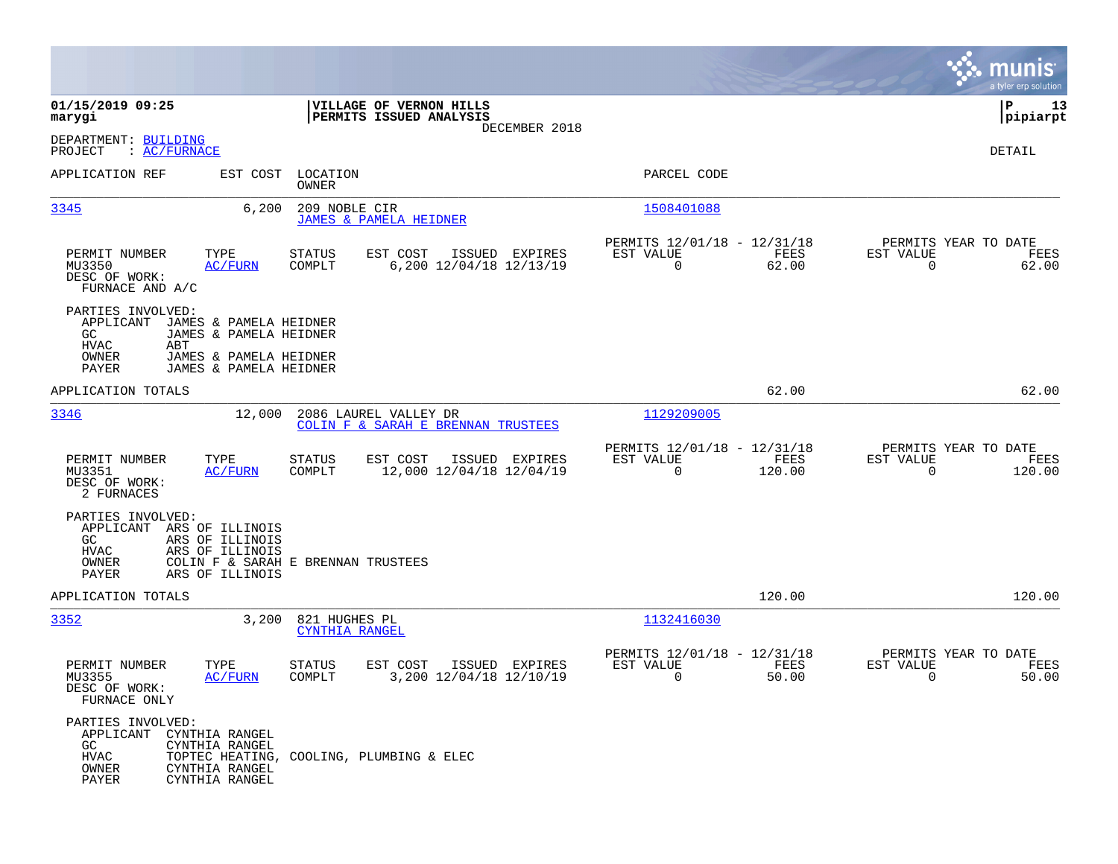|                                                                                                                                                                                              |                                                                                   |                                                                           | munis<br>a tyler erp solution                                   |
|----------------------------------------------------------------------------------------------------------------------------------------------------------------------------------------------|-----------------------------------------------------------------------------------|---------------------------------------------------------------------------|-----------------------------------------------------------------|
| 01/15/2019 09:25<br>marygi                                                                                                                                                                   | VILLAGE OF VERNON HILLS<br>PERMITS ISSUED ANALYSIS<br>DECEMBER 2018               |                                                                           | ΙP<br>13<br> pipiarpt                                           |
| DEPARTMENT: BUILDING<br>: AC/FURNACE<br>PROJECT                                                                                                                                              |                                                                                   |                                                                           | DETAIL                                                          |
| APPLICATION REF                                                                                                                                                                              | EST COST LOCATION<br>OWNER                                                        | PARCEL CODE                                                               |                                                                 |
| 6,200<br>3345                                                                                                                                                                                | 209 NOBLE CIR<br><b>JAMES &amp; PAMELA HEIDNER</b>                                | 1508401088                                                                |                                                                 |
| PERMIT NUMBER<br>TYPE<br>MU3350<br><b>AC/FURN</b><br>DESC OF WORK:<br>FURNACE AND A/C                                                                                                        | EST COST<br>ISSUED EXPIRES<br><b>STATUS</b><br>6,200 12/04/18 12/13/19<br>COMPLT  | PERMITS 12/01/18 - 12/31/18<br>EST VALUE<br>FEES<br>62.00<br>$\mathbf 0$  | PERMITS YEAR TO DATE<br>EST VALUE<br>FEES<br>$\Omega$<br>62.00  |
| PARTIES INVOLVED:<br>APPLICANT<br>JAMES & PAMELA HEIDNER<br>GC.<br>JAMES & PAMELA HEIDNER<br><b>HVAC</b><br>ABT<br>OWNER<br>JAMES & PAMELA HEIDNER<br><b>PAYER</b><br>JAMES & PAMELA HEIDNER |                                                                                   |                                                                           |                                                                 |
| APPLICATION TOTALS                                                                                                                                                                           |                                                                                   | 62.00                                                                     | 62.00                                                           |
| 3346<br>12,000                                                                                                                                                                               | 2086 LAUREL VALLEY DR<br>COLIN F & SARAH E BRENNAN TRUSTEES                       | 1129209005                                                                |                                                                 |
| PERMIT NUMBER<br>TYPE<br>MU3351<br><b>AC/FURN</b><br>DESC OF WORK:<br>2 FURNACES                                                                                                             | <b>STATUS</b><br>EST COST<br>ISSUED EXPIRES<br>12,000 12/04/18 12/04/19<br>COMPLT | PERMITS 12/01/18 - 12/31/18<br>EST VALUE<br>FEES<br>$\mathbf 0$<br>120.00 | PERMITS YEAR TO DATE<br>EST VALUE<br>FEES<br>$\Omega$<br>120.00 |
| PARTIES INVOLVED:<br>APPLICANT ARS OF ILLINOIS<br>GC<br>ARS OF ILLINOIS<br>HVAC<br>ARS OF ILLINOIS<br>OWNER<br>PAYER<br>ARS OF ILLINOIS                                                      | COLIN F & SARAH E BRENNAN TRUSTEES                                                |                                                                           |                                                                 |
| APPLICATION TOTALS                                                                                                                                                                           |                                                                                   | 120.00                                                                    | 120.00                                                          |
| 3352<br>3,200                                                                                                                                                                                | 821 HUGHES PL<br>CYNTHIA RANGEL                                                   | 1132416030                                                                |                                                                 |
| PERMIT NUMBER<br>TYPE<br>MU3355<br><b>AC/FURN</b><br>DESC OF WORK:<br>FURNACE ONLY                                                                                                           | STATUS<br>EST COST<br>ISSUED EXPIRES<br>3,200 12/04/18 12/10/19<br>COMPLT         | PERMITS 12/01/18 - 12/31/18<br>EST VALUE<br>FEES<br>0<br>50.00            | PERMITS YEAR TO DATE<br>EST VALUE<br>FEES<br>0<br>50.00         |
| PARTIES INVOLVED:<br>APPLICANT CYNTHIA RANGEL<br>GC<br>CYNTHIA RANGEL<br>HVAC<br>OWNER<br>CYNTHIA RANGEL<br>PAYER<br>CYNTHIA RANGEL                                                          | TOPTEC HEATING, COOLING, PLUMBING & ELEC                                          |                                                                           |                                                                 |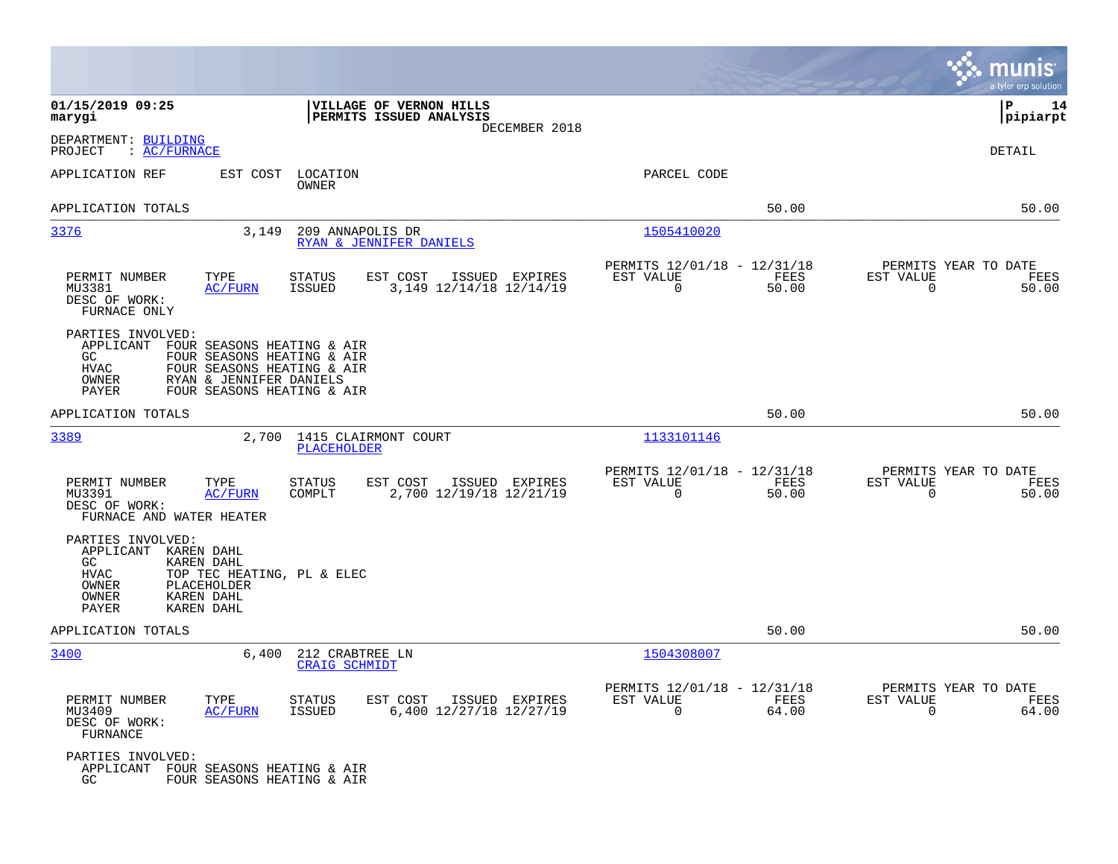|                                                                                           |                                                                                                                                                 |                                         |                                                    |                |                                                         |               |                                                     | munis<br>a tyler erp solution |
|-------------------------------------------------------------------------------------------|-------------------------------------------------------------------------------------------------------------------------------------------------|-----------------------------------------|----------------------------------------------------|----------------|---------------------------------------------------------|---------------|-----------------------------------------------------|-------------------------------|
| 01/15/2019 09:25<br>marygi                                                                |                                                                                                                                                 |                                         | VILLAGE OF VERNON HILLS<br>PERMITS ISSUED ANALYSIS | DECEMBER 2018  |                                                         |               |                                                     | P<br>14<br> pipiarpt          |
| DEPARTMENT: BUILDING<br>: AC/FURNACE<br>PROJECT                                           |                                                                                                                                                 |                                         |                                                    |                |                                                         |               |                                                     | DETAIL                        |
| APPLICATION REF                                                                           | EST COST                                                                                                                                        | LOCATION<br>OWNER                       |                                                    |                | PARCEL CODE                                             |               |                                                     |                               |
| APPLICATION TOTALS                                                                        |                                                                                                                                                 |                                         |                                                    |                |                                                         | 50.00         |                                                     | 50.00                         |
| 3376                                                                                      | 3,149                                                                                                                                           | 209 ANNAPOLIS DR                        | RYAN & JENNIFER DANIELS                            |                | 1505410020                                              |               |                                                     |                               |
| PERMIT NUMBER<br>MU3381<br>DESC OF WORK:<br>FURNACE ONLY                                  | TYPE<br><b>AC/FURN</b>                                                                                                                          | <b>STATUS</b><br><b>ISSUED</b>          | EST COST<br>3, 149 12/14/18 12/14/19               | ISSUED EXPIRES | PERMITS 12/01/18 - 12/31/18<br>EST VALUE<br>$\mathbf 0$ | FEES<br>50.00 | PERMITS YEAR TO DATE<br>EST VALUE<br>$\mathbf 0$    | FEES<br>50.00                 |
| PARTIES INVOLVED:<br>APPLICANT<br>GC<br><b>HVAC</b><br>OWNER<br>PAYER                     | FOUR SEASONS HEATING & AIR<br>FOUR SEASONS HEATING & AIR<br>FOUR SEASONS HEATING & AIR<br>RYAN & JENNIFER DANIELS<br>FOUR SEASONS HEATING & AIR |                                         |                                                    |                |                                                         |               |                                                     |                               |
| APPLICATION TOTALS                                                                        |                                                                                                                                                 |                                         |                                                    |                |                                                         | 50.00         |                                                     | 50.00                         |
| 3389                                                                                      | 2,700                                                                                                                                           | PLACEHOLDER                             | 1415 CLAIRMONT COURT                               |                | 1133101146                                              |               |                                                     |                               |
| PERMIT NUMBER<br>MU3391<br>DESC OF WORK:<br>FURNACE AND WATER HEATER                      | TYPE<br><b>AC/FURN</b>                                                                                                                          | <b>STATUS</b><br>COMPLT                 | EST COST<br>2,700 12/19/18 12/21/19                | ISSUED EXPIRES | PERMITS 12/01/18 - 12/31/18<br>EST VALUE<br>$\Omega$    | FEES<br>50.00 | PERMITS YEAR TO DATE<br>EST VALUE<br>$\Omega$       | FEES<br>50.00                 |
| PARTIES INVOLVED:<br>APPLICANT KAREN DAHL<br>GC<br><b>HVAC</b><br>OWNER<br>OWNER<br>PAYER | KAREN DAHL<br>TOP TEC HEATING, PL & ELEC<br>PLACEHOLDER<br><b>KAREN DAHL</b><br><b>KAREN DAHL</b>                                               |                                         |                                                    |                |                                                         |               |                                                     |                               |
| APPLICATION TOTALS                                                                        |                                                                                                                                                 |                                         |                                                    |                |                                                         | 50.00         |                                                     | 50.00                         |
| 3400                                                                                      | 6,400                                                                                                                                           | 212 CRABTREE LN<br><b>CRAIG SCHMIDT</b> |                                                    |                | 1504308007                                              |               |                                                     |                               |
| PERMIT NUMBER<br>MU3409<br>DESC OF WORK:<br>FURNANCE                                      | TYPE<br><b>AC/FURN</b>                                                                                                                          | <b>STATUS</b><br><b>ISSUED</b>          | EST COST<br>6,400 12/27/18 12/27/19                | ISSUED EXPIRES | PERMITS 12/01/18 - 12/31/18<br>EST VALUE<br>$\mathbf 0$ | FEES<br>64.00 | PERMITS YEAR TO DATE<br>EST VALUE<br>$\overline{0}$ | FEES<br>64.00                 |
| PARTIES INVOLVED:<br>APPLICANT FOUR SEASONS HEATING & AIR<br>GC                           | FOUR SEASONS HEATING & AIR                                                                                                                      |                                         |                                                    |                |                                                         |               |                                                     |                               |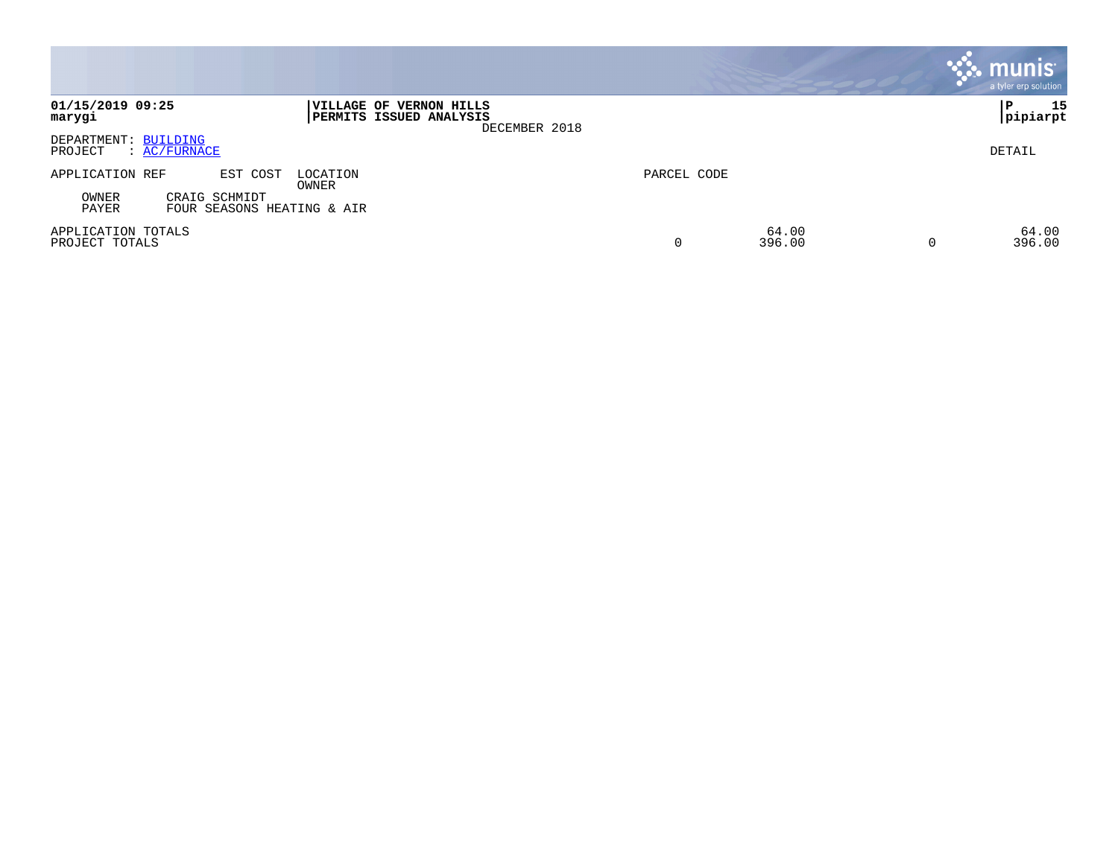|                                                               |                                                                     |             |                 | <b>munis</b><br>a tyler erp solution |
|---------------------------------------------------------------|---------------------------------------------------------------------|-------------|-----------------|--------------------------------------|
| 01/15/2019 09:25<br>marygi                                    | VILLAGE OF VERNON HILLS<br>PERMITS ISSUED ANALYSIS<br>DECEMBER 2018 |             |                 | 15<br>P<br> pipiarpt                 |
| DEPARTMENT: BUILDING<br>PROJECT<br>$\colon$ AC/FURNACE        |                                                                     |             |                 | DETAIL                               |
| APPLICATION REF<br>EST COST                                   | LOCATION<br>OWNER                                                   | PARCEL CODE |                 |                                      |
| OWNER<br>CRAIG SCHMIDT<br>PAYER<br>FOUR SEASONS HEATING & AIR |                                                                     |             |                 |                                      |
| APPLICATION TOTALS<br>PROJECT TOTALS                          |                                                                     | 0           | 64.00<br>396.00 | 64.00<br>396.00<br>$\overline{0}$    |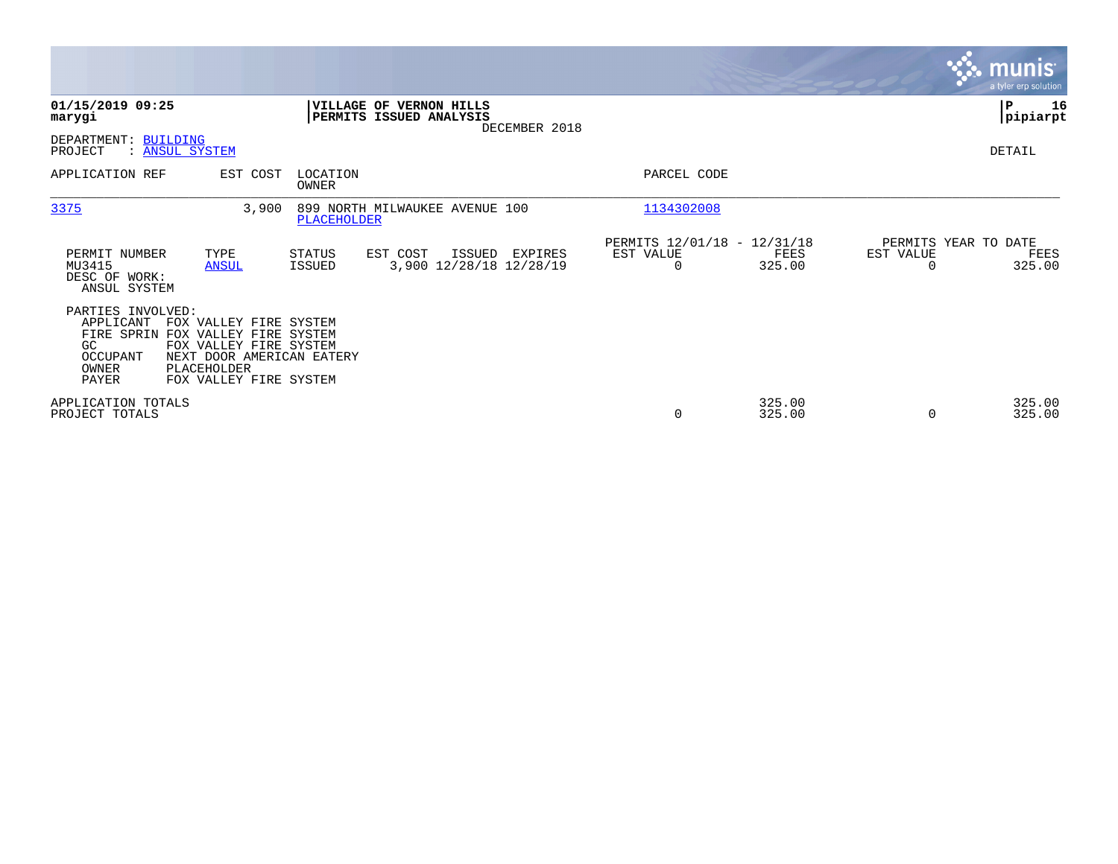|                                                                                  |                                                                                                                                                  |                                |                                                    |               |                                                      |                  |                                   | munis<br>a tyler erp solution |
|----------------------------------------------------------------------------------|--------------------------------------------------------------------------------------------------------------------------------------------------|--------------------------------|----------------------------------------------------|---------------|------------------------------------------------------|------------------|-----------------------------------|-------------------------------|
| 01/15/2019 09:25<br>marygi                                                       |                                                                                                                                                  |                                | VILLAGE OF VERNON HILLS<br>PERMITS ISSUED ANALYSIS | DECEMBER 2018 |                                                      |                  |                                   | P<br>16<br> pipiarpt          |
| DEPARTMENT: BUILDING<br>PROJECT                                                  | : ANSUL SYSTEM                                                                                                                                   |                                |                                                    |               |                                                      |                  |                                   | DETAIL                        |
| APPLICATION REF                                                                  | EST COST                                                                                                                                         | LOCATION<br>OWNER              |                                                    |               | PARCEL CODE                                          |                  |                                   |                               |
| 3375                                                                             | 3,900                                                                                                                                            | <b>PLACEHOLDER</b>             | 899 NORTH MILWAUKEE AVENUE 100                     |               | 1134302008                                           |                  |                                   |                               |
| PERMIT NUMBER<br>MU3415<br>DESC OF WORK:<br>ANSUL SYSTEM                         | TYPE<br><b>ANSUL</b>                                                                                                                             | <b>STATUS</b><br><b>ISSUED</b> | EST COST<br>ISSUED<br>3,900 12/28/18 12/28/19      | EXPIRES       | PERMITS 12/01/18 - 12/31/18<br>EST VALUE<br>$\Omega$ | FEES<br>325.00   | PERMITS YEAR TO DATE<br>EST VALUE | FEES<br>325.00                |
| PARTIES INVOLVED:<br>APPLICANT<br>FIRE SPRIN<br>GC<br>OCCUPANT<br>OWNER<br>PAYER | FOX VALLEY FIRE SYSTEM<br>FOX VALLEY FIRE SYSTEM<br>FOX VALLEY FIRE SYSTEM<br>NEXT DOOR AMERICAN EATERY<br>PLACEHOLDER<br>FOX VALLEY FIRE SYSTEM |                                |                                                    |               |                                                      |                  |                                   |                               |
| APPLICATION TOTALS<br>PROJECT TOTALS                                             |                                                                                                                                                  |                                |                                                    |               | 0                                                    | 325.00<br>325.00 | $\Omega$                          | 325.00<br>325.00              |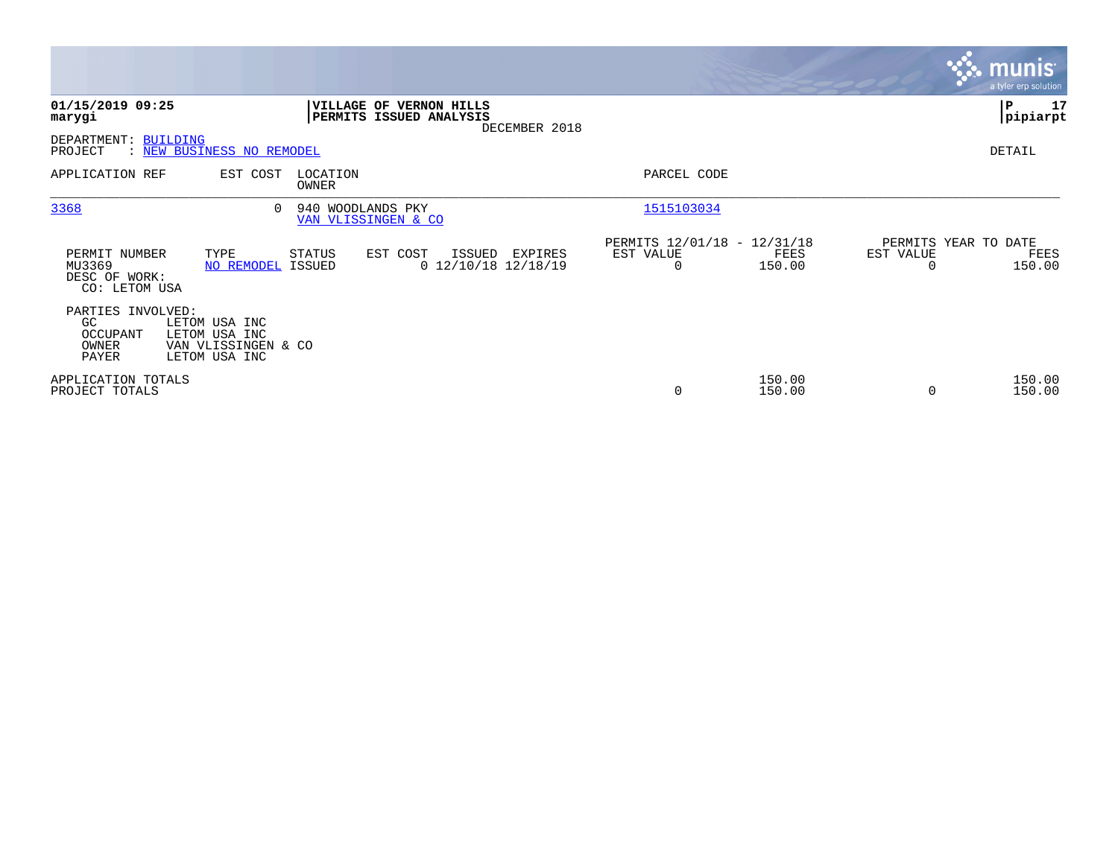|                                                           |                                                                        |                                          |                                                    |               |                                               |                  |           | munis <sup>®</sup><br>a tyler erp solution |
|-----------------------------------------------------------|------------------------------------------------------------------------|------------------------------------------|----------------------------------------------------|---------------|-----------------------------------------------|------------------|-----------|--------------------------------------------|
| 01/15/2019 09:25<br>marygi                                |                                                                        |                                          | VILLAGE OF VERNON HILLS<br>PERMITS ISSUED ANALYSIS | DECEMBER 2018 |                                               |                  |           | ∣P<br>17<br> pipiarpt                      |
| DEPARTMENT: BUILDING<br>PROJECT                           | : NEW BUSINESS NO REMODEL                                              |                                          |                                                    |               |                                               |                  |           | DETAIL                                     |
| APPLICATION REF                                           | EST COST                                                               | LOCATION<br>OWNER                        |                                                    |               | PARCEL CODE                                   |                  |           |                                            |
| 3368                                                      | $\Omega$                                                               | 940 WOODLANDS PKY<br>VAN VLISSINGEN & CO |                                                    |               | 1515103034                                    |                  |           |                                            |
| PERMIT NUMBER<br>MU3369<br>DESC OF WORK:<br>CO: LETOM USA | TYPE<br>NO REMODEL ISSUED                                              | STATUS                                   | EST COST<br>ISSUED<br>$0$ 12/10/18 12/18/19        | EXPIRES       | PERMITS 12/01/18 - 12/31/18<br>EST VALUE<br>0 | FEES<br>150.00   | EST VALUE | PERMITS YEAR TO DATE<br>FEES<br>150.00     |
| PARTIES INVOLVED:<br>GC.<br>OCCUPANT<br>OWNER<br>PAYER    | LETOM USA INC<br>LETOM USA INC<br>VAN VLISSINGEN & CO<br>LETOM USA INC |                                          |                                                    |               |                                               |                  |           |                                            |
| APPLICATION TOTALS<br>PROJECT TOTALS                      |                                                                        |                                          |                                                    |               | $\mathbf 0$                                   | 150.00<br>150.00 | $\Omega$  | 150.00<br>150.00                           |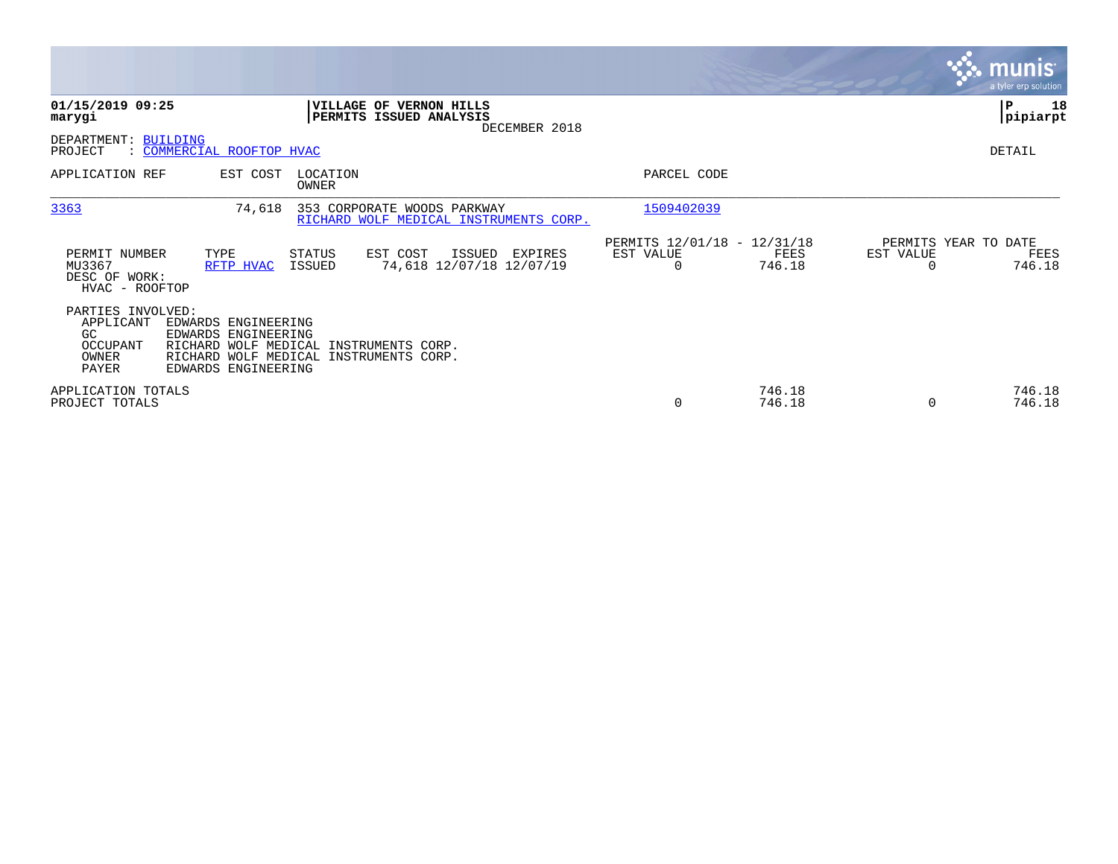|                                                                     |                                                                                                                                                       |                          |                                                                            |                                                      |                  |                                   | <b>munis</b><br>a tyler erp solution |
|---------------------------------------------------------------------|-------------------------------------------------------------------------------------------------------------------------------------------------------|--------------------------|----------------------------------------------------------------------------|------------------------------------------------------|------------------|-----------------------------------|--------------------------------------|
| 01/15/2019 09:25<br>marygi                                          |                                                                                                                                                       |                          | <b>VILLAGE OF VERNON HILLS</b><br>PERMITS ISSUED ANALYSIS<br>DECEMBER 2018 |                                                      |                  |                                   | ∣P<br>18<br> pipiarpt                |
| DEPARTMENT:<br>PROJECT                                              | <b>BUILDING</b><br>: COMMERCIAL ROOFTOP HVAC                                                                                                          |                          |                                                                            |                                                      |                  |                                   | DETAIL                               |
| APPLICATION REF                                                     | EST COST                                                                                                                                              | LOCATION<br><b>OWNER</b> |                                                                            | PARCEL CODE                                          |                  |                                   |                                      |
| 3363                                                                | 74,618                                                                                                                                                |                          | 353 CORPORATE WOODS PARKWAY<br>RICHARD WOLF MEDICAL INSTRUMENTS CORP.      | 1509402039                                           |                  |                                   |                                      |
| PERMIT NUMBER<br>MU3367<br>DESC OF WORK:<br>HVAC - ROOFTOP          | TYPE<br>RFTP HVAC                                                                                                                                     | STATUS<br>ISSUED         | EST COST<br>ISSUED<br>EXPIRES<br>74,618 12/07/18 12/07/19                  | PERMITS 12/01/18 - 12/31/18<br>EST VALUE<br>$\Omega$ | FEES<br>746.18   | PERMITS YEAR TO DATE<br>EST VALUE | FEES<br>746.18                       |
| PARTIES INVOLVED:<br>APPLICANT<br>GC.<br>OCCUPANT<br>OWNER<br>PAYER | EDWARDS ENGINEERING<br>EDWARDS ENGINEERING<br>RICHARD WOLF MEDICAL INSTRUMENTS CORP.<br>RICHARD WOLF MEDICAL INSTRUMENTS CORP.<br>EDWARDS ENGINEERING |                          |                                                                            |                                                      |                  |                                   |                                      |
| APPLICATION TOTALS<br>PROJECT TOTALS                                |                                                                                                                                                       |                          |                                                                            | 0                                                    | 746.18<br>746.18 |                                   | 746.18<br>746.18                     |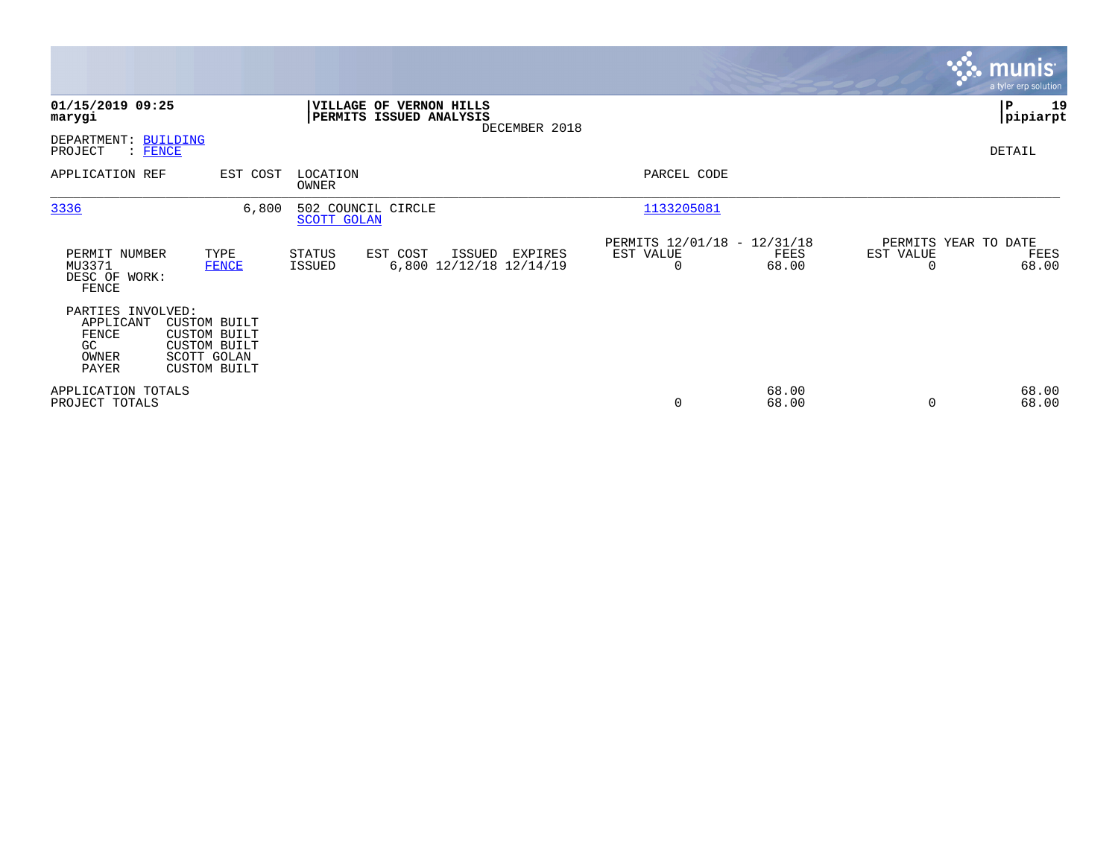|                                                                 |                                                                                                  |                         |                                                    |               |                                                         |                |                       | <b>munis</b><br>a tyler erp solution  |
|-----------------------------------------------------------------|--------------------------------------------------------------------------------------------------|-------------------------|----------------------------------------------------|---------------|---------------------------------------------------------|----------------|-----------------------|---------------------------------------|
| 01/15/2019 09:25<br>marygi                                      |                                                                                                  |                         | VILLAGE OF VERNON HILLS<br>PERMITS ISSUED ANALYSIS | DECEMBER 2018 |                                                         |                |                       | P<br>19<br> pipiarpt                  |
| DEPARTMENT: BUILDING<br>PROJECT<br>: FENCE                      |                                                                                                  |                         |                                                    |               |                                                         |                |                       | DETAIL                                |
| APPLICATION REF                                                 | EST COST                                                                                         | LOCATION<br>OWNER       |                                                    |               | PARCEL CODE                                             |                |                       |                                       |
| 3336                                                            | 6,800                                                                                            | <b>SCOTT GOLAN</b>      | 502 COUNCIL CIRCLE                                 |               | 1133205081                                              |                |                       |                                       |
| PERMIT NUMBER<br>MU3371<br>DESC OF WORK:<br>FENCE               | TYPE<br><b>FENCE</b>                                                                             | STATUS<br><b>ISSUED</b> | EST COST<br>ISSUED<br>6,800 12/12/18 12/14/19      | EXPIRES       | PERMITS 12/01/18 - 12/31/18<br>EST VALUE<br>$\mathbf 0$ | FEES<br>68.00  | EST VALUE<br>$\Omega$ | PERMITS YEAR TO DATE<br>FEES<br>68.00 |
| PARTIES INVOLVED:<br>APPLICANT<br>FENCE<br>GC<br>OWNER<br>PAYER | <b>CUSTOM BUILT</b><br><b>CUSTOM BUILT</b><br><b>CUSTOM BUILT</b><br>SCOTT GOLAN<br>CUSTOM BUILT |                         |                                                    |               |                                                         |                |                       |                                       |
| APPLICATION TOTALS<br>PROJECT TOTALS                            |                                                                                                  |                         |                                                    |               | 0                                                       | 68.00<br>68.00 | $\Omega$              | 68.00<br>68.00                        |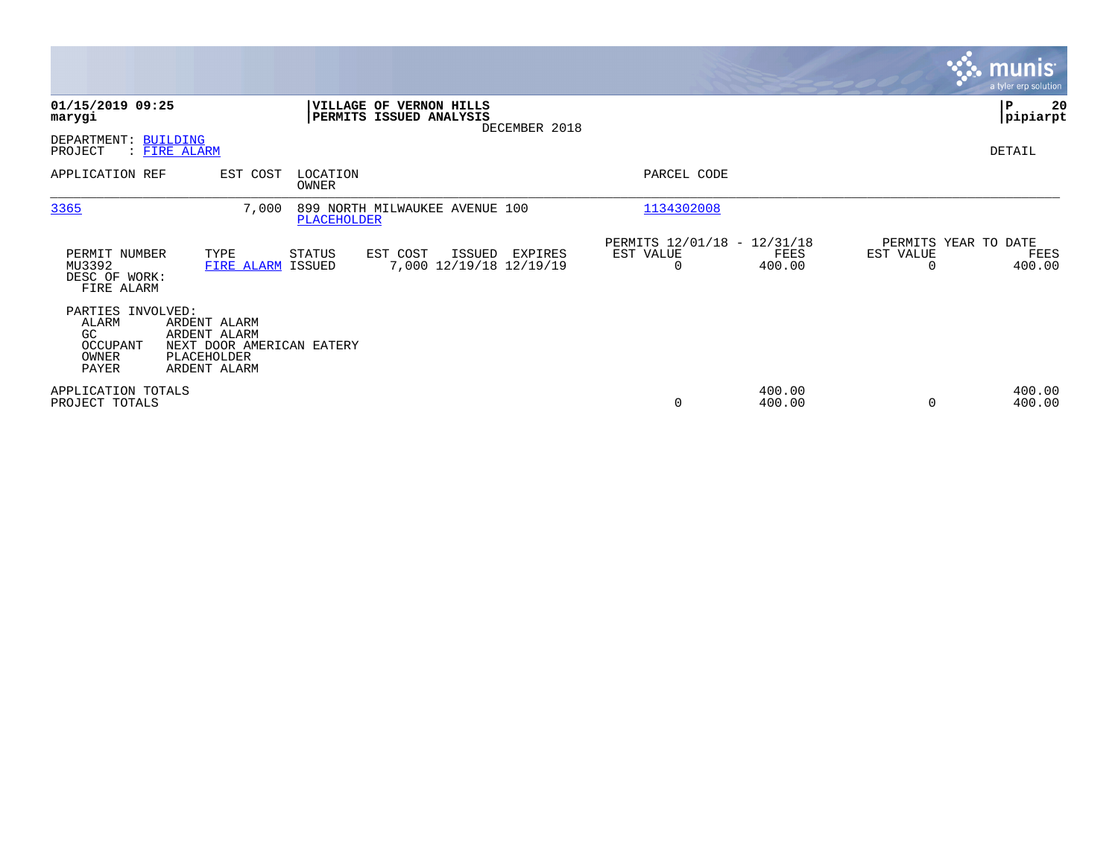|                                                                 |                                                                                          |                   |                                                                     |                                                      |                  |                                               | <b>munis</b><br>a tyler erp solution |
|-----------------------------------------------------------------|------------------------------------------------------------------------------------------|-------------------|---------------------------------------------------------------------|------------------------------------------------------|------------------|-----------------------------------------------|--------------------------------------|
| 01/15/2019 09:25<br>marygi                                      |                                                                                          |                   | VILLAGE OF VERNON HILLS<br>PERMITS ISSUED ANALYSIS<br>DECEMBER 2018 |                                                      |                  |                                               | 20<br>∣P<br> pipiarpt                |
| DEPARTMENT: BUILDING<br>PROJECT                                 | : FIRE ALARM                                                                             |                   |                                                                     |                                                      |                  |                                               | DETAIL                               |
| APPLICATION REF                                                 | EST COST                                                                                 | LOCATION<br>OWNER |                                                                     | PARCEL CODE                                          |                  |                                               |                                      |
| 3365                                                            | 7,000                                                                                    | PLACEHOLDER       | 899 NORTH MILWAUKEE AVENUE 100                                      | 1134302008                                           |                  |                                               |                                      |
| PERMIT NUMBER<br>MU3392<br>DESC OF WORK:<br>FIRE ALARM          | TYPE<br>FIRE ALARM ISSUED                                                                | STATUS            | EST COST<br>ISSUED<br>EXPIRES<br>7,000 12/19/18 12/19/19            | PERMITS 12/01/18 - 12/31/18<br>EST VALUE<br>$\Omega$ | FEES<br>400.00   | PERMITS YEAR TO DATE<br>EST VALUE<br>$\Omega$ | FEES<br>400.00                       |
| PARTIES INVOLVED:<br>ALARM<br>GC.<br>OCCUPANT<br>OWNER<br>PAYER | ARDENT ALARM<br>ARDENT ALARM<br>NEXT DOOR AMERICAN EATERY<br>PLACEHOLDER<br>ARDENT ALARM |                   |                                                                     |                                                      |                  |                                               |                                      |
| APPLICATION TOTALS<br>PROJECT TOTALS                            |                                                                                          |                   |                                                                     | 0                                                    | 400.00<br>400.00 | $\Omega$                                      | 400.00<br>400.00                     |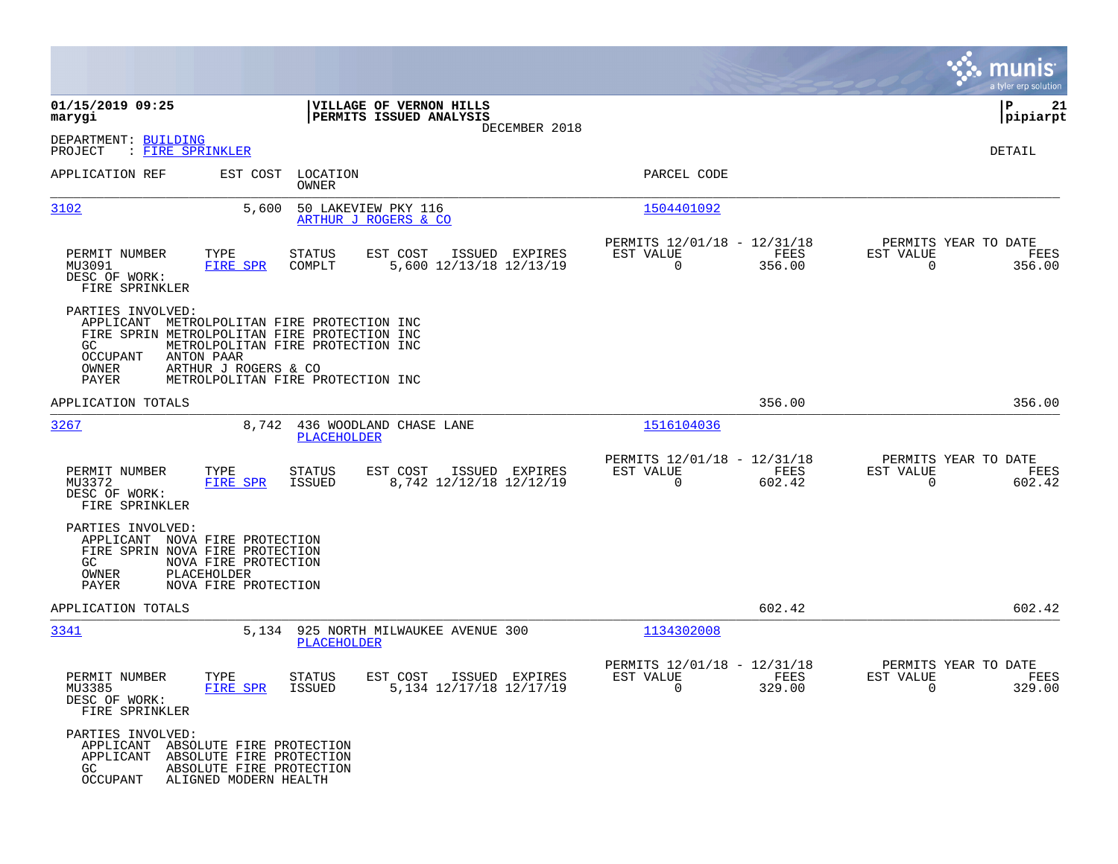|                                                                                                                                                                                                                                                   |                                                                                                              |                     |                                                    |                |                                                                                                                                                                                                                                                                                                                                                                                |                |                                               | munis<br>a tyler erp solution |
|---------------------------------------------------------------------------------------------------------------------------------------------------------------------------------------------------------------------------------------------------|--------------------------------------------------------------------------------------------------------------|---------------------|----------------------------------------------------|----------------|--------------------------------------------------------------------------------------------------------------------------------------------------------------------------------------------------------------------------------------------------------------------------------------------------------------------------------------------------------------------------------|----------------|-----------------------------------------------|-------------------------------|
| 01/15/2019 09:25<br>marygi                                                                                                                                                                                                                        |                                                                                                              |                     | VILLAGE OF VERNON HILLS<br>PERMITS ISSUED ANALYSIS |                |                                                                                                                                                                                                                                                                                                                                                                                |                |                                               | P<br>21<br> pipiarpt          |
| DEPARTMENT: BUILDING<br>PROJECT<br>: FIRE SPRINKLER                                                                                                                                                                                               |                                                                                                              |                     |                                                    | DECEMBER 2018  |                                                                                                                                                                                                                                                                                                                                                                                |                |                                               | DETAIL                        |
| APPLICATION REF                                                                                                                                                                                                                                   | EST COST LOCATION                                                                                            | OWNER               |                                                    |                | PARCEL CODE                                                                                                                                                                                                                                                                                                                                                                    |                |                                               |                               |
| 3102                                                                                                                                                                                                                                              | 5,600                                                                                                        | 50 LAKEVIEW PKY 116 | ARTHUR J ROGERS & CO                               |                | 1504401092                                                                                                                                                                                                                                                                                                                                                                     |                |                                               |                               |
| PERMIT NUMBER<br>MU3091<br>DESC OF WORK:<br>FIRE SPRINKLER                                                                                                                                                                                        | TYPE<br>FIRE SPR                                                                                             | STATUS<br>COMPLT    | EST COST<br>5,600 12/13/18 12/13/19                | ISSUED EXPIRES | PERMITS 12/01/18 - 12/31/18<br>EST VALUE<br>$\overline{0}$                                                                                                                                                                                                                                                                                                                     | FEES<br>356.00 | PERMITS YEAR TO DATE<br>EST VALUE<br>$\Omega$ | FEES<br>356.00                |
| PARTIES INVOLVED:<br>APPLICANT METROLPOLITAN FIRE PROTECTION INC<br>FIRE SPRIN METROLPOLITAN FIRE PROTECTION INC<br>GC.<br>OCCUPANT<br>OWNER<br>PAYER                                                                                             | METROLPOLITAN FIRE PROTECTION INC<br>ANTON PAAR<br>ARTHUR J ROGERS & CO<br>METROLPOLITAN FIRE PROTECTION INC |                     |                                                    |                |                                                                                                                                                                                                                                                                                                                                                                                |                |                                               |                               |
| APPLICATION TOTALS                                                                                                                                                                                                                                |                                                                                                              |                     |                                                    |                |                                                                                                                                                                                                                                                                                                                                                                                | 356.00         |                                               | 356.00                        |
| 3267                                                                                                                                                                                                                                              |                                                                                                              | PLACEHOLDER         | 8,742 436 WOODLAND CHASE LANE                      |                | 1516104036                                                                                                                                                                                                                                                                                                                                                                     |                |                                               |                               |
| PERMIT NUMBER<br>MU3372<br>DESC OF WORK:<br>FIRE SPRINKLER                                                                                                                                                                                        | TYPE<br>FIRE SPR                                                                                             | STATUS<br>ISSUED    | EST COST<br>8,742 12/12/18 12/12/19                | ISSUED EXPIRES | PERMITS 12/01/18 - 12/31/18<br>EST VALUE<br>$\Omega$                                                                                                                                                                                                                                                                                                                           | FEES<br>602.42 | PERMITS YEAR TO DATE<br>EST VALUE<br>$\Omega$ | FEES<br>602.42                |
| PARTIES INVOLVED:<br>APPLICANT NOVA FIRE PROTECTION<br>FIRE SPRIN NOVA FIRE PROTECTION<br>GC<br>OWNER<br>PAYER                                                                                                                                    | NOVA FIRE PROTECTION<br>PLACEHOLDER<br>NOVA FIRE PROTECTION                                                  |                     |                                                    |                |                                                                                                                                                                                                                                                                                                                                                                                |                |                                               |                               |
| APPLICATION TOTALS                                                                                                                                                                                                                                |                                                                                                              |                     |                                                    |                |                                                                                                                                                                                                                                                                                                                                                                                | 602.42         |                                               | 602.42                        |
| 3341                                                                                                                                                                                                                                              |                                                                                                              | PLACEHOLDER         | 5,134 925 NORTH MILWAUKEE AVENUE 300               |                | 1134302008                                                                                                                                                                                                                                                                                                                                                                     |                |                                               |                               |
| PERMIT NUMBER<br>MU3385<br>DESC OF WORK:<br>FIRE SPRINKLER                                                                                                                                                                                        | TYPE<br>FIRE SPR ISSUED                                                                                      | STATUS              | EST COST<br>5,134 12/17/18 12/17/19                | ISSUED EXPIRES | PERMITS 12/01/18 - 12/31/18<br>EST VALUE<br>$\overline{a}$ and $\overline{a}$ and $\overline{a}$ and $\overline{a}$ and $\overline{a}$ and $\overline{a}$ and $\overline{a}$ and $\overline{a}$ and $\overline{a}$ and $\overline{a}$ and $\overline{a}$ and $\overline{a}$ and $\overline{a}$ and $\overline{a}$ and $\overline{a}$ and $\overline{a}$ and $\overline{a}$ and | FEES<br>329.00 | PERMITS YEAR TO DATE<br>EST VALUE<br>$\sim$ 0 | FEES<br>329.00                |
| PARTIES INVOLVED:<br>APPLICANT ABSOLUTE FIRE PROTECTION<br>APPLICANT ABSOLUTE FIRE PROTECTION<br>GC and the control of the control of the control of the control of the control of the control of the control o<br>OCCUPANT ALIGNED MODERN HEALTH | ABSOLUTE FIRE PROTECTION                                                                                     |                     |                                                    |                |                                                                                                                                                                                                                                                                                                                                                                                |                |                                               |                               |

 $\mathcal{L}^{\text{max}}$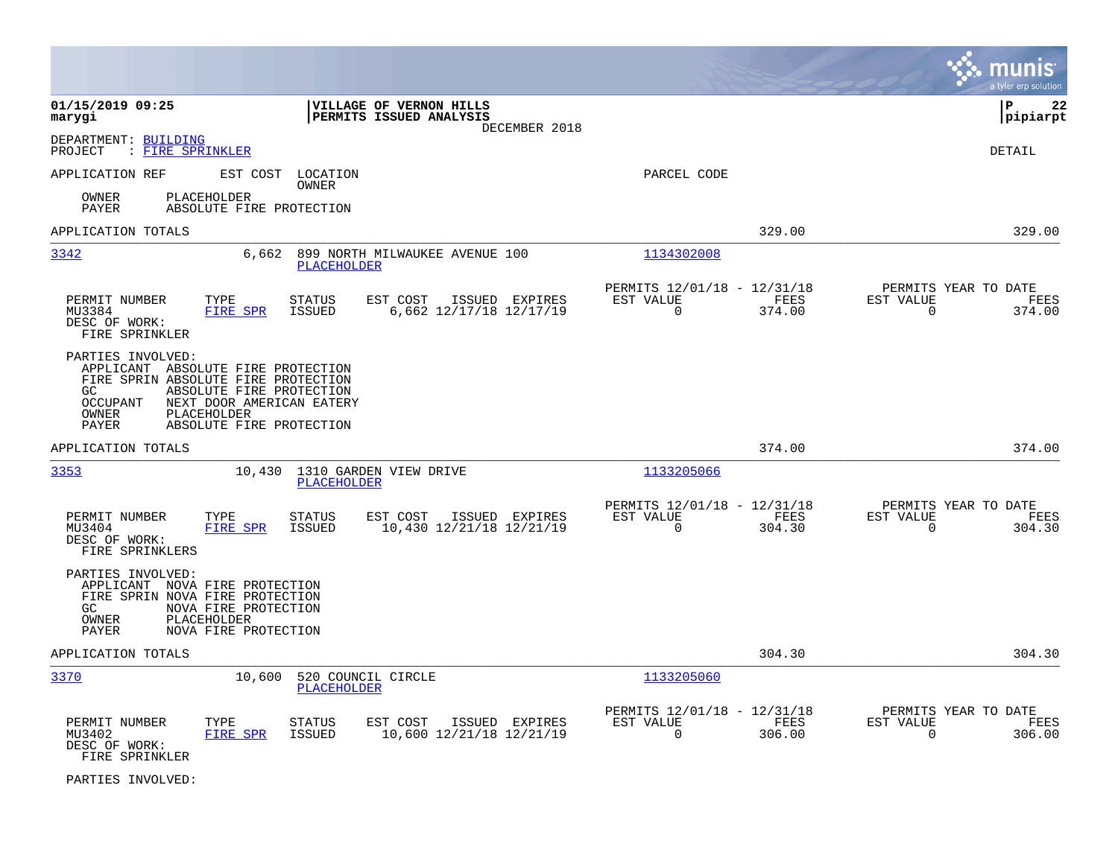|                                                                                                                                                                                                                                        |                                                                                   |                                                                              | munis<br>a tyler erp solution                                      |
|----------------------------------------------------------------------------------------------------------------------------------------------------------------------------------------------------------------------------------------|-----------------------------------------------------------------------------------|------------------------------------------------------------------------------|--------------------------------------------------------------------|
| 01/15/2019 09:25<br>marygi                                                                                                                                                                                                             | VILLAGE OF VERNON HILLS<br>PERMITS ISSUED ANALYSIS<br>DECEMBER 2018               |                                                                              | l P<br>22<br> pipiarpt                                             |
| DEPARTMENT: BUILDING<br>: FIRE SPRINKLER<br>PROJECT                                                                                                                                                                                    |                                                                                   |                                                                              | <b>DETAIL</b>                                                      |
| APPLICATION REF                                                                                                                                                                                                                        | EST COST LOCATION<br>OWNER                                                        | PARCEL CODE                                                                  |                                                                    |
| <b>PLACEHOLDER</b><br>OWNER<br>PAYER<br>ABSOLUTE FIRE PROTECTION                                                                                                                                                                       |                                                                                   |                                                                              |                                                                    |
| APPLICATION TOTALS                                                                                                                                                                                                                     |                                                                                   | 329.00                                                                       | 329.00                                                             |
| 3342                                                                                                                                                                                                                                   | 6,662 899 NORTH MILWAUKEE AVENUE 100<br><b>PLACEHOLDER</b>                        | 1134302008                                                                   |                                                                    |
| TYPE<br>PERMIT NUMBER<br>MU3384<br>FIRE SPR<br>DESC OF WORK:<br>FIRE SPRINKLER                                                                                                                                                         | <b>STATUS</b><br>EST COST<br>ISSUED EXPIRES<br>ISSUED<br>6,662 12/17/18 12/17/19  | PERMITS 12/01/18 - 12/31/18<br>EST VALUE<br>FEES<br>$\overline{0}$<br>374.00 | PERMITS YEAR TO DATE<br>EST VALUE<br>FEES<br>$\Omega$<br>374.00    |
| PARTIES INVOLVED:<br>APPLICANT ABSOLUTE FIRE PROTECTION<br>FIRE SPRIN ABSOLUTE FIRE PROTECTION<br>ABSOLUTE FIRE PROTECTION<br>GC<br>OCCUPANT<br>NEXT DOOR AMERICAN EATERY<br>OWNER<br>PLACEHOLDER<br>ABSOLUTE FIRE PROTECTION<br>PAYER |                                                                                   |                                                                              |                                                                    |
| APPLICATION TOTALS                                                                                                                                                                                                                     |                                                                                   | 374.00                                                                       | 374.00                                                             |
| 3353<br>10,430                                                                                                                                                                                                                         | 1310 GARDEN VIEW DRIVE<br><b>PLACEHOLDER</b>                                      | 1133205066                                                                   |                                                                    |
| PERMIT NUMBER<br>TYPE<br>MU3404<br>FIRE SPR<br>DESC OF WORK:<br>FIRE SPRINKLERS                                                                                                                                                        | <b>STATUS</b><br>EST COST<br>ISSUED EXPIRES<br>10,430 12/21/18 12/21/19<br>ISSUED | PERMITS 12/01/18 - 12/31/18<br>EST VALUE<br>FEES<br>$\Omega$<br>304.30       | PERMITS YEAR TO DATE<br>EST VALUE<br>FEES<br>$\mathbf 0$<br>304.30 |
| PARTIES INVOLVED:<br>APPLICANT NOVA FIRE PROTECTION<br>FIRE SPRIN NOVA FIRE PROTECTION<br>GC<br>NOVA FIRE PROTECTION<br>PLACEHOLDER<br>OWNER<br>PAYER<br>NOVA FIRE PROTECTION                                                          |                                                                                   |                                                                              |                                                                    |
| APPLICATION TOTALS                                                                                                                                                                                                                     |                                                                                   | 304.30                                                                       | 304.30                                                             |
| 3370                                                                                                                                                                                                                                   | 10,600 520 COUNCIL CIRCLE<br><b>PLACEHOLDER</b>                                   | 1133205060                                                                   |                                                                    |
| PERMIT NUMBER<br>TYPE<br>MU3402<br><b>FIRE SPR</b><br>DESC OF WORK:<br>FIRE SPRINKLER                                                                                                                                                  | EST COST<br>STATUS<br>ISSUED EXPIRES<br><b>ISSUED</b><br>10,600 12/21/18 12/21/19 | PERMITS 12/01/18 - 12/31/18<br>EST VALUE<br>FEES<br>$\mathbf 0$<br>306.00    | PERMITS YEAR TO DATE<br>EST VALUE<br>FEES<br>$\mathbf 0$<br>306.00 |

PARTIES INVOLVED: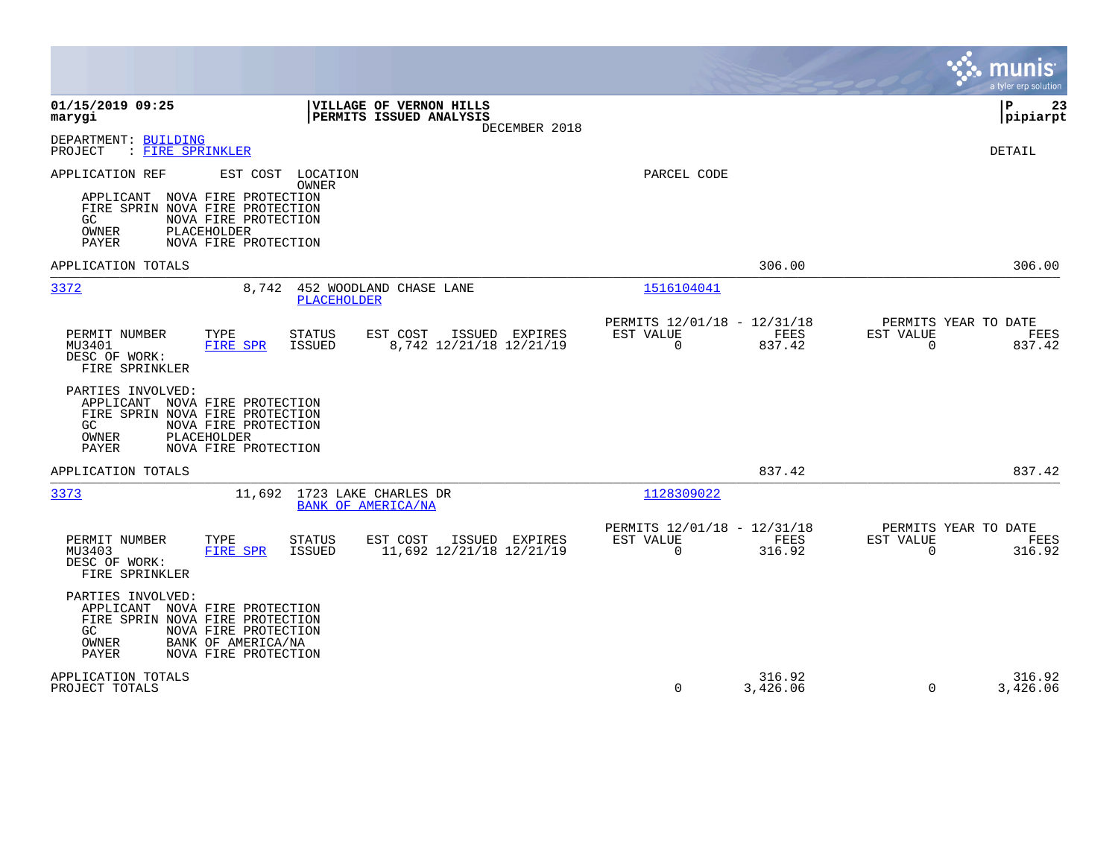|                                                                                                                                                                                                                   |                                                                        | munis<br>a tyler erp solution                                   |
|-------------------------------------------------------------------------------------------------------------------------------------------------------------------------------------------------------------------|------------------------------------------------------------------------|-----------------------------------------------------------------|
| 01/15/2019 09:25<br>VILLAGE OF VERNON HILLS<br>PERMITS ISSUED ANALYSIS<br>marygi<br>DECEMBER 2018                                                                                                                 |                                                                        | ΙP<br>23<br>pipiarpt                                            |
| DEPARTMENT: BUILDING<br>PROJECT<br>: FIRE SPRINKLER                                                                                                                                                               |                                                                        | <b>DETAIL</b>                                                   |
| APPLICATION REF<br>EST COST LOCATION<br><b>OWNER</b><br>APPLICANT NOVA FIRE PROTECTION<br>FIRE SPRIN NOVA FIRE PROTECTION<br>NOVA FIRE PROTECTION<br>GC.<br>OWNER<br>PLACEHOLDER<br>PAYER<br>NOVA FIRE PROTECTION | PARCEL CODE                                                            |                                                                 |
| APPLICATION TOTALS                                                                                                                                                                                                | 306.00                                                                 | 306.00                                                          |
| 3372<br>8,742<br>452 WOODLAND CHASE LANE<br><b>PLACEHOLDER</b>                                                                                                                                                    | 1516104041                                                             |                                                                 |
| PERMIT NUMBER<br>TYPE<br><b>STATUS</b><br>EST COST<br>ISSUED EXPIRES<br>8,742 12/21/18 12/21/19<br>MU3401<br><b>FIRE SPR</b><br>ISSUED<br>DESC OF WORK:<br>FIRE SPRINKLER                                         | PERMITS 12/01/18 - 12/31/18<br>FEES<br>EST VALUE<br>$\Omega$<br>837.42 | PERMITS YEAR TO DATE<br>EST VALUE<br>FEES<br>$\Omega$<br>837.42 |
| PARTIES INVOLVED:<br>APPLICANT NOVA FIRE PROTECTION<br>FIRE SPRIN NOVA FIRE PROTECTION<br>NOVA FIRE PROTECTION<br>GC<br>PLACEHOLDER<br>OWNER<br>PAYER<br>NOVA FIRE PROTECTION                                     |                                                                        |                                                                 |
| APPLICATION TOTALS                                                                                                                                                                                                | 837.42                                                                 | 837.42                                                          |
| 3373<br>11,692 1723 LAKE CHARLES DR<br>BANK OF AMERICA/NA                                                                                                                                                         | 1128309022                                                             |                                                                 |
| PERMIT NUMBER<br>TYPE<br><b>STATUS</b><br>EST COST<br>ISSUED EXPIRES<br>MU3403<br><b>FIRE SPR</b><br><b>ISSUED</b><br>11,692 12/21/18 12/21/19<br>DESC OF WORK:<br>FIRE SPRINKLER                                 | PERMITS 12/01/18 - 12/31/18<br>EST VALUE<br>FEES<br>$\Omega$<br>316.92 | PERMITS YEAR TO DATE<br>EST VALUE<br>FEES<br>316.92<br>$\Omega$ |
| PARTIES INVOLVED:<br>APPLICANT NOVA FIRE PROTECTION<br>FIRE SPRIN NOVA FIRE PROTECTION<br>GC<br>NOVA FIRE PROTECTION<br>OWNER<br>BANK OF AMERICA/NA<br>PAYER<br>NOVA FIRE PROTECTION                              |                                                                        |                                                                 |
| APPLICATION TOTALS<br>PROJECT TOTALS                                                                                                                                                                              | 316.92<br>$\Omega$<br>3,426.06                                         | 316.92<br>$\Omega$<br>3,426.06                                  |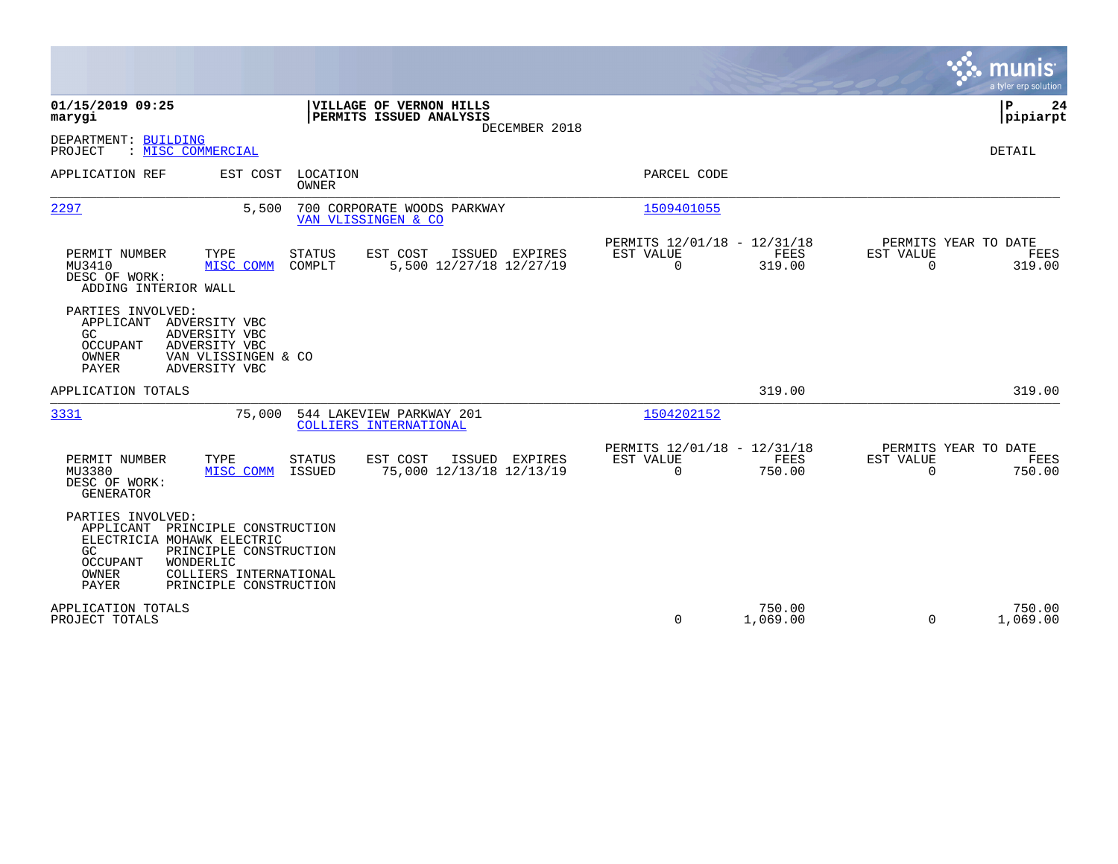|                                                                                                                                                                                                                                     |                                                                                          |                                                                                         | munis<br>a tyler erp solution                                             |
|-------------------------------------------------------------------------------------------------------------------------------------------------------------------------------------------------------------------------------------|------------------------------------------------------------------------------------------|-----------------------------------------------------------------------------------------|---------------------------------------------------------------------------|
| 01/15/2019 09:25<br>marygi                                                                                                                                                                                                          | VILLAGE OF VERNON HILLS<br>PERMITS ISSUED ANALYSIS<br>DECEMBER 2018                      |                                                                                         | P<br>24<br> pipiarpt                                                      |
| DEPARTMENT: BUILDING<br>: MISC COMMERCIAL<br>PROJECT                                                                                                                                                                                |                                                                                          |                                                                                         | <b>DETAIL</b>                                                             |
| APPLICATION REF<br>EST COST                                                                                                                                                                                                         | LOCATION<br>OWNER                                                                        | PARCEL CODE                                                                             |                                                                           |
| 2297<br>5,500                                                                                                                                                                                                                       | 700 CORPORATE WOODS PARKWAY<br>VAN VLISSINGEN & CO                                       | 1509401055                                                                              |                                                                           |
| PERMIT NUMBER<br>TYPE<br>MISC COMM<br>MU3410<br>DESC OF WORK:<br>ADDING INTERIOR WALL                                                                                                                                               | <b>STATUS</b><br>EST COST<br>ISSUED EXPIRES<br>COMPLT<br>5,500 12/27/18 12/27/19         | PERMITS 12/01/18 - 12/31/18<br><b>EST VALUE</b><br><b>FEES</b><br>$\mathbf 0$<br>319.00 | PERMITS YEAR TO DATE<br>EST VALUE<br>FEES<br>$\Omega$<br>319.00           |
| PARTIES INVOLVED:<br>APPLICANT<br>ADVERSITY VBC<br>GC.<br>ADVERSITY VBC<br><b>OCCUPANT</b><br>ADVERSITY VBC<br>OWNER<br>VAN VLISSINGEN & CO<br><b>PAYER</b><br>ADVERSITY VBC                                                        |                                                                                          |                                                                                         |                                                                           |
| APPLICATION TOTALS                                                                                                                                                                                                                  |                                                                                          | 319.00                                                                                  | 319.00                                                                    |
| 3331<br>75,000                                                                                                                                                                                                                      | 544 LAKEVIEW PARKWAY 201<br>COLLIERS INTERNATIONAL                                       | 1504202152                                                                              |                                                                           |
| PERMIT NUMBER<br>TYPE<br>MU3380<br>MISC COMM<br>DESC OF WORK:<br><b>GENERATOR</b>                                                                                                                                                   | <b>STATUS</b><br>EST COST<br>ISSUED EXPIRES<br><b>ISSUED</b><br>75,000 12/13/18 12/13/19 | PERMITS 12/01/18 - 12/31/18<br>EST VALUE<br>FEES<br>$\mathbf 0$<br>750.00               | PERMITS YEAR TO DATE<br><b>EST VALUE</b><br>FEES<br>$\mathbf 0$<br>750.00 |
| PARTIES INVOLVED:<br>APPLICANT<br>PRINCIPLE CONSTRUCTION<br>ELECTRICIA MOHAWK ELECTRIC<br>GC<br>PRINCIPLE CONSTRUCTION<br><b>OCCUPANT</b><br>WONDERLIC<br>OWNER<br>COLLIERS INTERNATIONAL<br><b>PAYER</b><br>PRINCIPLE CONSTRUCTION |                                                                                          |                                                                                         |                                                                           |
| APPLICATION TOTALS<br>PROJECT TOTALS                                                                                                                                                                                                |                                                                                          | 750.00<br>0<br>1,069.00                                                                 | 750.00<br>$\Omega$<br>1,069.00                                            |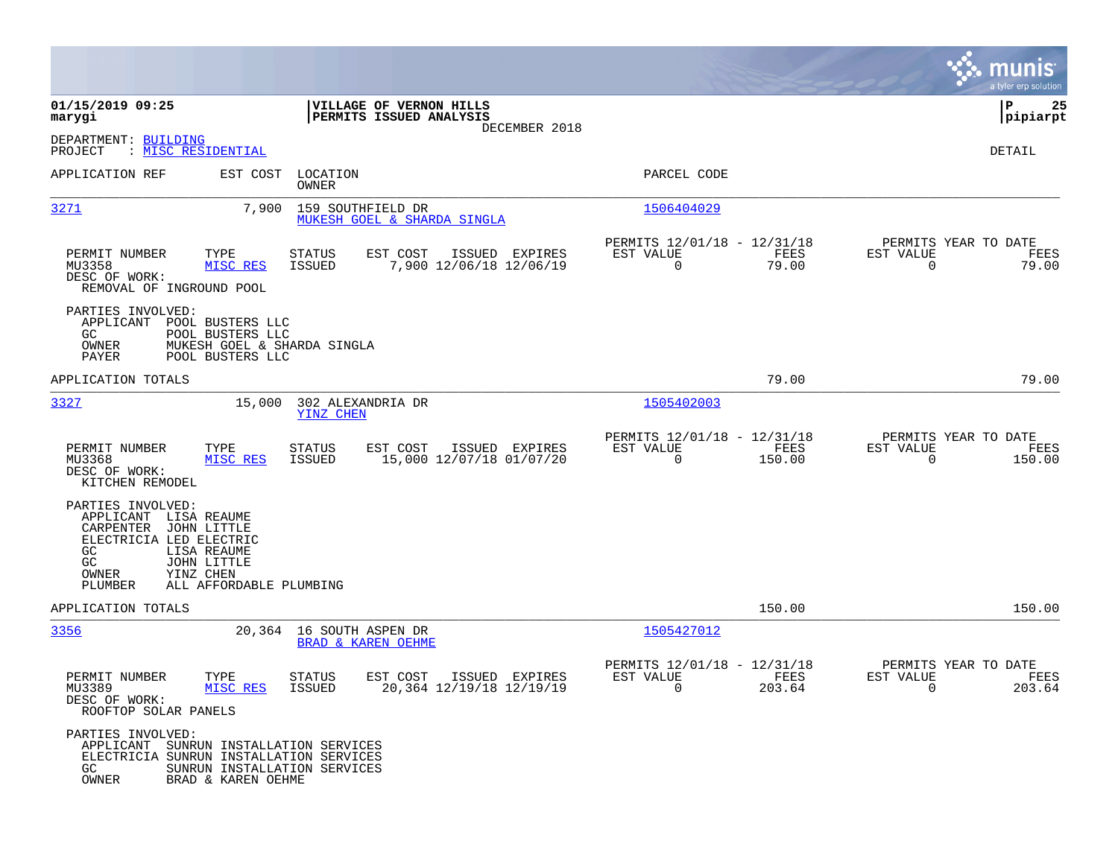|                                                                                                                                       |                                                                     |                                                           |                                                        |                                                                                                                                                                                                                                                                                                                                                 |                                                                |                       | munis<br>a tyler erp solution          |
|---------------------------------------------------------------------------------------------------------------------------------------|---------------------------------------------------------------------|-----------------------------------------------------------|--------------------------------------------------------|-------------------------------------------------------------------------------------------------------------------------------------------------------------------------------------------------------------------------------------------------------------------------------------------------------------------------------------------------|----------------------------------------------------------------|-----------------------|----------------------------------------|
| 01/15/2019 09:25<br>marygi                                                                                                            |                                                                     |                                                           | VILLAGE OF VERNON HILLS<br>PERMITS ISSUED ANALYSIS     |                                                                                                                                                                                                                                                                                                                                                 |                                                                |                       | 25<br>P<br> pipiarpt                   |
| DEPARTMENT: BUILDING<br>PROJECT<br>: <u>MISC RESIDENTIAL</u>                                                                          |                                                                     |                                                           | DECEMBER 2018                                          |                                                                                                                                                                                                                                                                                                                                                 |                                                                |                       | DETAIL                                 |
| APPLICATION REF                                                                                                                       | EST COST                                                            | LOCATION<br>OWNER                                         |                                                        |                                                                                                                                                                                                                                                                                                                                                 | PARCEL CODE                                                    |                       |                                        |
| 3271                                                                                                                                  |                                                                     | 7,900 159 SOUTHFIELD DR                                   | MUKESH GOEL & SHARDA SINGLA                            |                                                                                                                                                                                                                                                                                                                                                 | 1506404029                                                     |                       |                                        |
| PERMIT NUMBER<br>MU3358<br>DESC OF WORK:<br>REMOVAL OF INGROUND POOL                                                                  | TYPE<br>MISC RES                                                    | STATUS<br>ISSUED                                          | EST COST<br>ISSUED EXPIRES<br>7,900 12/06/18 12/06/19  | EST VALUE                                                                                                                                                                                                                                                                                                                                       | PERMITS 12/01/18 - 12/31/18<br>FEES<br>$\overline{0}$<br>79.00 | EST VALUE<br>$\Omega$ | PERMITS YEAR TO DATE<br>FEES<br>79.00  |
| PARTIES INVOLVED:<br>APPLICANT POOL BUSTERS LLC<br>GC<br>OWNER<br>PAYER                                                               | POOL BUSTERS LLC<br>MUKESH GOEL & SHARDA SINGLA<br>POOL BUSTERS LLC |                                                           |                                                        |                                                                                                                                                                                                                                                                                                                                                 |                                                                |                       |                                        |
| APPLICATION TOTALS                                                                                                                    |                                                                     |                                                           |                                                        |                                                                                                                                                                                                                                                                                                                                                 | 79.00                                                          |                       | 79.00                                  |
| 3327                                                                                                                                  | 15,000                                                              | 302 ALEXANDRIA DR<br>YINZ CHEN                            |                                                        |                                                                                                                                                                                                                                                                                                                                                 | 1505402003                                                     |                       |                                        |
| PERMIT NUMBER<br>MU3368<br>DESC OF WORK:<br>KITCHEN REMODEL                                                                           | TYPE<br>MISC RES                                                    | <b>STATUS</b><br>ISSUED                                   | EST COST<br>ISSUED EXPIRES<br>15,000 12/07/18 01/07/20 | EST VALUE                                                                                                                                                                                                                                                                                                                                       | PERMITS 12/01/18 - 12/31/18<br>FEES<br>150.00<br>0             | EST VALUE<br>0        | PERMITS YEAR TO DATE<br>FEES<br>150.00 |
| PARTIES INVOLVED:<br>APPLICANT LISA REAUME<br>CARPENTER JOHN LITTLE<br>ELECTRICIA LED ELECTRIC<br><b>GC</b><br>GC<br>OWNER<br>PLUMBER | LISA REAUME<br>JOHN LITTLE<br>YINZ CHEN<br>ALL AFFORDABLE PLUMBING  |                                                           |                                                        |                                                                                                                                                                                                                                                                                                                                                 |                                                                |                       |                                        |
| APPLICATION TOTALS                                                                                                                    |                                                                     |                                                           |                                                        |                                                                                                                                                                                                                                                                                                                                                 | 150.00                                                         |                       | 150.00                                 |
| 3356                                                                                                                                  |                                                                     | 20,364 16 SOUTH ASPEN DR<br><b>BRAD &amp; KAREN OEHME</b> |                                                        |                                                                                                                                                                                                                                                                                                                                                 | 1505427012                                                     |                       |                                        |
| PERMIT NUMBER<br>MU3389<br>DESC OF WORK:<br>ROOFTOP SOLAR PANELS                                                                      | TYPE<br>MISC RES ISSUED                                             | <b>STATUS</b>                                             | EST COST<br>ISSUED EXPIRES<br>20,364 12/19/18 12/19/19 | EST VALUE<br>$\overline{a}$ and $\overline{a}$ and $\overline{a}$ and $\overline{a}$ and $\overline{a}$ and $\overline{a}$ and $\overline{a}$ and $\overline{a}$ and $\overline{a}$ and $\overline{a}$ and $\overline{a}$ and $\overline{a}$ and $\overline{a}$ and $\overline{a}$ and $\overline{a}$ and $\overline{a}$ and $\overline{a}$ and | PERMITS 12/01/18 - 12/31/18<br>FEES<br>203.64                  | EST VALUE<br>$\sim$ 0 | PERMITS YEAR TO DATE<br>FEES<br>203.64 |
| PARTIES INVOLVED:<br>APPLICANT SUNRUN INSTALLATION SERVICES<br>ELECTRICIA SUNRUN INSTALLATION SERVICES<br>GC<br>OWNER                 | SUNRUN INSTALLATION SERVICES<br>BRAD & KAREN OEHME                  |                                                           |                                                        |                                                                                                                                                                                                                                                                                                                                                 |                                                                |                       |                                        |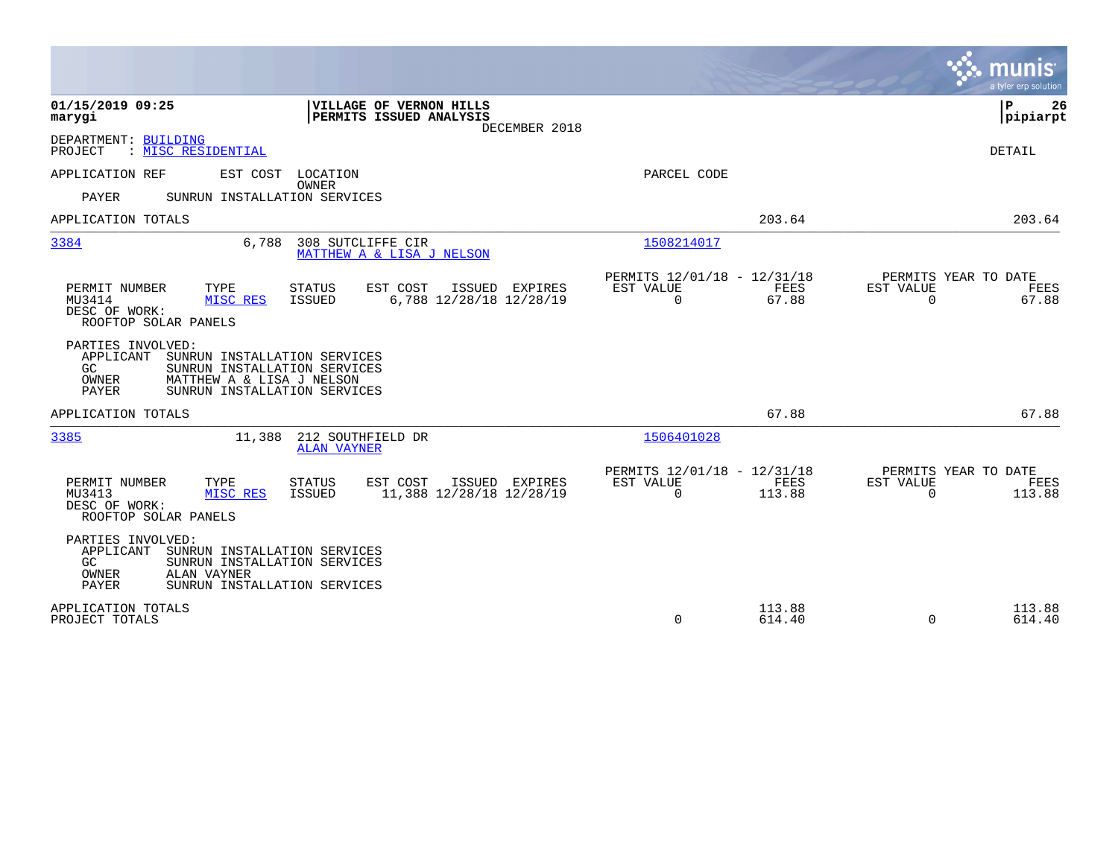|                                                                                                                                                                                             |                                                                          | munis<br>a tyler erp solution                                         |
|---------------------------------------------------------------------------------------------------------------------------------------------------------------------------------------------|--------------------------------------------------------------------------|-----------------------------------------------------------------------|
| 01/15/2019 09:25<br>VILLAGE OF VERNON HILLS<br>PERMITS ISSUED ANALYSIS<br>marygi<br>DECEMBER 2018                                                                                           |                                                                          | ΙP<br>26<br> pipiarpt                                                 |
| DEPARTMENT: BUILDING<br>: MISC RESIDENTIAL<br>PROJECT                                                                                                                                       |                                                                          | DETAIL                                                                |
| EST COST<br>LOCATION<br>APPLICATION REF<br><b>OWNER</b><br><b>PAYER</b><br>SUNRUN INSTALLATION SERVICES                                                                                     | PARCEL CODE                                                              |                                                                       |
| APPLICATION TOTALS                                                                                                                                                                          | 203.64                                                                   | 203.64                                                                |
| 3384<br>308 SUTCLIFFE CIR<br>6,788<br>MATTHEW A & LISA J NELSON                                                                                                                             | 1508214017                                                               |                                                                       |
| EST COST<br>PERMIT NUMBER<br>TYPE<br><b>STATUS</b><br>ISSUED EXPIRES<br>MISC RES<br><b>ISSUED</b><br>6,788 12/28/18 12/28/19<br>MU3414<br>DESC OF WORK:<br>ROOFTOP SOLAR PANELS             | PERMITS 12/01/18 - 12/31/18<br>EST VALUE<br>FEES<br>$\mathbf 0$<br>67.88 | PERMITS YEAR TO DATE<br><b>EST VALUE</b><br>FEES<br>$\Omega$<br>67.88 |
| PARTIES INVOLVED:<br>APPLICANT<br>SUNRUN INSTALLATION SERVICES<br>GC.<br>SUNRUN INSTALLATION SERVICES<br>OWNER<br>MATTHEW A & LISA J NELSON<br><b>PAYER</b><br>SUNRUN INSTALLATION SERVICES |                                                                          |                                                                       |
| APPLICATION TOTALS                                                                                                                                                                          | 67.88                                                                    | 67.88                                                                 |
| 3385<br>11,388<br>212 SOUTHFIELD DR<br><b>ALAN VAYNER</b>                                                                                                                                   | 1506401028                                                               |                                                                       |
| PERMIT NUMBER<br>TYPE<br><b>STATUS</b><br>EST COST<br>ISSUED EXPIRES<br>MU3413<br><b>ISSUED</b><br>11,388 12/28/18 12/28/19<br>MISC RES<br>DESC OF WORK:<br>ROOFTOP SOLAR PANELS            | PERMITS 12/01/18 - 12/31/18<br>EST VALUE<br>FEES<br>0<br>113.88          | PERMITS YEAR TO DATE<br>EST VALUE<br>FEES<br>$\Omega$<br>113.88       |
| PARTIES INVOLVED:<br>APPLICANT<br>SUNRUN INSTALLATION SERVICES<br>GC<br>SUNRUN INSTALLATION SERVICES<br>ALAN VAYNER<br>OWNER<br><b>PAYER</b><br>SUNRUN INSTALLATION SERVICES                |                                                                          |                                                                       |
| APPLICATION TOTALS<br>PROJECT TOTALS                                                                                                                                                        | 113.88<br>0<br>614.40                                                    | 113.88<br>614.40<br>$\Omega$                                          |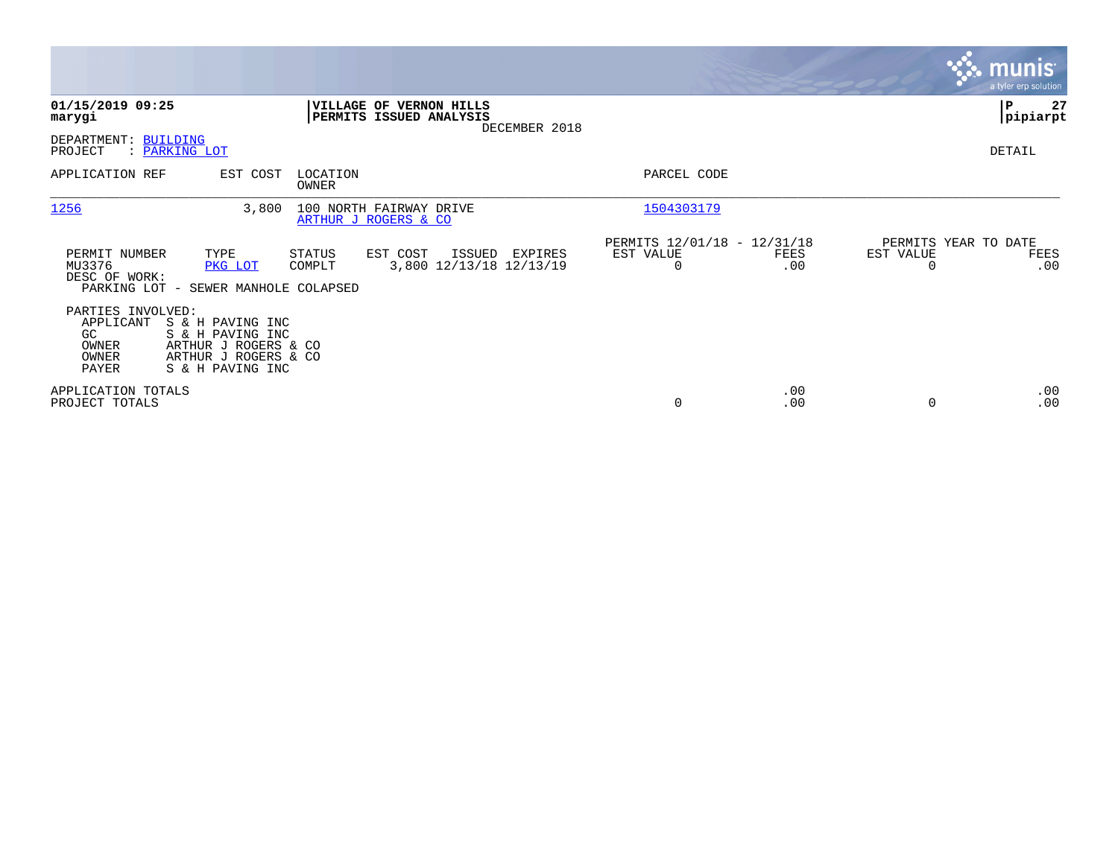|                                                                  |                                                                                                          |                   |                                                    |               |                                               |             |                                               | <b>munis</b><br>a tyler erp solution |
|------------------------------------------------------------------|----------------------------------------------------------------------------------------------------------|-------------------|----------------------------------------------------|---------------|-----------------------------------------------|-------------|-----------------------------------------------|--------------------------------------|
| 01/15/2019 09:25<br>marygi                                       |                                                                                                          |                   | VILLAGE OF VERNON HILLS<br>PERMITS ISSUED ANALYSIS | DECEMBER 2018 |                                               |             |                                               | 27<br>∣P<br> pipiarpt                |
| DEPARTMENT: BUILDING<br>PROJECT                                  | : PARKING LOT                                                                                            |                   |                                                    |               |                                               |             |                                               | DETAIL                               |
| APPLICATION REF                                                  | EST COST                                                                                                 | LOCATION<br>OWNER |                                                    |               | PARCEL CODE                                   |             |                                               |                                      |
| 1256                                                             | 3,800                                                                                                    |                   | 100 NORTH FAIRWAY DRIVE<br>ARTHUR J ROGERS & CO    |               | 1504303179                                    |             |                                               |                                      |
| PERMIT NUMBER<br>MU3376<br>DESC OF WORK:                         | TYPE<br>PKG LOT<br>PARKING LOT - SEWER MANHOLE COLAPSED                                                  | STATUS<br>COMPLT  | EST COST<br>ISSUED<br>3,800 12/13/18 12/13/19      | EXPIRES       | PERMITS 12/01/18 - 12/31/18<br>EST VALUE<br>0 | FEES<br>.00 | PERMITS YEAR TO DATE<br>EST VALUE<br>$\Omega$ | FEES<br>.00                          |
| PARTIES INVOLVED:<br>APPLICANT<br>GC.<br>OWNER<br>OWNER<br>PAYER | S & H PAVING INC<br>S & H PAVING INC<br>ARTHUR J ROGERS & CO<br>ARTHUR J ROGERS & CO<br>S & H PAVING INC |                   |                                                    |               |                                               |             |                                               |                                      |
| APPLICATION TOTALS<br>PROJECT TOTALS                             |                                                                                                          |                   |                                                    |               | 0                                             | .00<br>.00  | $\Omega$                                      | .00<br>.00                           |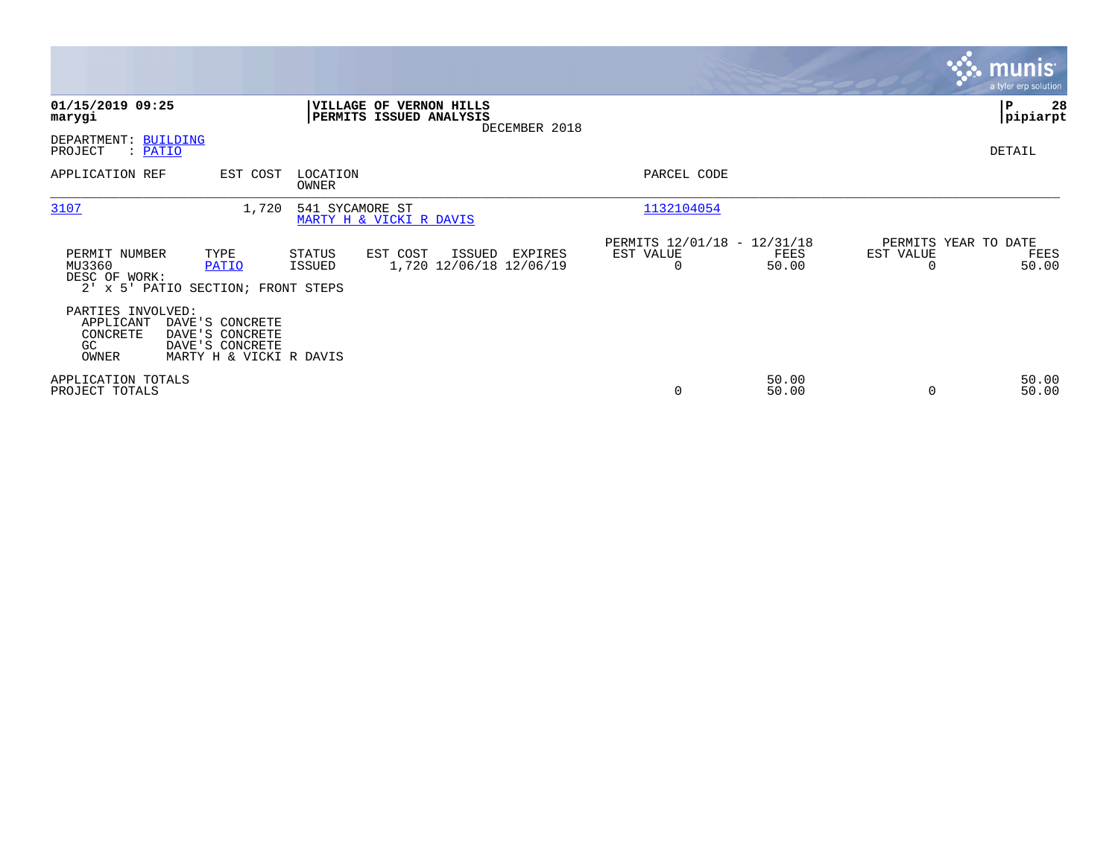|                                                                                |                                                                                  |                   |                                                           |               |                                                      |                |                                   | <b>munis</b><br>a tyler erp solution |
|--------------------------------------------------------------------------------|----------------------------------------------------------------------------------|-------------------|-----------------------------------------------------------|---------------|------------------------------------------------------|----------------|-----------------------------------|--------------------------------------|
| 01/15/2019 09:25<br>marygi                                                     |                                                                                  |                   | <b>VILLAGE OF VERNON HILLS</b><br>PERMITS ISSUED ANALYSIS | DECEMBER 2018 |                                                      |                |                                   | ∣P<br>28<br> pipiarpt                |
| DEPARTMENT: BUILDING<br>PROJECT<br>$:$ PATIO                                   |                                                                                  |                   |                                                           |               |                                                      |                |                                   | DETAIL                               |
| APPLICATION REF                                                                | EST COST                                                                         | LOCATION<br>OWNER |                                                           |               | PARCEL CODE                                          |                |                                   |                                      |
| 3107                                                                           | 1,720                                                                            | 541 SYCAMORE ST   | MARTY H & VICKI R DAVIS                                   |               | 1132104054                                           |                |                                   |                                      |
| PERMIT NUMBER<br>MU3360<br>DESC OF WORK:<br>2' x 5' PATIO SECTION; FRONT STEPS | TYPE<br>PATIO                                                                    | STATUS<br>ISSUED  | EST COST<br>ISSUED<br>1,720 12/06/18 12/06/19             | EXPIRES       | PERMITS 12/01/18 - 12/31/18<br>EST VALUE<br>$\Omega$ | FEES<br>50.00  | PERMITS YEAR TO DATE<br>EST VALUE | FEES<br>50.00                        |
| PARTIES INVOLVED:<br>APPLICANT<br>CONCRETE<br>GC.<br>OWNER                     | DAVE'S CONCRETE<br>DAVE'S CONCRETE<br>DAVE'S CONCRETE<br>MARTY H & VICKI R DAVIS |                   |                                                           |               |                                                      |                |                                   |                                      |
| APPLICATION TOTALS<br>PROJECT TOTALS                                           |                                                                                  |                   |                                                           |               | 0                                                    | 50.00<br>50.00 |                                   | 50.00<br>50.00                       |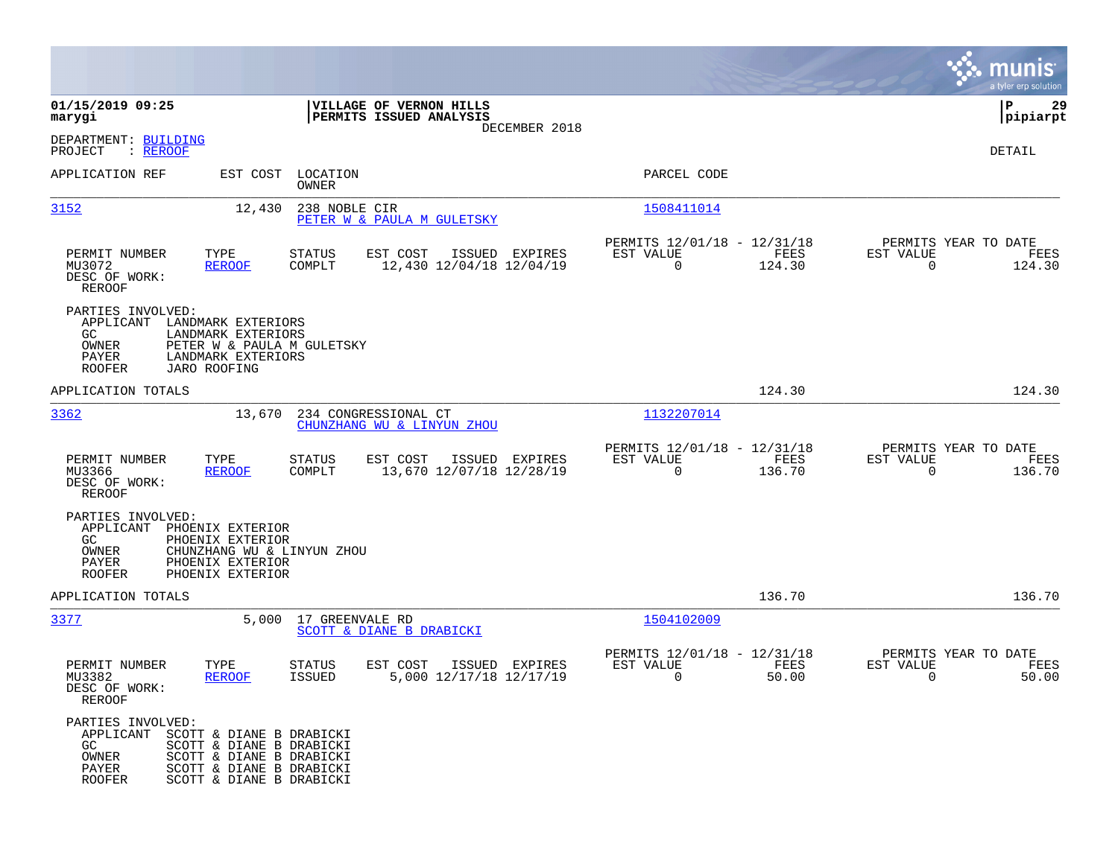|                                                                                                                                                                                                                  |                                                                                   |                                                                           | munis<br>a tyler erp solution                                   |
|------------------------------------------------------------------------------------------------------------------------------------------------------------------------------------------------------------------|-----------------------------------------------------------------------------------|---------------------------------------------------------------------------|-----------------------------------------------------------------|
| 01/15/2019 09:25<br>marygi                                                                                                                                                                                       | VILLAGE OF VERNON HILLS<br>PERMITS ISSUED ANALYSIS                                |                                                                           | P<br>29<br> pipiarpt                                            |
| DEPARTMENT: BUILDING<br>PROJECT<br>: <u>REROOF</u>                                                                                                                                                               | DECEMBER 2018                                                                     |                                                                           | DETAIL                                                          |
| APPLICATION REF                                                                                                                                                                                                  | EST COST LOCATION<br>OWNER                                                        | PARCEL CODE                                                               |                                                                 |
| 3152<br>12,430                                                                                                                                                                                                   | 238 NOBLE CIR<br>PETER W & PAULA M GULETSKY                                       | 1508411014                                                                |                                                                 |
| PERMIT NUMBER<br>TYPE<br>MU3072<br><b>REROOF</b><br>DESC OF WORK:<br><b>REROOF</b>                                                                                                                               | <b>STATUS</b><br>EST COST<br>ISSUED EXPIRES<br>COMPLT<br>12,430 12/04/18 12/04/19 | PERMITS 12/01/18 - 12/31/18<br>EST VALUE<br>FEES<br>124.30<br>$\mathbf 0$ | PERMITS YEAR TO DATE<br>EST VALUE<br>FEES<br>$\Omega$<br>124.30 |
| PARTIES INVOLVED:<br>APPLICANT<br>LANDMARK EXTERIORS<br>LANDMARK EXTERIORS<br>GC.<br>OWNER<br>PAYER<br>LANDMARK EXTERIORS<br><b>ROOFER</b><br>JARO ROOFING                                                       | PETER W & PAULA M GULETSKY                                                        |                                                                           |                                                                 |
| APPLICATION TOTALS                                                                                                                                                                                               |                                                                                   | 124.30                                                                    | 124.30                                                          |
| 3362<br>13,670                                                                                                                                                                                                   | 234 CONGRESSIONAL CT<br>CHUNZHANG WU & LINYUN ZHOU                                | 1132207014                                                                |                                                                 |
| PERMIT NUMBER<br>TYPE<br>MU3366<br><b>REROOF</b><br>DESC OF WORK:<br><b>REROOF</b>                                                                                                                               | <b>STATUS</b><br>EST COST<br>ISSUED EXPIRES<br>13,670 12/07/18 12/28/19<br>COMPLT | PERMITS 12/01/18 - 12/31/18<br>EST VALUE<br>FEES<br>136.70<br>$\mathbf 0$ | PERMITS YEAR TO DATE<br>EST VALUE<br>FEES<br>$\Omega$<br>136.70 |
| PARTIES INVOLVED:<br>APPLICANT<br>PHOENIX EXTERIOR<br>GC.<br>PHOENIX EXTERIOR<br>OWNER<br>PAYER<br>PHOENIX EXTERIOR<br><b>ROOFER</b><br>PHOENIX EXTERIOR                                                         | CHUNZHANG WU & LINYUN ZHOU                                                        |                                                                           |                                                                 |
| APPLICATION TOTALS                                                                                                                                                                                               |                                                                                   | 136.70                                                                    | 136.70                                                          |
| 3377                                                                                                                                                                                                             | 5,000 17 GREENVALE RD<br>SCOTT & DIANE B DRABICKI                                 | 1504102009                                                                |                                                                 |
| PERMIT NUMBER<br>TYPE<br>MU3382<br><b>REROOF</b><br>DESC OF WORK:<br>REROOF                                                                                                                                      | EST COST<br>ISSUED EXPIRES<br>STATUS<br>5,000 12/17/18 12/17/19<br><b>ISSUED</b>  | PERMITS 12/01/18 - 12/31/18<br>EST VALUE<br>FEES<br>0<br>50.00            | PERMITS YEAR TO DATE<br>EST VALUE<br>FEES<br>50.00<br>0         |
| PARTIES INVOLVED:<br>APPLICANT SCOTT & DIANE B DRABICKI<br>GC<br>SCOTT & DIANE B DRABICKI<br>OWNER<br>SCOTT & DIANE B DRABICKI<br>PAYER<br>SCOTT & DIANE B DRABICKI<br><b>ROOFER</b><br>SCOTT & DIANE B DRABICKI |                                                                                   |                                                                           |                                                                 |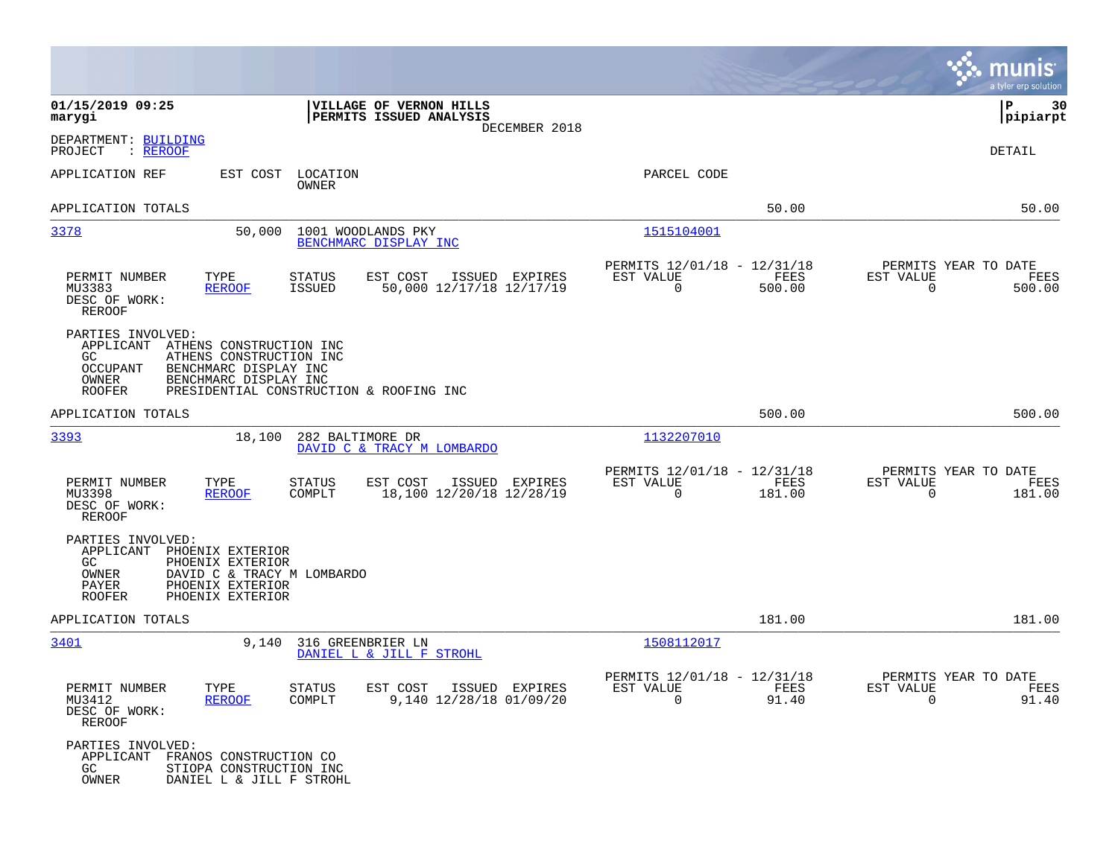|                                                                                                                                                                                        |                                                                                          |                                                         |                | munis<br>a tyler erp solution                    |                 |
|----------------------------------------------------------------------------------------------------------------------------------------------------------------------------------------|------------------------------------------------------------------------------------------|---------------------------------------------------------|----------------|--------------------------------------------------|-----------------|
| 01/15/2019 09:25<br>marygi                                                                                                                                                             | VILLAGE OF VERNON HILLS<br>PERMITS ISSUED ANALYSIS<br>DECEMBER 2018                      |                                                         |                | P                                                | 30<br> pipiarpt |
| DEPARTMENT: BUILDING<br>PROJECT<br>: <u>REROOF</u>                                                                                                                                     |                                                                                          |                                                         |                | DETAIL                                           |                 |
| APPLICATION REF<br>EST COST                                                                                                                                                            | LOCATION<br>OWNER                                                                        | PARCEL CODE                                             |                |                                                  |                 |
| APPLICATION TOTALS                                                                                                                                                                     |                                                                                          |                                                         | 50.00          |                                                  | 50.00           |
| 3378<br>50,000                                                                                                                                                                         | 1001 WOODLANDS PKY<br>BENCHMARC DISPLAY INC                                              | 1515104001                                              |                |                                                  |                 |
| PERMIT NUMBER<br>TYPE<br>MU3383<br><b>REROOF</b><br>DESC OF WORK:<br><b>REROOF</b>                                                                                                     | <b>STATUS</b><br>EST COST<br>ISSUED EXPIRES<br><b>ISSUED</b><br>50,000 12/17/18 12/17/19 | PERMITS 12/01/18 - 12/31/18<br>EST VALUE<br>$\mathbf 0$ | FEES<br>500.00 | PERMITS YEAR TO DATE<br>EST VALUE<br>$\mathbf 0$ | FEES<br>500.00  |
| PARTIES INVOLVED:<br>APPLICANT<br>ATHENS CONSTRUCTION INC<br>GC.<br>ATHENS CONSTRUCTION INC<br>OCCUPANT<br>BENCHMARC DISPLAY INC<br>OWNER<br>BENCHMARC DISPLAY INC<br><b>ROOFER</b>    | PRESIDENTIAL CONSTRUCTION & ROOFING INC                                                  |                                                         |                |                                                  |                 |
| APPLICATION TOTALS                                                                                                                                                                     |                                                                                          |                                                         | 500.00         |                                                  | 500.00          |
| 3393<br>18,100                                                                                                                                                                         | 282 BALTIMORE DR<br>DAVID C & TRACY M LOMBARDO                                           | 1132207010                                              |                |                                                  |                 |
| PERMIT NUMBER<br>TYPE<br>MU3398<br><b>REROOF</b><br>DESC OF WORK:<br>REROOF                                                                                                            | <b>STATUS</b><br>EST COST<br>ISSUED EXPIRES<br>18,100 12/20/18 12/28/19<br>COMPLT        | PERMITS 12/01/18 - 12/31/18<br>EST VALUE<br>$\mathbf 0$ | FEES<br>181.00 | PERMITS YEAR TO DATE<br>EST VALUE<br>$\mathbf 0$ | FEES<br>181.00  |
| PARTIES INVOLVED:<br>APPLICANT<br>PHOENIX EXTERIOR<br>GC.<br>PHOENIX EXTERIOR<br>OWNER<br>DAVID C & TRACY M LOMBARDO<br>PAYER<br>PHOENIX EXTERIOR<br>PHOENIX EXTERIOR<br><b>ROOFER</b> |                                                                                          |                                                         |                |                                                  |                 |
| APPLICATION TOTALS                                                                                                                                                                     |                                                                                          |                                                         | 181.00         |                                                  | 181.00          |
| 3401<br>9,140                                                                                                                                                                          | 316 GREENBRIER LN<br>DANIEL L & JILL F STROHL                                            | 1508112017                                              |                |                                                  |                 |
| PERMIT NUMBER<br>TYPE<br>MU3412<br><b>REROOF</b><br>DESC OF WORK:<br>REROOF                                                                                                            | <b>STATUS</b><br>EST COST ISSUED EXPIRES<br>9,140 12/28/18 01/09/20<br>COMPLT            | PERMITS 12/01/18 - 12/31/18<br>EST VALUE<br>$\Omega$    | FEES<br>91.40  | PERMITS YEAR TO DATE<br>EST VALUE<br>$\Omega$    | FEES<br>91.40   |
| PARTIES INVOLVED:<br>APPLICANT<br>FRANOS CONSTRUCTION CO<br>GC<br>STIOPA CONSTRUCTION INC<br>OWNER<br>DANIEL L & JILL F STROHL                                                         |                                                                                          |                                                         |                |                                                  |                 |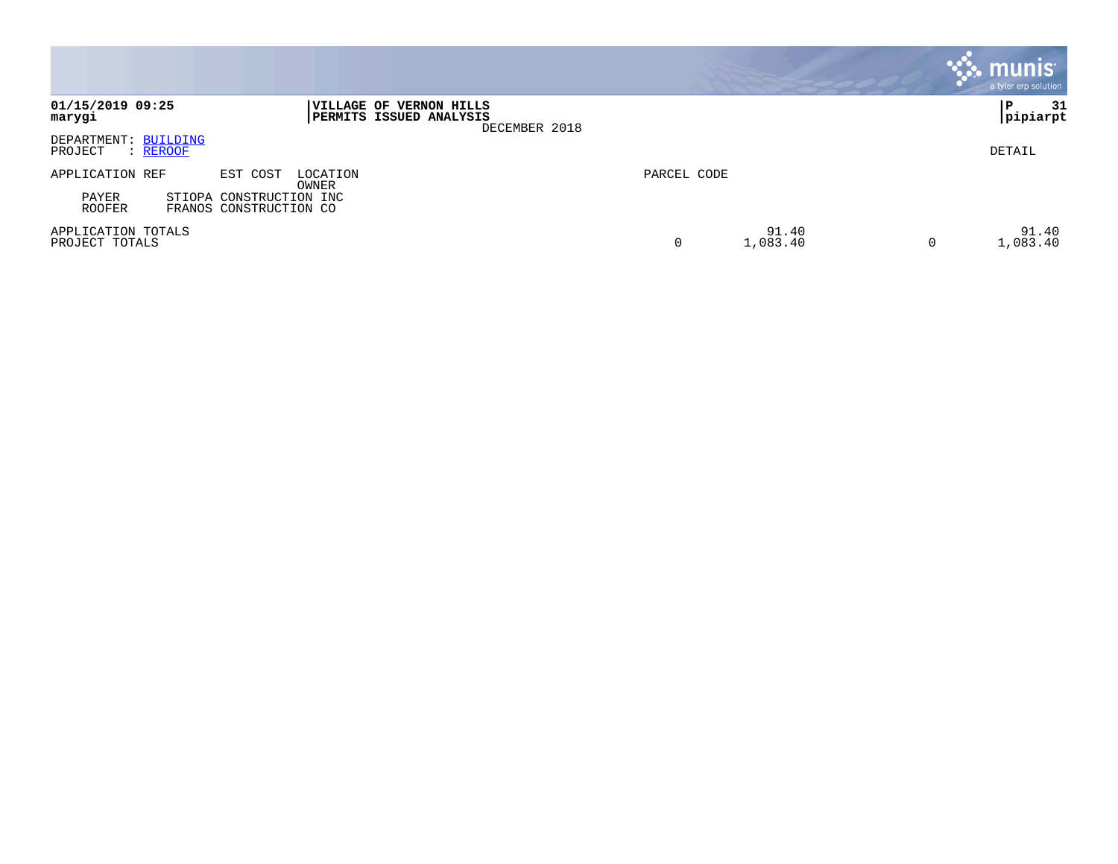|                                             |                                                                            |                        |   | <b>munis</b><br>a tyler erp solution |
|---------------------------------------------|----------------------------------------------------------------------------|------------------------|---|--------------------------------------|
| 01/15/2019 09:25<br>marygi                  | VILLAGE OF VERNON HILLS<br><b>PERMITS ISSUED ANALYSIS</b><br>DECEMBER 2018 |                        |   | 31<br>P<br> pipiarpt                 |
| DEPARTMENT: BUILDING<br>PROJECT<br>: REROOF |                                                                            |                        |   | DETAIL                               |
| APPLICATION REF                             | EST COST<br>LOCATION<br>OWNER                                              | PARCEL CODE            |   |                                      |
| PAYER<br><b>ROOFER</b>                      | STIOPA CONSTRUCTION INC<br>FRANOS CONSTRUCTION CO                          |                        |   |                                      |
| APPLICATION TOTALS<br>PROJECT TOTALS        |                                                                            | 91.40<br>1,083.40<br>0 | 0 | 91.40<br>1,083.40                    |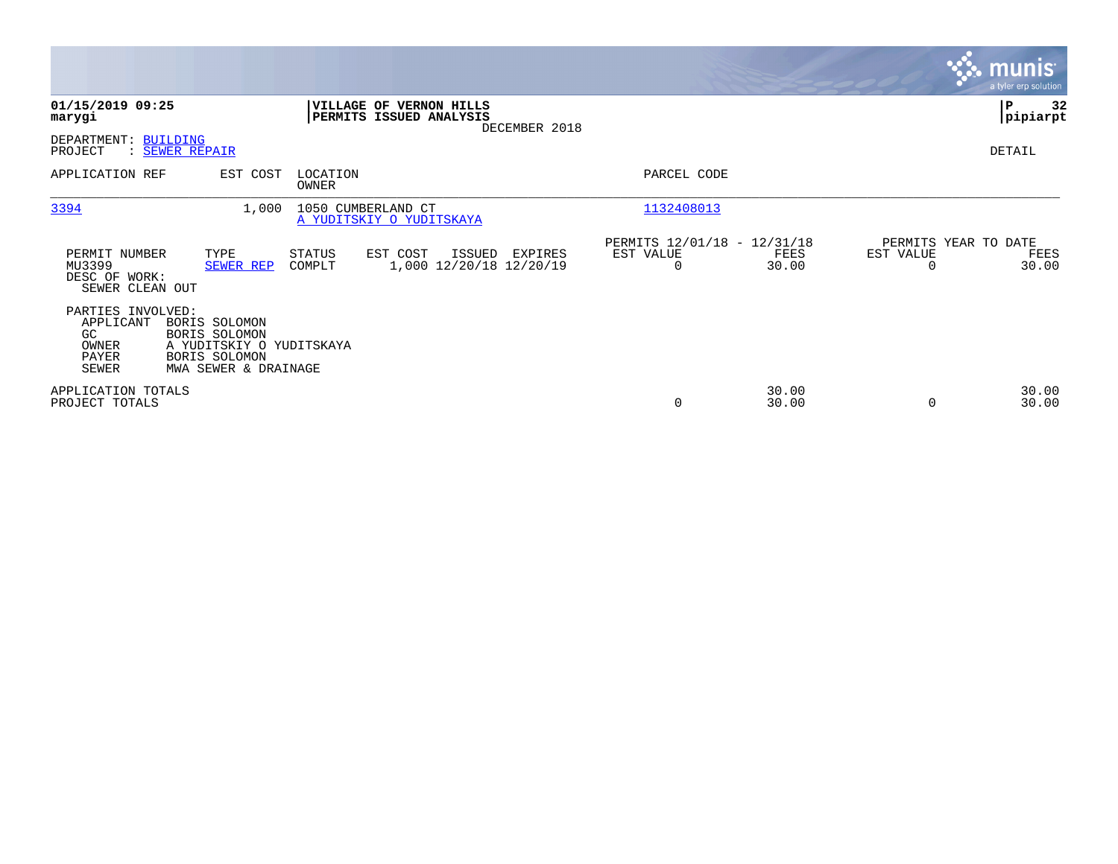|                                                                         |                                                                                                     |                         |                                                           |               |                                                      |                |                                               | <b>munis</b><br>a tyler erp solution |
|-------------------------------------------------------------------------|-----------------------------------------------------------------------------------------------------|-------------------------|-----------------------------------------------------------|---------------|------------------------------------------------------|----------------|-----------------------------------------------|--------------------------------------|
| 01/15/2019 09:25<br>marygi                                              |                                                                                                     |                         | <b>VILLAGE OF VERNON HILLS</b><br>PERMITS ISSUED ANALYSIS | DECEMBER 2018 |                                                      |                |                                               | 32<br>P<br> pipiarpt                 |
| DEPARTMENT: BUILDING<br>PROJECT                                         | : SEWER REPAIR                                                                                      |                         |                                                           |               |                                                      |                |                                               | DETAIL                               |
| APPLICATION REF                                                         | EST COST                                                                                            | LOCATION<br>OWNER       |                                                           |               | PARCEL CODE                                          |                |                                               |                                      |
| 3394                                                                    | 1,000                                                                                               |                         | 1050 CUMBERLAND CT<br>A YUDITSKIY O YUDITSKAYA            |               | 1132408013                                           |                |                                               |                                      |
| PERMIT NUMBER<br>MU3399<br>DESC OF WORK:<br>SEWER CLEAN OUT             | TYPE<br>SEWER REP                                                                                   | <b>STATUS</b><br>COMPLT | EST COST<br>ISSUED<br>1,000 12/20/18 12/20/19             | EXPIRES       | PERMITS 12/01/18 - 12/31/18<br>EST VALUE<br>$\Omega$ | FEES<br>30.00  | PERMITS YEAR TO DATE<br>EST VALUE<br>$\Omega$ | FEES<br>30.00                        |
| PARTIES INVOLVED:<br>APPLICANT<br>GC.<br>OWNER<br>PAYER<br><b>SEWER</b> | BORIS SOLOMON<br>BORIS SOLOMON<br>A YUDITSKIY O YUDITSKAYA<br>BORIS SOLOMON<br>MWA SEWER & DRAINAGE |                         |                                                           |               |                                                      |                |                                               |                                      |
| APPLICATION TOTALS<br>PROJECT TOTALS                                    |                                                                                                     |                         |                                                           |               | 0                                                    | 30.00<br>30.00 | 0                                             | 30.00<br>30.00                       |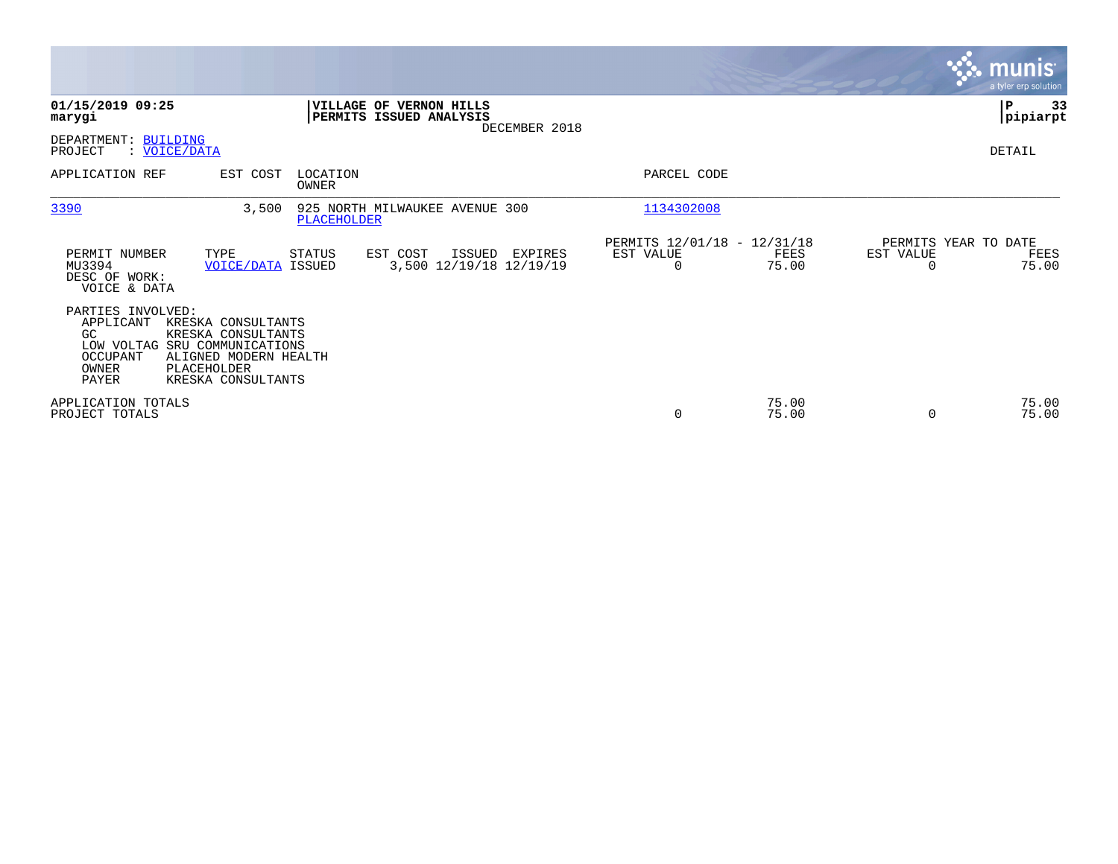|                                                                                                     |                                                                                                        |                          |                                                    |               |                                               |                |                                   | <b>munis</b><br>a tyler erp solution. |
|-----------------------------------------------------------------------------------------------------|--------------------------------------------------------------------------------------------------------|--------------------------|----------------------------------------------------|---------------|-----------------------------------------------|----------------|-----------------------------------|---------------------------------------|
| 01/15/2019 09:25<br>marygi                                                                          |                                                                                                        |                          | VILLAGE OF VERNON HILLS<br>PERMITS ISSUED ANALYSIS | DECEMBER 2018 |                                               |                |                                   | ΙP<br>33<br> pipiarpt                 |
| DEPARTMENT: BUILDING<br>: VOICE/DATA<br>PROJECT                                                     |                                                                                                        |                          |                                                    |               |                                               |                |                                   | DETAIL                                |
| APPLICATION REF                                                                                     | EST COST                                                                                               | LOCATION<br><b>OWNER</b> |                                                    |               | PARCEL CODE                                   |                |                                   |                                       |
| 3390                                                                                                | 3,500                                                                                                  | PLACEHOLDER              | 925 NORTH MILWAUKEE AVENUE 300                     |               | 1134302008                                    |                |                                   |                                       |
| PERMIT NUMBER<br>MU3394<br>DESC OF WORK:<br>VOICE & DATA                                            | TYPE<br><b>VOICE/DATA ISSUED</b>                                                                       | STATUS                   | EST COST<br>ISSUED<br>3,500 12/19/18 12/19/19      | EXPIRES       | PERMITS 12/01/18 - 12/31/18<br>EST VALUE<br>0 | FEES<br>75.00  | PERMITS YEAR TO DATE<br>EST VALUE | FEES<br>75.00                         |
| PARTIES INVOLVED:<br>APPLICANT<br>GC<br>LOW VOLTAG SRU COMMUNICATIONS<br>OCCUPANT<br>OWNER<br>PAYER | KRESKA CONSULTANTS<br>KRESKA CONSULTANTS<br>ALIGNED MODERN HEALTH<br>PLACEHOLDER<br>KRESKA CONSULTANTS |                          |                                                    |               |                                               |                |                                   |                                       |
| APPLICATION TOTALS<br>PROJECT TOTALS                                                                |                                                                                                        |                          |                                                    |               | 0                                             | 75.00<br>75.00 | $\Omega$                          | 75.00<br>75.00                        |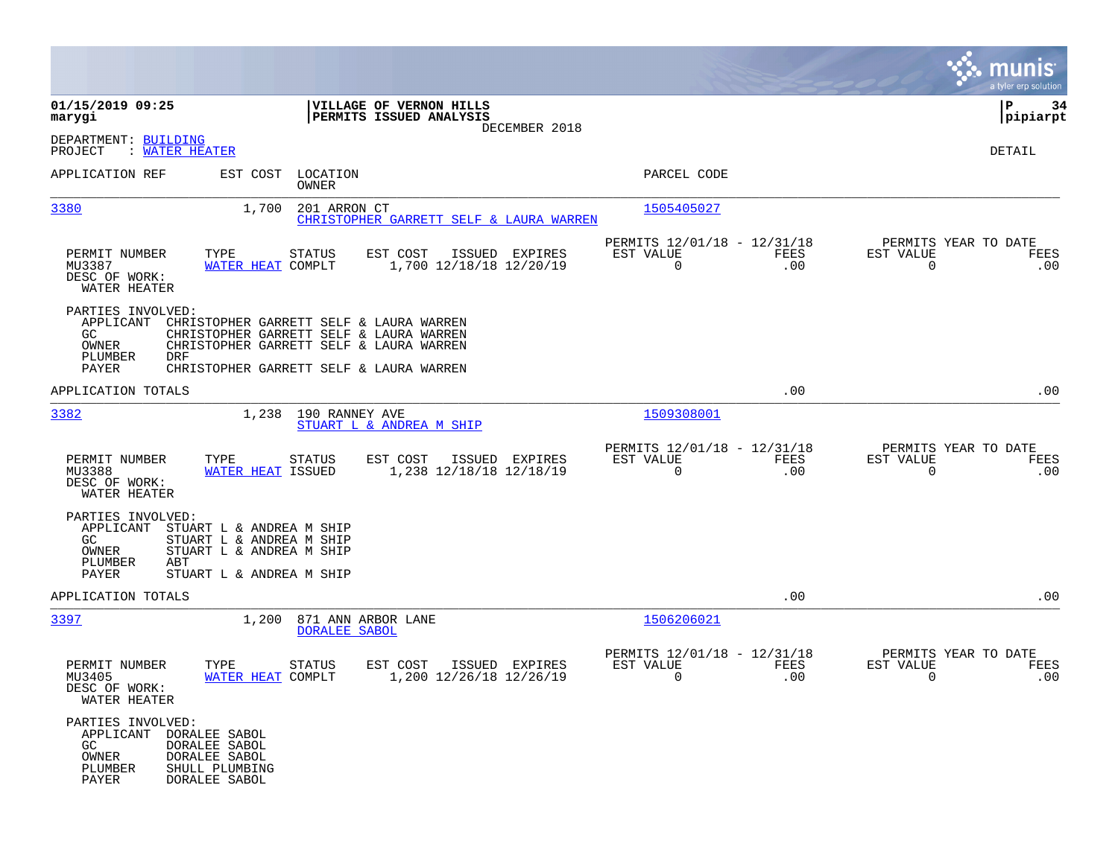|                                                                                                                                                                                           |                                                                                                                                                                          |                                                                           | munis<br>a tyler erp solution                                |
|-------------------------------------------------------------------------------------------------------------------------------------------------------------------------------------------|--------------------------------------------------------------------------------------------------------------------------------------------------------------------------|---------------------------------------------------------------------------|--------------------------------------------------------------|
| 01/15/2019 09:25<br>marygi                                                                                                                                                                | VILLAGE OF VERNON HILLS<br><b>PERMITS ISSUED ANALYSIS</b><br>DECEMBER 2018                                                                                               |                                                                           | 34<br>IΡ<br> pipiarpt                                        |
| DEPARTMENT: BUILDING<br>PROJECT<br>: WATER HEATER                                                                                                                                         |                                                                                                                                                                          |                                                                           | DETAIL                                                       |
| APPLICATION REF                                                                                                                                                                           | EST COST LOCATION<br>OWNER                                                                                                                                               | PARCEL CODE                                                               |                                                              |
| 3380                                                                                                                                                                                      | 1,700<br>201 ARRON CT<br>CHRISTOPHER GARRETT SELF & LAURA WARREN                                                                                                         | 1505405027                                                                |                                                              |
| TYPE<br>PERMIT NUMBER<br>MU3387<br>DESC OF WORK:<br>WATER HEATER                                                                                                                          | EST COST<br>STATUS<br>ISSUED EXPIRES<br>WATER HEAT COMPLT<br>1,700 12/18/18 12/20/19                                                                                     | PERMITS 12/01/18 - 12/31/18<br>EST VALUE<br>FEES<br>$\overline{0}$<br>.00 | PERMITS YEAR TO DATE<br>EST VALUE<br>FEES<br>$\Omega$<br>.00 |
| PARTIES INVOLVED:<br>APPLICANT<br>GC<br>OWNER<br>PLUMBER<br>DRF<br>PAYER                                                                                                                  | CHRISTOPHER GARRETT SELF & LAURA WARREN<br>CHRISTOPHER GARRETT SELF & LAURA WARREN<br>CHRISTOPHER GARRETT SELF & LAURA WARREN<br>CHRISTOPHER GARRETT SELF & LAURA WARREN |                                                                           |                                                              |
| APPLICATION TOTALS                                                                                                                                                                        |                                                                                                                                                                          | .00                                                                       | .00                                                          |
| 3382                                                                                                                                                                                      | 1,238 190 RANNEY AVE<br>STUART L & ANDREA M SHIP                                                                                                                         | 1509308001                                                                |                                                              |
| PERMIT NUMBER<br>TYPE<br>MU3388<br>DESC OF WORK:<br>WATER HEATER                                                                                                                          | EST COST<br>ISSUED EXPIRES<br>STATUS<br>1,238 12/18/18 12/18/19<br>WATER HEAT ISSUED                                                                                     | PERMITS 12/01/18 - 12/31/18<br>EST VALUE<br>FEES<br>$\Omega$<br>.00       | PERMITS YEAR TO DATE<br>EST VALUE<br>FEES<br>$\Omega$<br>.00 |
| PARTIES INVOLVED:<br>APPLICANT<br>STUART L & ANDREA M SHIP<br>STUART L & ANDREA M SHIP<br>GC.<br>OWNER<br>STUART L & ANDREA M SHIP<br>PLUMBER<br>ABT<br>PAYER<br>STUART L & ANDREA M SHIP |                                                                                                                                                                          |                                                                           |                                                              |
| APPLICATION TOTALS                                                                                                                                                                        |                                                                                                                                                                          | .00                                                                       | .00                                                          |
| 3397                                                                                                                                                                                      | 1,200 871 ANN ARBOR LANE<br><b>DORALEE SABOL</b>                                                                                                                         | 1506206021                                                                |                                                              |
| PERMIT NUMBER<br>TYPE<br>MU3405<br>DESC OF WORK:<br>WATER HEATER                                                                                                                          | <b>STATUS</b><br>EST COST<br>ISSUED EXPIRES<br>WATER HEAT COMPLT<br>1,200 12/26/18 12/26/19                                                                              | PERMITS 12/01/18 - 12/31/18<br>EST VALUE<br><b>FEES</b><br>.00<br>0       | PERMITS YEAR TO DATE<br>EST VALUE<br>FEES<br>0<br>.00        |
| PARTIES INVOLVED:<br><b>DORALEE SABOL</b><br>APPLICANT<br>GC<br>DORALEE SABOL<br>OWNER<br>DORALEE SABOL<br>PLUMBER<br>SHULL PLUMBING<br>PAYER<br>DORALEE SABOL                            |                                                                                                                                                                          |                                                                           |                                                              |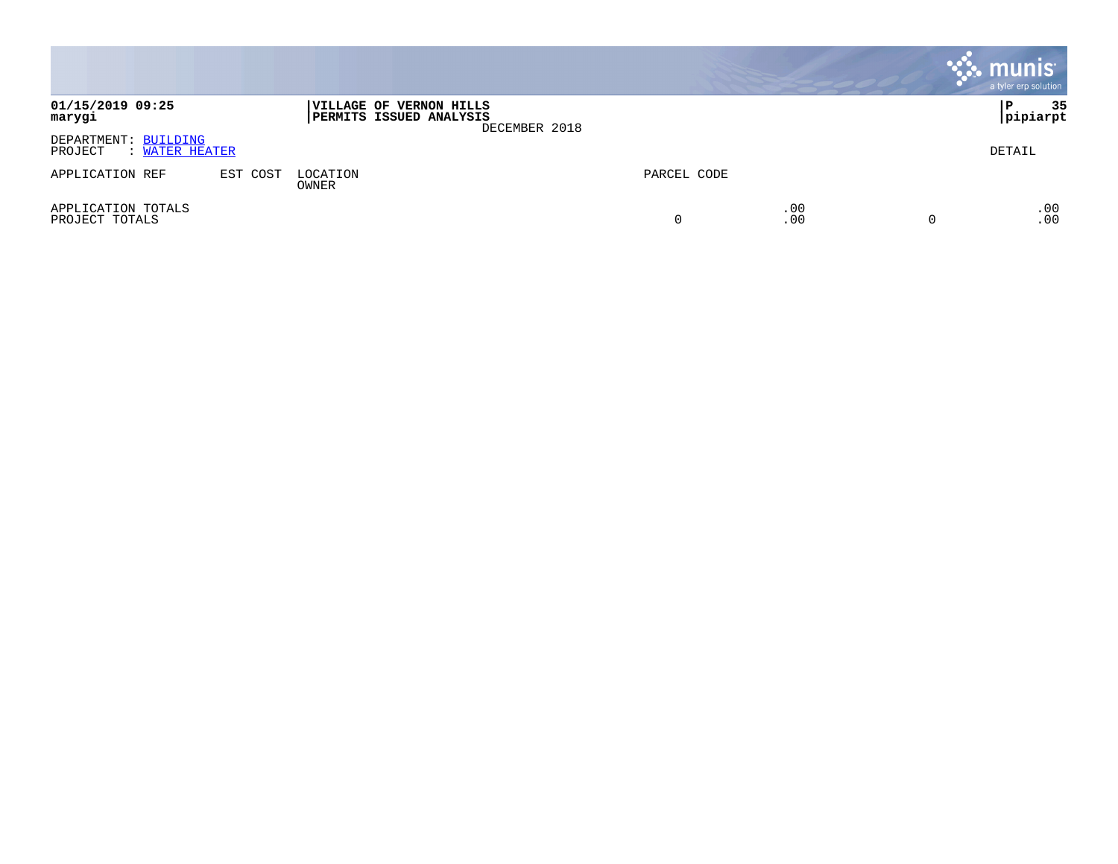|                                                        |          |                                                           |               |             |            | munis <sup>.</sup><br>a tyler erp solution |
|--------------------------------------------------------|----------|-----------------------------------------------------------|---------------|-------------|------------|--------------------------------------------|
| 01/15/2019 09:25<br>marygi                             |          | VILLAGE OF VERNON HILLS<br><b>PERMITS ISSUED ANALYSIS</b> | DECEMBER 2018 |             |            | 35<br>P<br>pipiarpt                        |
| DEPARTMENT: BUILDING<br>PROJECT<br><b>WATER HEATER</b> |          |                                                           |               |             |            | DETAIL                                     |
| APPLICATION REF                                        | EST COST | LOCATION<br>OWNER                                         |               | PARCEL CODE |            |                                            |
| APPLICATION TOTALS<br>PROJECT TOTALS                   |          |                                                           |               | 0           | .00<br>.00 | .00<br>.00                                 |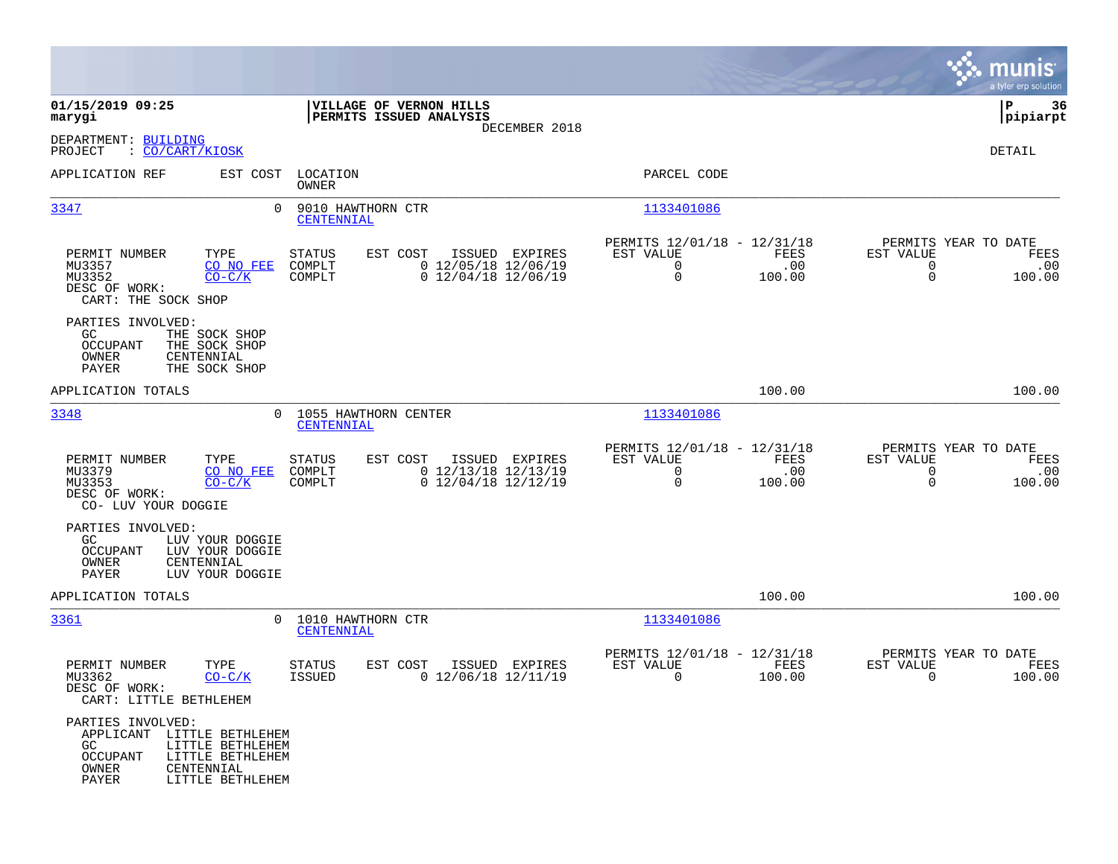|                                                                                            |                                                                        |                                   |                                                            |                |                                                                        |                       |                                                                 | munis<br>a tyler erp solution |
|--------------------------------------------------------------------------------------------|------------------------------------------------------------------------|-----------------------------------|------------------------------------------------------------|----------------|------------------------------------------------------------------------|-----------------------|-----------------------------------------------------------------|-------------------------------|
| 01/15/2019 09:25<br>marygi                                                                 |                                                                        |                                   | VILLAGE OF VERNON HILLS<br>PERMITS ISSUED ANALYSIS         | DECEMBER 2018  |                                                                        |                       |                                                                 | ΙP<br>36<br> pipiarpt         |
| DEPARTMENT: BUILDING<br>: CO/CART/KIOSK<br>PROJECT                                         |                                                                        |                                   |                                                            |                |                                                                        |                       |                                                                 | DETAIL                        |
| APPLICATION REF                                                                            | EST COST                                                               | LOCATION<br><b>OWNER</b>          |                                                            |                | PARCEL CODE                                                            |                       |                                                                 |                               |
| 3347                                                                                       | $\Omega$                                                               | 9010 HAWTHORN CTR<br>CENTENNIAL   |                                                            |                | 1133401086                                                             |                       |                                                                 |                               |
| PERMIT NUMBER<br>MU3357<br>MU3352<br>DESC OF WORK:<br>CART: THE SOCK SHOP                  | TYPE<br>CO NO FEE<br>$CO-C/K$                                          | <b>STATUS</b><br>COMPLT<br>COMPLT | EST COST<br>$0$ 12/05/18 12/06/19<br>$0$ 12/04/18 12/06/19 | ISSUED EXPIRES | PERMITS 12/01/18 - 12/31/18<br>EST VALUE<br>$\mathbf 0$<br>$\mathbf 0$ | FEES<br>.00<br>100.00 | PERMITS YEAR TO DATE<br>EST VALUE<br>$\mathbf 0$<br>$\mathbf 0$ | FEES<br>.00<br>100.00         |
| PARTIES INVOLVED:<br>GC.<br><b>OCCUPANT</b><br>OWNER<br>PAYER                              | THE SOCK SHOP<br>THE SOCK SHOP<br>CENTENNIAL<br>THE SOCK SHOP          |                                   |                                                            |                |                                                                        |                       |                                                                 |                               |
| APPLICATION TOTALS                                                                         |                                                                        |                                   |                                                            |                |                                                                        | 100.00                |                                                                 | 100.00                        |
| 3348                                                                                       | $\Omega$                                                               | CENTENNIAL                        | 1055 HAWTHORN CENTER                                       |                | 1133401086                                                             |                       |                                                                 |                               |
| PERMIT NUMBER<br>MU3379<br>MU3353<br>DESC OF WORK:<br>CO- LUV YOUR DOGGIE                  | TYPE<br>CO NO FEE<br>$CO-C/K$                                          | <b>STATUS</b><br>COMPLT<br>COMPLT | EST COST<br>$0$ 12/13/18 12/13/19<br>$0$ 12/04/18 12/12/19 | ISSUED EXPIRES | PERMITS 12/01/18 - 12/31/18<br>EST VALUE<br>$\mathbf 0$<br>$\mathbf 0$ | FEES<br>.00<br>100.00 | PERMITS YEAR TO DATE<br>EST VALUE<br>$\mathbf 0$<br>$\Omega$    | FEES<br>.00<br>100.00         |
| PARTIES INVOLVED:<br>GC.<br><b>OCCUPANT</b><br>OWNER<br>PAYER                              | LUV YOUR DOGGIE<br>LUV YOUR DOGGIE<br>CENTENNIAL<br>LUV YOUR DOGGIE    |                                   |                                                            |                |                                                                        |                       |                                                                 |                               |
| APPLICATION TOTALS                                                                         |                                                                        |                                   |                                                            |                |                                                                        | 100.00                |                                                                 | 100.00                        |
| 3361                                                                                       |                                                                        | 0 1010 HAWTHORN CTR<br>CENTENNIAL |                                                            |                | 1133401086                                                             |                       |                                                                 |                               |
| PERMIT NUMBER<br>MU3362<br>DESC OF WORK:<br>CART: LITTLE BETHLEHEM                         | TYPE<br>$CO-C/K$                                                       | STATUS<br>ISSUED                  | EST COST<br>$0$ 12/06/18 12/11/19                          | ISSUED EXPIRES | PERMITS 12/01/18 - 12/31/18<br>EST VALUE<br>$\mathbf 0$                | FEES<br>100.00        | PERMITS YEAR TO DATE<br>EST VALUE<br>0                          | FEES<br>100.00                |
| PARTIES INVOLVED:<br>APPLICANT LITTLE BETHLEHEM<br>GC<br><b>OCCUPANT</b><br>OWNER<br>PAYER | LITTLE BETHLEHEM<br>LITTLE BETHLEHEM<br>CENTENNIAL<br>LITTLE BETHLEHEM |                                   |                                                            |                |                                                                        |                       |                                                                 |                               |

**College**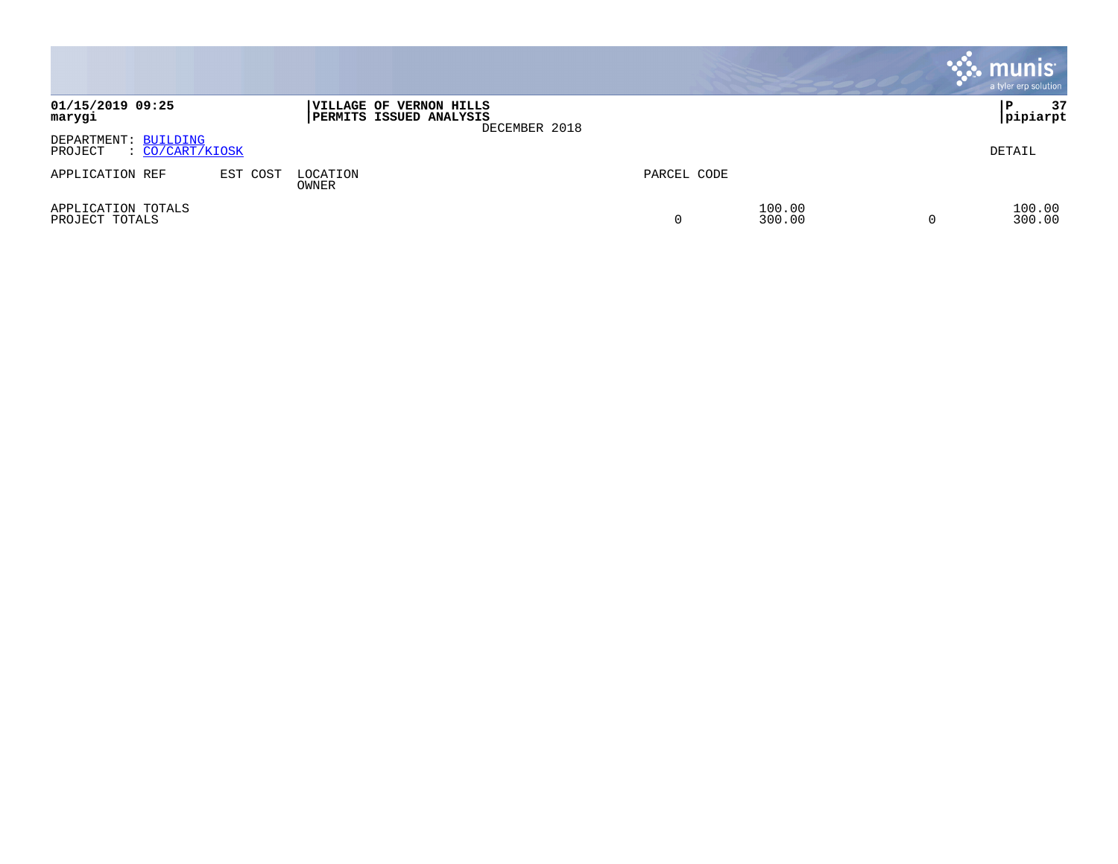|                                                    |          |                                                    |               |             |                  | $\cdot$ munis $\cdot$<br>a tyler erp solution |
|----------------------------------------------------|----------|----------------------------------------------------|---------------|-------------|------------------|-----------------------------------------------|
| 01/15/2019 09:25<br>marygi                         |          | VILLAGE OF VERNON HILLS<br>PERMITS ISSUED ANALYSIS | DECEMBER 2018 |             |                  | 37<br>P<br> pipiarpt                          |
| DEPARTMENT: BUILDING<br>: CO/CART/KIOSK<br>PROJECT |          |                                                    |               |             |                  | DETAIL                                        |
| APPLICATION REF                                    | EST COST | LOCATION<br>OWNER                                  |               | PARCEL CODE |                  |                                               |
| APPLICATION TOTALS<br>PROJECT TOTALS               |          |                                                    |               | 0           | 100.00<br>300.00 | 100.00<br>300.00                              |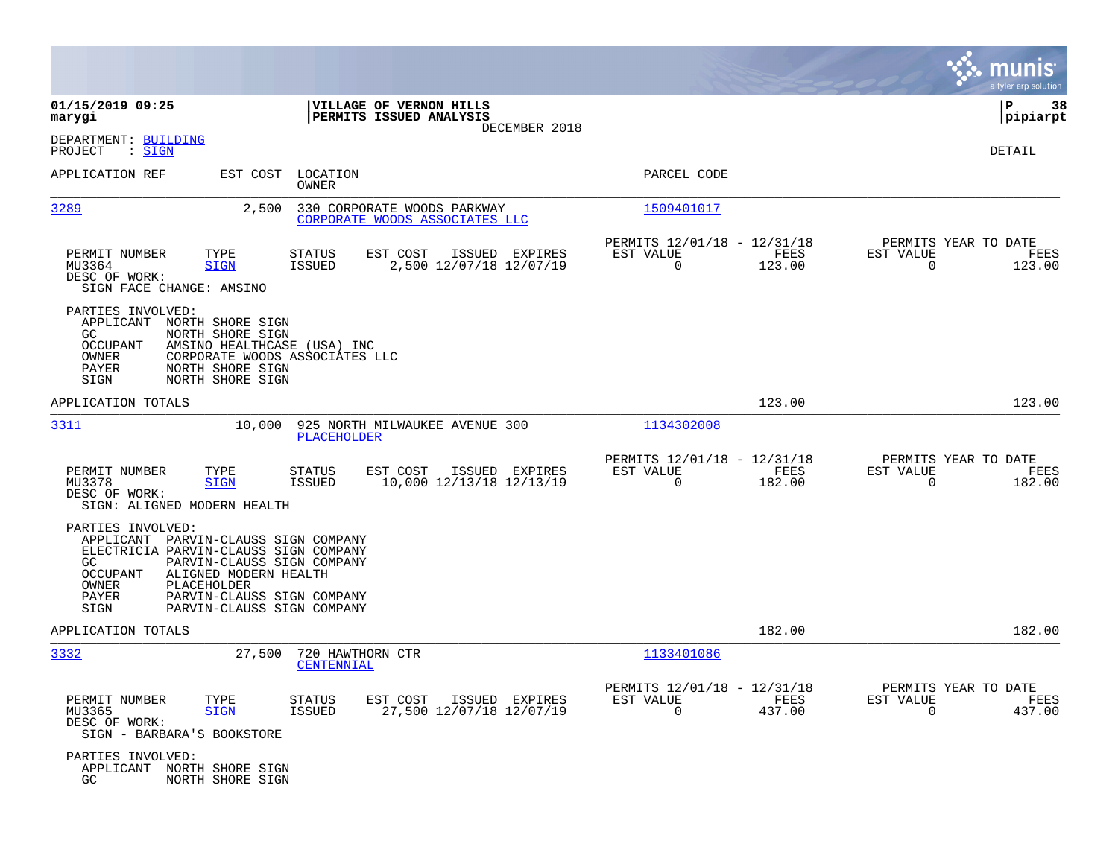|                                                                                                                                                                                                                                                                                         |                                                                            |                                                                              | munis<br>a tyler erp solution                                   |
|-----------------------------------------------------------------------------------------------------------------------------------------------------------------------------------------------------------------------------------------------------------------------------------------|----------------------------------------------------------------------------|------------------------------------------------------------------------------|-----------------------------------------------------------------|
| 01/15/2019 09:25<br>marygi                                                                                                                                                                                                                                                              | VILLAGE OF VERNON HILLS<br>PERMITS ISSUED ANALYSIS                         |                                                                              | ΙP<br>38<br> pipiarpt                                           |
| DEPARTMENT: BUILDING<br>PROJECT<br>$:$ SIGN                                                                                                                                                                                                                                             | DECEMBER 2018                                                              |                                                                              | DETAIL                                                          |
| APPLICATION REF                                                                                                                                                                                                                                                                         | EST COST LOCATION<br>OWNER                                                 | PARCEL CODE                                                                  |                                                                 |
| 3289<br>2,500                                                                                                                                                                                                                                                                           | 330 CORPORATE WOODS PARKWAY<br>CORPORATE WOODS ASSOCIATES LLC              | 1509401017                                                                   |                                                                 |
| PERMIT NUMBER<br>TYPE<br>MU3364<br><b>SIGN</b><br>DESC OF WORK:<br>SIGN FACE CHANGE: AMSINO                                                                                                                                                                                             | STATUS<br>EST COST<br>ISSUED EXPIRES<br>ISSUED<br>2,500 12/07/18 12/07/19  | PERMITS 12/01/18 - 12/31/18<br>EST VALUE<br>FEES<br>$\overline{0}$<br>123.00 | PERMITS YEAR TO DATE<br>EST VALUE<br>FEES<br>$\Omega$<br>123.00 |
| PARTIES INVOLVED:<br>APPLICANT NORTH SHORE SIGN<br>NORTH SHORE SIGN<br>GC<br>OCCUPANT<br>AMSINO HEALTHCASE (USA) INC<br>OWNER<br>CORPORATE WOODS ASSOCIATES LLC<br>PAYER<br>NORTH SHORE SIGN<br>NORTH SHORE SIGN<br>SIGN                                                                |                                                                            |                                                                              |                                                                 |
| APPLICATION TOTALS                                                                                                                                                                                                                                                                      |                                                                            | 123.00                                                                       | 123.00                                                          |
| 3311<br>10,000                                                                                                                                                                                                                                                                          | 925 NORTH MILWAUKEE AVENUE 300<br>PLACEHOLDER                              | 1134302008                                                                   |                                                                 |
| PERMIT NUMBER<br>TYPE<br>MU3378<br><b>SIGN</b><br>DESC OF WORK:<br>SIGN: ALIGNED MODERN HEALTH                                                                                                                                                                                          | EST COST<br>ISSUED EXPIRES<br>STATUS<br>10,000 12/13/18 12/13/19<br>ISSUED | PERMITS 12/01/18 - 12/31/18<br>EST VALUE<br>FEES<br>$\mathbf 0$<br>182.00    | PERMITS YEAR TO DATE<br>EST VALUE<br>FEES<br>$\Omega$<br>182.00 |
| PARTIES INVOLVED:<br>APPLICANT PARVIN-CLAUSS SIGN COMPANY<br>ELECTRICIA PARVIN-CLAUSS SIGN COMPANY<br>GC<br>PARVIN-CLAUSS SIGN COMPANY<br>ALIGNED MODERN HEALTH<br><b>OCCUPANT</b><br>OWNER<br>PLACEHOLDER<br>PAYER<br>PARVIN-CLAUSS SIGN COMPANY<br>SIGN<br>PARVIN-CLAUSS SIGN COMPANY |                                                                            |                                                                              |                                                                 |
| APPLICATION TOTALS                                                                                                                                                                                                                                                                      |                                                                            | 182.00                                                                       | 182.00                                                          |
| 3332<br>27,500                                                                                                                                                                                                                                                                          | 720 HAWTHORN CTR<br><b>CENTENNIAL</b>                                      | 1133401086                                                                   |                                                                 |
| PERMIT NUMBER<br>TYPE<br>MU3365<br><b>SIGN</b><br>DESC OF WORK:<br>SIGN - BARBARA'S BOOKSTORE                                                                                                                                                                                           | STATUS<br>EST COST<br>ISSUED EXPIRES<br>ISSUED<br>27,500 12/07/18 12/07/19 | PERMITS 12/01/18 - 12/31/18<br>EST VALUE<br>FEES<br>$\overline{0}$<br>437.00 | PERMITS YEAR TO DATE<br>EST VALUE<br>FEES<br>$\Omega$<br>437.00 |
| PARTIES INVOLVED:<br>APPLICANT NORTH SHORE SIGN<br>GC.<br>NORTH SHORE SIGN                                                                                                                                                                                                              |                                                                            |                                                                              |                                                                 |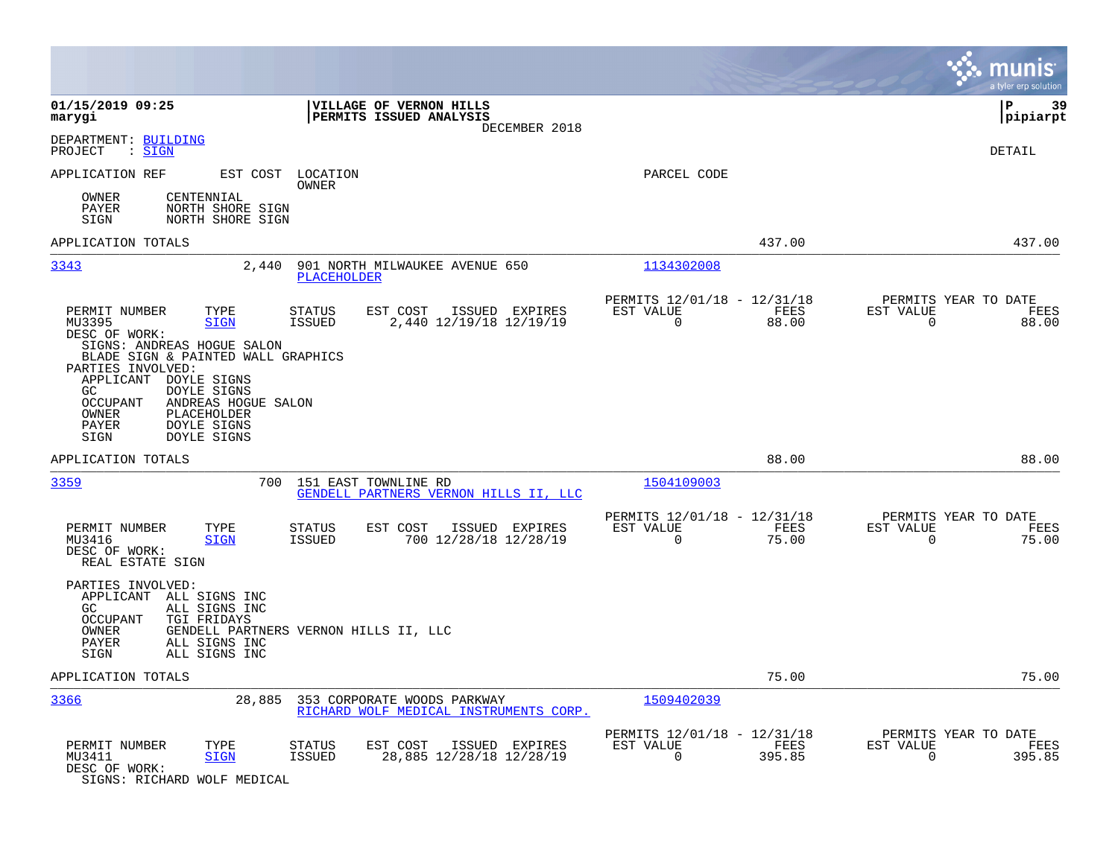|                                                                                                                                                                                                                                                                     |                                                                                          |                                                                           | munis<br>a tyler erp solution                                            |
|---------------------------------------------------------------------------------------------------------------------------------------------------------------------------------------------------------------------------------------------------------------------|------------------------------------------------------------------------------------------|---------------------------------------------------------------------------|--------------------------------------------------------------------------|
| 01/15/2019 09:25<br>marygi                                                                                                                                                                                                                                          | VILLAGE OF VERNON HILLS<br>PERMITS ISSUED ANALYSIS<br>DECEMBER 2018                      |                                                                           | lР<br>39<br> pipiarpt                                                    |
| DEPARTMENT: BUILDING<br>: SIGN<br>PROJECT                                                                                                                                                                                                                           |                                                                                          |                                                                           | <b>DETAIL</b>                                                            |
| APPLICATION REF<br>EST COST                                                                                                                                                                                                                                         | LOCATION<br>OWNER                                                                        | PARCEL CODE                                                               |                                                                          |
| CENTENNIAL<br>OWNER<br>PAYER<br>NORTH SHORE SIGN<br>SIGN<br>NORTH SHORE SIGN                                                                                                                                                                                        |                                                                                          |                                                                           |                                                                          |
| APPLICATION TOTALS                                                                                                                                                                                                                                                  |                                                                                          | 437.00                                                                    | 437.00                                                                   |
| 3343<br>2,440                                                                                                                                                                                                                                                       | 901 NORTH MILWAUKEE AVENUE 650<br><b>PLACEHOLDER</b>                                     | 1134302008                                                                |                                                                          |
| PERMIT NUMBER<br>TYPE<br>MU3395<br><b>SIGN</b><br>DESC OF WORK:                                                                                                                                                                                                     | ISSUED EXPIRES<br>STATUS<br>EST COST<br>2,440 12/19/18 12/19/19<br>ISSUED                | PERMITS 12/01/18 - 12/31/18<br>EST VALUE<br>FEES<br>$\Omega$<br>88.00     | PERMITS YEAR TO DATE<br><b>EST VALUE</b><br>FEES<br>$\mathbf 0$<br>88.00 |
| SIGNS: ANDREAS HOGUE SALON<br>BLADE SIGN & PAINTED WALL GRAPHICS<br>PARTIES INVOLVED:<br>APPLICANT DOYLE SIGNS<br><b>DOYLE SIGNS</b><br>GC.<br>ANDREAS HOGUE SALON<br><b>OCCUPANT</b><br>PLACEHOLDER<br>OWNER<br>DOYLE SIGNS<br>PAYER<br><b>DOYLE SIGNS</b><br>SIGN |                                                                                          |                                                                           |                                                                          |
| APPLICATION TOTALS                                                                                                                                                                                                                                                  |                                                                                          | 88.00                                                                     | 88.00                                                                    |
| 3359<br>700                                                                                                                                                                                                                                                         | 151 EAST TOWNLINE RD<br>GENDELL PARTNERS VERNON HILLS II, LLC                            | 1504109003                                                                |                                                                          |
| PERMIT NUMBER<br>TYPE<br>MU3416<br><b>SIGN</b><br>DESC OF WORK:<br>REAL ESTATE SIGN                                                                                                                                                                                 | EST COST<br>ISSUED EXPIRES<br>STATUS<br><b>ISSUED</b><br>700 12/28/18 12/28/19           | PERMITS 12/01/18 - 12/31/18<br>EST VALUE<br>FEES<br>$\Omega$<br>75.00     | PERMITS YEAR TO DATE<br>EST VALUE<br>FEES<br>$\mathbf 0$<br>75.00        |
| PARTIES INVOLVED:<br>APPLICANT ALL SIGNS INC<br>GC<br>ALL SIGNS INC<br><b>OCCUPANT</b><br>TGI FRIDAYS<br>OWNER<br>PAYER<br>ALL SIGNS INC<br>ALL SIGNS INC<br>SIGN                                                                                                   | GENDELL PARTNERS VERNON HILLS II, LLC                                                    |                                                                           |                                                                          |
| APPLICATION TOTALS                                                                                                                                                                                                                                                  |                                                                                          | 75.00                                                                     | 75.00                                                                    |
| 3366<br>28,885                                                                                                                                                                                                                                                      | 353 CORPORATE WOODS PARKWAY<br>RICHARD WOLF MEDICAL INSTRUMENTS CORP.                    | 1509402039                                                                |                                                                          |
| PERMIT NUMBER<br>TYPE<br>MU3411<br><b>SIGN</b><br>DESC OF WORK:<br>SIGNS: RICHARD WOLF MEDICAL                                                                                                                                                                      | <b>STATUS</b><br>EST COST<br>ISSUED EXPIRES<br>28,885 12/28/18 12/28/19<br><b>ISSUED</b> | PERMITS 12/01/18 - 12/31/18<br>EST VALUE<br>FEES<br>$\mathbf 0$<br>395.85 | PERMITS YEAR TO DATE<br>EST VALUE<br>FEES<br>$\mathbf 0$<br>395.85       |